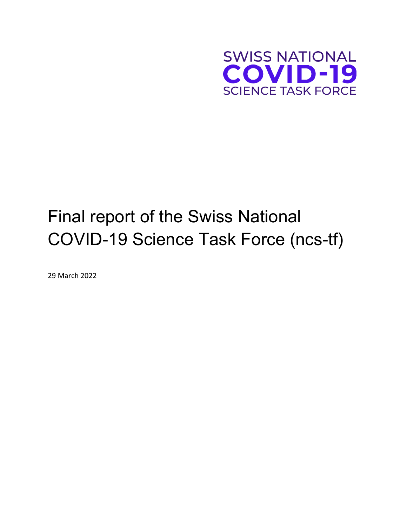

# Final report of the Swiss National COVID-19 Science Task Force (ncs-tf)

29 March 2022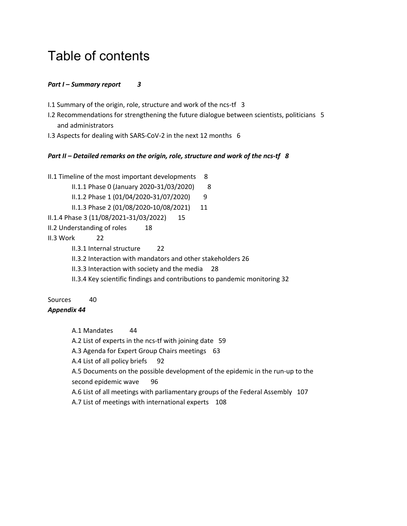## Table of contents

#### *Part I – Summary report 3*

- I.1 Summary of the origin, role, structure and work of the ncs-tf 3
- I.2 Recommendations for strengthening the future dialogue between scientists, politicians 5 and administrators
- I.3 Aspects for dealing with SARS-CoV-2 in the next 12 months 6

#### *Part II – Detailed remarks on the origin, role, structure and work of the ncs-tf 8*

II.1 Timeline of the most important developments 8

II.1.1 Phase 0 (January 2020-31/03/2020) 8

II.1.2 Phase 1 (01/04/2020-31/07/2020) 9

II.1.3 Phase 2 (01/08/2020-10/08/2021) 11

- II.1.4 Phase 3 (11/08/2021-31/03/2022) 15
- II.2 Understanding of roles 18
- II.3 Work 22
	- II.3.1 Internal structure 22
	- II.3.2 Interaction with mandators and other stakeholders 26
	- II.3.3 Interaction with society and the media 28
	- II.3.4 Key scientific findings and contributions to pandemic monitoring 32

#### Sources 40

#### *Appendix 44*

A.1 Mandates 44

A.2 List of experts in the ncs-tf with joining date 59

A.3 Agenda for Expert Group Chairs meetings 63

A.4 List of all policy briefs 92

A.5 Documents on the possible development of the epidemic in the run-up to the second epidemic wave 96

A.6 List of all meetings with parliamentary groups of the Federal Assembly 107

A.7 List of meetings with international experts 108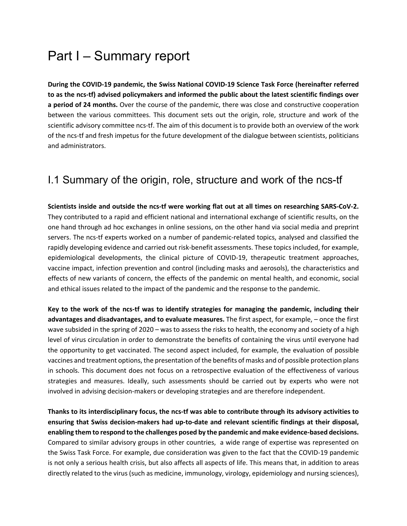## Part I – Summary report

**During the COVID-19 pandemic, the Swiss National COVID-19 Science Task Force (hereinafter referred to as the ncs-tf) advised policymakers and informed the public about the latest scientific findings over a period of 24 months.** Over the course of the pandemic, there was close and constructive cooperation between the various committees. This document sets out the origin, role, structure and work of the scientific advisory committee ncs-tf. The aim of this document is to provide both an overview of the work of the ncs-tf and fresh impetus for the future development of the dialogue between scientists, politicians and administrators.

## I.1 Summary of the origin, role, structure and work of the ncs-tf

**Scientists inside and outside the ncs-tf were working flat out at all times on researching SARS-CoV-2.**  They contributed to a rapid and efficient national and international exchange of scientific results, on the one hand through ad hoc exchanges in online sessions, on the other hand via social media and preprint servers. The ncs-tf experts worked on a number of pandemic-related topics, analysed and classified the rapidly developing evidence and carried out risk-benefit assessments. These topics included, for example, epidemiological developments, the clinical picture of COVID-19, therapeutic treatment approaches, vaccine impact, infection prevention and control (including masks and aerosols), the characteristics and effects of new variants of concern, the effects of the pandemic on mental health, and economic, social and ethical issues related to the impact of the pandemic and the response to the pandemic.

**Key to the work of the ncs-tf was to identify strategies for managing the pandemic, including their advantages and disadvantages, and to evaluate measures.** The first aspect, for example, – once the first wave subsided in the spring of 2020 – was to assess the risks to health, the economy and society of a high level of virus circulation in order to demonstrate the benefits of containing the virus until everyone had the opportunity to get vaccinated. The second aspect included, for example, the evaluation of possible vaccines and treatment options, the presentation of the benefits of masks and of possible protection plans in schools. This document does not focus on a retrospective evaluation of the effectiveness of various strategies and measures. Ideally, such assessments should be carried out by experts who were not involved in advising decision-makers or developing strategies and are therefore independent.

**Thanks to its interdisciplinary focus, the ncs-tf was able to contribute through its advisory activities to ensuring that Swiss decision-makers had up-to-date and relevant scientific findings at their disposal, enabling them to respond to the challenges posed by the pandemic and make evidence-based decisions.** Compared to similar advisory groups in other countries, a wide range of expertise was represented on the Swiss Task Force. For example, due consideration was given to the fact that the COVID-19 pandemic is not only a serious health crisis, but also affects all aspects of life. This means that, in addition to areas directly related to the virus (such as medicine, immunology, virology, epidemiology and nursing sciences),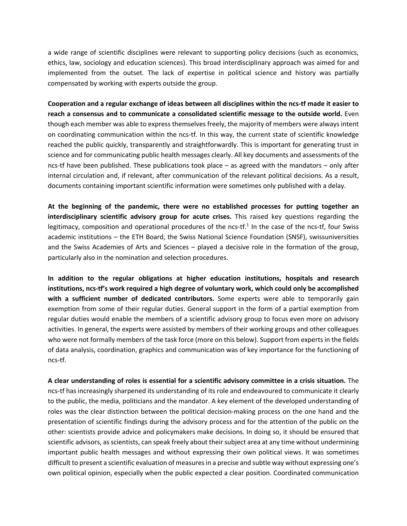a wide range of scientific disciplines were relevant to supporting policy decisions (such as economics, ethics, law, sociology and education sciences). This broad interdisciplinary approach was aimed for and implemented from the outset. The lack of expertise in political science and history was partially compensated by working with experts outside the group.

**Cooperation and a regular exchange of ideas between all disciplines within the ncs-tf made it easier to reach a consensus and to communicate a consolidated scientific message to the outside world.** Even though each member was able to express themselves freely, the majority of members were always intent on coordinating communication within the ncs-tf. In this way, the current state of scientific knowledge reached the public quickly, transparently and straightforwardly. This is important for generating trust in science and for communicating public health messages clearly. All key documents and assessments of the ncs-tf have been published. These publications took place – as agreed with the mandators – only after internal circulation and, if relevant, after communication of the relevant political decisions. As a result, documents containing important scientific information were sometimes only published with a delay.

**At the beginning of the pandemic, there were no established processes for putting together an interdisciplinary scientific advisory group for acute crises.** This raised key questions regarding the legitimacy, composition and operational procedures of the ncs-tf.<sup>1</sup> In the case of the ncs-tf, four Swiss academic institutions – the ETH Board, the Swiss National Science Foundation (SNSF), swissuniversities and the Swiss Academies of Arts and Sciences – played a decisive role in the formation of the group, particularly also in the nomination and selection procedures.

**In addition to the regular obligations at higher education institutions, hospitals and research institutions, ncs-tf's work required a high degree of voluntary work, which could only be accomplished with a sufficient number of dedicated contributors.** Some experts were able to temporarily gain exemption from some of their regular duties. General support in the form of a partial exemption from regular duties would enable the members of a scientific advisory group to focus even more on advisory activities. In general, the experts were assisted by members of their working groups and other colleagues who were not formally members of the task force (more on this below). Support from experts in the fields of data analysis, coordination, graphics and communication was of key importance for the functioning of ncs-tf.

**A clear understanding of roles is essential for a scientific advisory committee in a crisis situation.** The ncs-tf has increasingly sharpened its understanding of its role and endeavoured to communicate it clearly to the public, the media, politicians and the mandator. A key element of the developed understanding of roles was the clear distinction between the political decision-making process on the one hand and the presentation of scientific findings during the advisory process and for the attention of the public on the other: scientists provide advice and policymakers make decisions. In doing so, it should be ensured that scientific advisors, as scientists, can speak freely about their subject area at any time without undermining important public health messages and without expressing their own political views. It was sometimes difficult to present a scientific evaluation of measures in a precise and subtle way without expressing one's own political opinion, especially when the public expected a clear position. Coordinated communication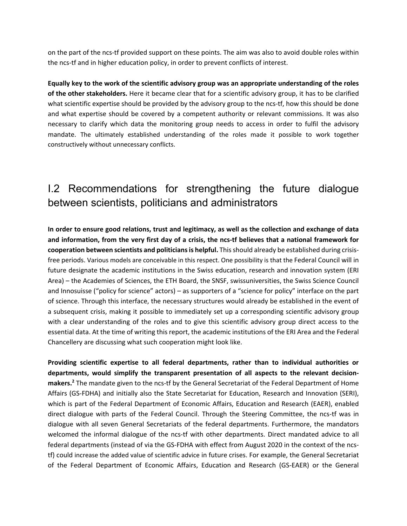on the part of the ncs-tf provided support on these points. The aim was also to avoid double roles within the ncs-tf and in higher education policy, in order to prevent conflicts of interest.

**Equally key to the work of the scientific advisory group was an appropriate understanding of the roles of the other stakeholders.** Here it became clear that for a scientific advisory group, it has to be clarified what scientific expertise should be provided by the advisory group to the ncs-tf, how this should be done and what expertise should be covered by a competent authority or relevant commissions. It was also necessary to clarify which data the monitoring group needs to access in order to fulfil the advisory mandate. The ultimately established understanding of the roles made it possible to work together constructively without unnecessary conflicts.

## I.2 Recommendations for strengthening the future dialogue between scientists, politicians and administrators

**In order to ensure good relations, trust and legitimacy, as well as the collection and exchange of data and information, from the very first day of a crisis, the ncs-tf believes that a national framework for cooperation between scientists and politicians is helpful.** This should already be established during crisisfree periods. Various models are conceivable in this respect. One possibility is that the Federal Council will in future designate the academic institutions in the Swiss education, research and innovation system (ERI Area) – the Academies of Sciences, the ETH Board, the SNSF, swissuniversities, the Swiss Science Council and Innosuisse ("policy for science" actors) – as supporters of a "science for policy" interface on the part of science. Through this interface, the necessary structures would already be established in the event of a subsequent crisis, making it possible to immediately set up a corresponding scientific advisory group with a clear understanding of the roles and to give this scientific advisory group direct access to the essential data. At the time of writing this report, the academic institutions of the ERI Area and the Federal Chancellery are discussing what such cooperation might look like.

**Providing scientific expertise to all federal departments, rather than to individual authorities or departments, would simplify the transparent presentation of all aspects to the relevant decisionmakers.2** The mandate given to the ncs-tf by the General Secretariat of the Federal Department of Home Affairs (GS-FDHA) and initially also the State Secretariat for Education, Research and Innovation (SERI), which is part of the Federal Department of Economic Affairs, Education and Research (EAER), enabled direct dialogue with parts of the Federal Council. Through the Steering Committee, the ncs-tf was in dialogue with all seven General Secretariats of the federal departments. Furthermore, the mandators welcomed the informal dialogue of the ncs-tf with other departments. Direct mandated advice to all federal departments (instead of via the GS-FDHA with effect from August 2020 in the context of the ncstf) could increase the added value of scientific advice in future crises. For example, the General Secretariat of the Federal Department of Economic Affairs, Education and Research (GS-EAER) or the General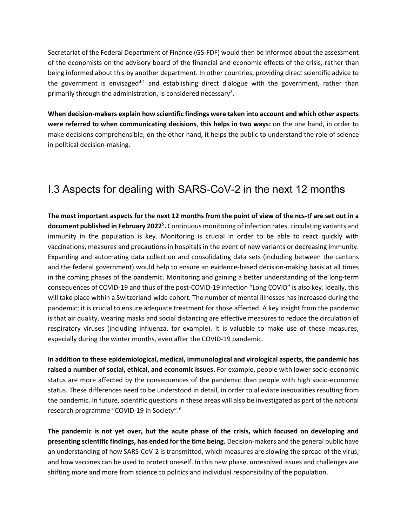Secretariat of the Federal Department of Finance (GS-FDF) would then be informed about the assessment of the economists on the advisory board of the financial and economic effects of the crisis, rather than being informed about this by another department. In other countries, providing direct scientific advice to the government is envisaged<sup>3,4</sup> and establishing direct dialogue with the government, rather than primarily through the administration, is considered necessary<sup>2</sup>.

**When decision-makers explain how scientific findings were taken into account and which other aspects were referred to when communicating decisions**, **this helps in two ways:** on the one hand, in order to make decisions comprehensible; on the other hand, it helps the public to understand the role of science in political decision-making.

## I.3 Aspects for dealing with SARS-CoV-2 in the next 12 months

**The most important aspects for the next 12 months from the point of view of the ncs-tf are set out in a**  document published in February 2022<sup>5</sup>. Continuous monitoring of infection rates, circulating variants and immunity in the population is key. Monitoring is crucial in order to be able to react quickly with vaccinations, measures and precautions in hospitals in the event of new variants or decreasing immunity. Expanding and automating data collection and consolidating data sets (including between the cantons and the federal government) would help to ensure an evidence-based decision-making basis at all times in the coming phases of the pandemic. Monitoring and gaining a better understanding of the long-term consequences of COVID-19 and thus of the post-COVID-19 infection "Long COVID" is also key. Ideally, this will take place within a Switzerland-wide cohort. The number of mental illnesses has increased during the pandemic; it is crucial to ensure adequate treatment for those affected. A key insight from the pandemic is that air quality, wearing masks and social distancing are effective measures to reduce the circulation of respiratory viruses (including influenza, for example). It is valuable to make use of these measures, especially during the winter months, even after the COVID-19 pandemic.

**In addition to these epidemiological, medical, immunological and virological aspects, the pandemic has raised a number of social, ethical, and economic issues.** For example, people with lower socio-economic status are more affected by the consequences of the pandemic than people with high socio-economic status. These differences need to be understood in detail, in order to alleviate inequalities resulting from the pandemic. In future, scientific questions in these areas will also be investigated as part of the national research programme "COVID-19 in Society".6

**The pandemic is not yet over, but the acute phase of the crisis, which focused on developing and presenting scientific findings, has ended for the time being.** Decision-makers and the general public have an understanding of how SARS-CoV-2 is transmitted, which measures are slowing the spread of the virus, and how vaccines can be used to protect oneself. In this new phase, unresolved issues and challenges are shifting more and more from science to politics and individual responsibility of the population.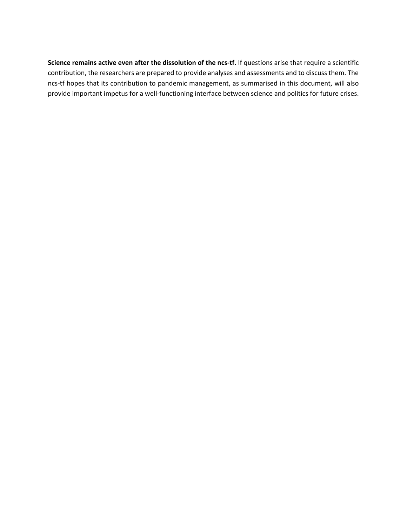**Science remains active even after the dissolution of the ncs-tf.** If questions arise that require a scientific contribution, the researchers are prepared to provide analyses and assessments and to discuss them. The ncs-tf hopes that its contribution to pandemic management, as summarised in this document, will also provide important impetus for a well-functioning interface between science and politics for future crises.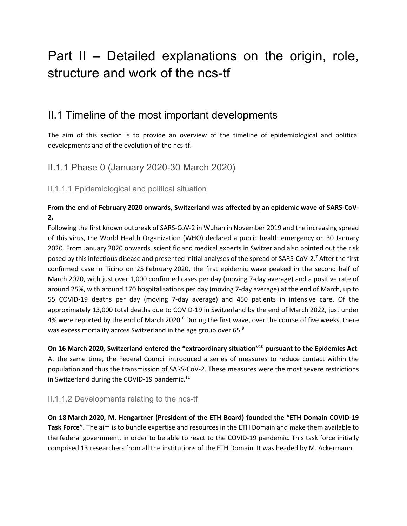## Part II – Detailed explanations on the origin, role, structure and work of the ncs-tf

## II.1 Timeline of the most important developments

The aim of this section is to provide an overview of the timeline of epidemiological and political developments and of the evolution of the ncs-tf.

II.1.1 Phase 0 (January 2020-30 March 2020)

II.1.1.1 Epidemiological and political situation

#### **From the end of February 2020 onwards, Switzerland was affected by an epidemic wave of SARS-CoV-2.**

Following the first known outbreak of SARS-CoV-2 in Wuhan in November 2019 and the increasing spread of this virus, the World Health Organization (WHO) declared a public health emergency on 30 January 2020. From January 2020 onwards, scientific and medical experts in Switzerland also pointed out the risk posed by this infectious disease and presented initial analyses of the spread of SARS-CoV-2.7 After the first confirmed case in Ticino on 25 February 2020, the first epidemic wave peaked in the second half of March 2020, with just over 1,000 confirmed cases per day (moving 7-day average) and a positive rate of around 25%, with around 170 hospitalisations per day (moving 7-day average) at the end of March, up to 55 COVID-19 deaths per day (moving 7-day average) and 450 patients in intensive care. Of the approximately 13,000 total deaths due to COVID-19 in Switzerland by the end of March 2022, just under 4% were reported by the end of March 2020. $8$  During the first wave, over the course of five weeks, there was excess mortality across Switzerland in the age group over 65.<sup>9</sup>

**On 16 March 2020, Switzerland entered the "extraordinary situation"10 pursuant to the Epidemics Act**. At the same time, the Federal Council introduced a series of measures to reduce contact within the population and thus the transmission of SARS-CoV-2. These measures were the most severe restrictions in Switzerland during the COVID-19 pandemic. $11$ 

#### II.1.1.2 Developments relating to the ncs-tf

**On 18 March 2020, M. Hengartner (President of the ETH Board) founded the "ETH Domain COVID-19 Task Force".** The aim is to bundle expertise and resources in the ETH Domain and make them available to the federal government, in order to be able to react to the COVID-19 pandemic. This task force initially comprised 13 researchers from all the institutions of the ETH Domain. It was headed by M. Ackermann.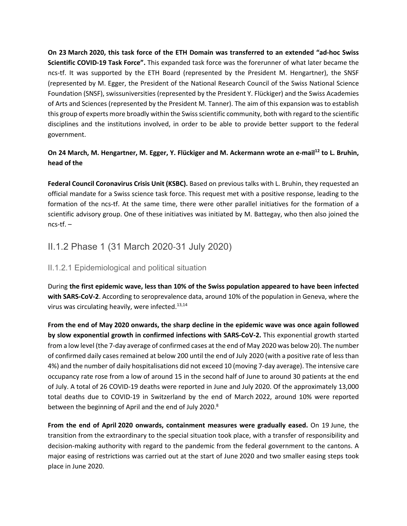**On 23 March 2020, this task force of the ETH Domain was transferred to an extended "ad-hoc Swiss Scientific COVID-19 Task Force".** This expanded task force was the forerunner of what later became the ncs-tf. It was supported by the ETH Board (represented by the President M. Hengartner), the SNSF (represented by M. Egger, the President of the National Research Council of the Swiss National Science Foundation (SNSF), swissuniversities (represented by the President Y. Flückiger) and the Swiss Academies of Arts and Sciences (represented by the President M. Tanner). The aim of this expansion was to establish this group of experts more broadly within the Swiss scientific community, both with regard to the scientific disciplines and the institutions involved, in order to be able to provide better support to the federal government.

#### **On 24 March, M. Hengartner, M. Egger, Y. Flückiger and M. Ackermann wrote an e-mail<sup>12</sup> to L. Bruhin, head of the**

**Federal Council Coronavirus Crisis Unit (KSBC).** Based on previous talks with L. Bruhin, they requested an official mandate for a Swiss science task force. This request met with a positive response, leading to the formation of the ncs-tf. At the same time, there were other parallel initiatives for the formation of a scientific advisory group. One of these initiatives was initiated by M. Battegay, who then also joined the ncs-tf. –

## II.1.2 Phase 1 (31 March 2020-31 July 2020)

#### II.1.2.1 Epidemiological and political situation

During **the first epidemic wave, less than 10% of the Swiss population appeared to have been infected with SARS-CoV-2**. According to seroprevalence data, around 10% of the population in Geneva, where the virus was circulating heavily, were infected.<sup>13,14</sup>

**From the end of May 2020 onwards, the sharp decline in the epidemic wave was once again followed by slow exponential growth in confirmed infections with SARS-CoV-2.** This exponential growth started from a low level (the 7-day average of confirmed cases at the end of May 2020 was below 20). The number of confirmed daily cases remained at below 200 until the end of July 2020 (with a positive rate of less than 4%) and the number of daily hospitalisations did not exceed 10 (moving 7-day average). The intensive care occupancy rate rose from a low of around 15 in the second half of June to around 30 patients at the end of July. A total of 26 COVID-19 deaths were reported in June and July 2020. Of the approximately 13,000 total deaths due to COVID-19 in Switzerland by the end of March 2022, around 10% were reported between the beginning of April and the end of July 2020.<sup>8</sup>

**From the end of April 2020 onwards, containment measures were gradually eased.** On 19 June, the transition from the extraordinary to the special situation took place, with a transfer of responsibility and decision-making authority with regard to the pandemic from the federal government to the cantons. A major easing of restrictions was carried out at the start of June 2020 and two smaller easing steps took place in June 2020.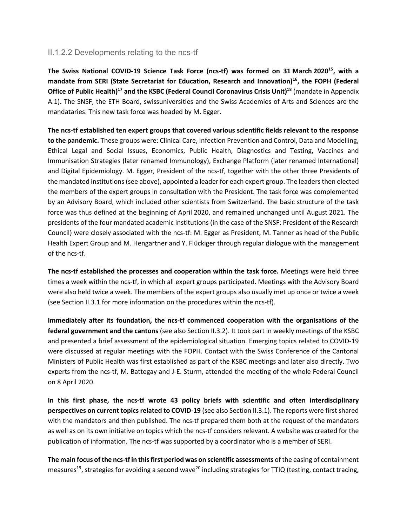#### II.1.2.2 Developments relating to the ncs-tf

**The Swiss National COVID-19 Science Task Force (ncs-tf) was formed on 31 March 202015, with a**  mandate from SERI (State Secretariat for Education, Research and Innovation)<sup>16</sup>, the FOPH (Federal **Office of Public Health)<sup>17</sup> and the KSBC (Federal Council Coronavirus Crisis Unit)<sup>18</sup> (mandate in Appendix** A.1)**.** The SNSF, the ETH Board, swissuniversities and the Swiss Academies of Arts and Sciences are the mandataries. This new task force was headed by M. Egger.

**The ncs-tf established ten expert groups that covered various scientific fields relevant to the response to the pandemic.** These groups were: Clinical Care, Infection Prevention and Control, Data and Modelling, Ethical Legal and Social Issues, Economics, Public Health, Diagnostics and Testing, Vaccines and Immunisation Strategies (later renamed Immunology), Exchange Platform (later renamed International) and Digital Epidemiology. M. Egger, President of the ncs-tf, together with the other three Presidents of the mandated institutions (see above), appointed a leader for each expert group. The leaders then elected the members of the expert groups in consultation with the President. The task force was complemented by an Advisory Board, which included other scientists from Switzerland. The basic structure of the task force was thus defined at the beginning of April 2020, and remained unchanged until August 2021. The presidents of the four mandated academic institutions (in the case of the SNSF: President of the Research Council) were closely associated with the ncs-tf: M. Egger as President, M. Tanner as head of the Public Health Expert Group and M. Hengartner and Y. Flückiger through regular dialogue with the management of the ncs-tf.

**The ncs-tf established the processes and cooperation within the task force.** Meetings were held three times a week within the ncs-tf, in which all expert groups participated. Meetings with the Advisory Board were also held twice a week. The members of the expert groups also usually met up once or twice a week (see Section II.3.1 for more information on the procedures within the ncs-tf).

**Immediately after its foundation, the ncs-tf commenced cooperation with the organisations of the federal government and the cantons** (see also Section II.3.2). It took part in weekly meetings of the KSBC and presented a brief assessment of the epidemiological situation. Emerging topics related to COVID-19 were discussed at regular meetings with the FOPH. Contact with the Swiss Conference of the Cantonal Ministers of Public Health was first established as part of the KSBC meetings and later also directly. Two experts from the ncs-tf, M. Battegay and J-E. Sturm, attended the meeting of the whole Federal Council on 8 April 2020.

**In this first phase, the ncs-tf wrote 43 policy briefs with scientific and often interdisciplinary perspectives on current topics related to COVID-19** (see also Section II.3.1). The reports were first shared with the mandators and then published. The ncs-tf prepared them both at the request of the mandators as well as on its own initiative on topics which the ncs-tf considers relevant. A website was created for the publication of information. The ncs-tf was supported by a coordinator who is a member of SERI.

**The main focus of the ncs-tf in this first period was on scientific assessments** of the easing of containment measures<sup>19</sup>, strategies for avoiding a second wave<sup>20</sup> including strategies for TTIQ (testing, contact tracing,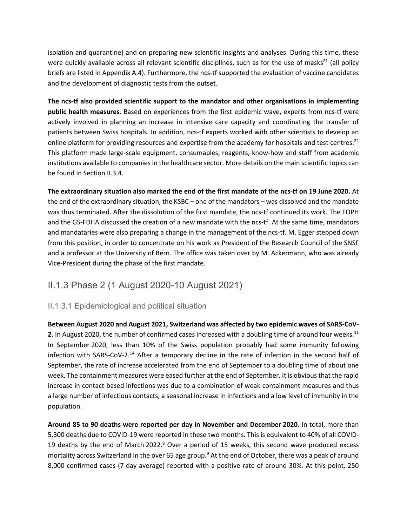isolation and quarantine) and on preparing new scientific insights and analyses. During this time, these were quickly available across all relevant scientific disciplines, such as for the use of masks<sup>21</sup> (all policy briefs are listed in Appendix A.4). Furthermore, the ncs-tf supported the evaluation of vaccine candidates and the development of diagnostic tests from the outset.

**The ncs-tf also provided scientific support to the mandator and other organisations in implementing public health measures**. Based on experiences from the first epidemic wave, experts from ncs-tf were actively involved in planning an increase in intensive care capacity and coordinating the transfer of patients between Swiss hospitals. In addition, ncs-tf experts worked with other scientists to develop an online platform for providing resources and expertise from the academy for hospitals and test centres.<sup>22</sup> This platform made large-scale equipment, consumables, reagents, know-how and staff from academic institutions available to companies in the healthcare sector. More details on the main scientific topics can be found in Section II.3.4.

**The extraordinary situation also marked the end of the first mandate of the ncs-tf on 19 June 2020.** At the end of the extraordinary situation, the KSBC – one of the mandators – was dissolved and the mandate was thus terminated. After the dissolution of the first mandate, the ncs-tf continued its work. The FOPH and the GS-FDHA discussed the creation of a new mandate with the ncs-tf. At the same time, mandators and mandataries were also preparing a change in the management of the ncs-tf. M. Egger stepped down from this position, in order to concentrate on his work as President of the Research Council of the SNSF and a professor at the University of Bern. The office was taken over by M. Ackermann, who was already Vice-President during the phase of the first mandate.

### II.1.3 Phase 2 (1 August 2020-10 August 2021)

#### II.1.3.1 Epidemiological and political situation

**Between August 2020 and August 2021, Switzerland was affected by two epidemic waves of SARS-CoV-2.** In August 2020, the number of confirmed cases increased with a doubling time of around four weeks.<sup>11</sup> In September 2020, less than 10% of the Swiss population probably had some immunity following infection with SARS-CoV-2.<sup>14</sup> After a temporary decline in the rate of infection in the second half of September, the rate of increase accelerated from the end of September to a doubling time of about one week. The containment measures were eased further at the end of September. It is obvious that the rapid increase in contact-based infections was due to a combination of weak containment measures and thus a large number of infectious contacts, a seasonal increase in infections and a low level of immunity in the population.

**Around 85 to 90 deaths were reported per day in November and December 2020.** In total, more than 5,300 deaths due to COVID-19 were reported in these two months. This is equivalent to 40% of all COVID-19 deaths by the end of March 2022.<sup>8</sup> Over a period of 15 weeks, this second wave produced excess mortality across Switzerland in the over 65 age group.<sup>9</sup> At the end of October, there was a peak of around 8,000 confirmed cases (7-day average) reported with a positive rate of around 30%. At this point, 250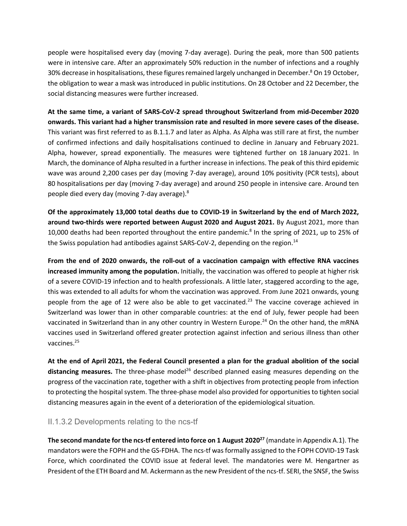people were hospitalised every day (moving 7-day average). During the peak, more than 500 patients were in intensive care. After an approximately 50% reduction in the number of infections and a roughly 30% decrease in hospitalisations, these figures remained largely unchanged in December.<sup>8</sup> On 19 October, the obligation to wear a mask was introduced in public institutions. On 28 October and 22 December, the social distancing measures were further increased.

**At the same time, a variant of SARS-CoV-2 spread throughout Switzerland from mid-December 2020 onwards. This variant had a higher transmission rate and resulted in more severe cases of the disease.**  This variant was first referred to as B.1.1.7 and later as Alpha. As Alpha was still rare at first, the number of confirmed infections and daily hospitalisations continued to decline in January and February 2021. Alpha, however, spread exponentially. The measures were tightened further on 18 January 2021. In March, the dominance of Alpha resulted in a further increase in infections. The peak of this third epidemic wave was around 2,200 cases per day (moving 7-day average), around 10% positivity (PCR tests), about 80 hospitalisations per day (moving 7-day average) and around 250 people in intensive care. Around ten people died every day (moving 7-day average).8

**Of the approximately 13,000 total deaths due to COVID-19 in Switzerland by the end of March 2022, around two-thirds were reported between August 2020 and August 2021.** By August 2021, more than 10,000 deaths had been reported throughout the entire pandemic. <sup>8</sup> In the spring of 2021, up to 25% of the Swiss population had antibodies against SARS-CoV-2, depending on the region.<sup>14</sup>

**From the end of 2020 onwards, the roll-out of a vaccination campaign with effective RNA vaccines increased immunity among the population.** Initially, the vaccination was offered to people at higher risk of a severe COVID-19 infection and to health professionals. A little later, staggered according to the age, this was extended to all adults for whom the vaccination was approved. From June 2021 onwards, young people from the age of 12 were also be able to get vaccinated.<sup>23</sup> The vaccine coverage achieved in Switzerland was lower than in other comparable countries: at the end of July, fewer people had been vaccinated in Switzerland than in any other country in Western Europe.<sup>24</sup> On the other hand, the mRNA vaccines used in Switzerland offered greater protection against infection and serious illness than other vaccines.25

**At the end of April 2021, the Federal Council presented a plan for the gradual abolition of the social**  distancing measures. The three-phase model<sup>26</sup> described planned easing measures depending on the progress of the vaccination rate, together with a shift in objectives from protecting people from infection to protecting the hospital system. The three-phase model also provided for opportunities to tighten social distancing measures again in the event of a deterioration of the epidemiological situation.

#### II.1.3.2 Developments relating to the ncs-tf

**The second mandate for the ncs-tf entered into force on 1 August 202027** (mandate in Appendix A.1). The mandators were the FOPH and the GS-FDHA. The ncs-tf was formally assigned to the FOPH COVID-19 Task Force, which coordinated the COVID issue at federal level. The mandatories were M. Hengartner as President of the ETH Board and M. Ackermann as the new President of the ncs-tf. SERI, the SNSF, the Swiss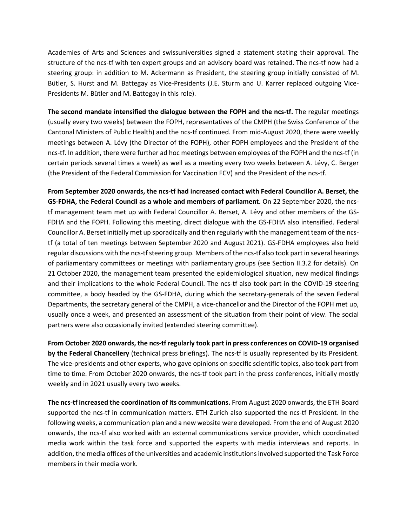Academies of Arts and Sciences and swissuniversities signed a statement stating their approval. The structure of the ncs-tf with ten expert groups and an advisory board was retained. The ncs-tf now had a steering group: in addition to M. Ackermann as President, the steering group initially consisted of M. Bütler, S. Hurst and M. Battegay as Vice-Presidents (J.E. Sturm and U. Karrer replaced outgoing Vice-Presidents M. Bütler and M. Battegay in this role).

**The second mandate intensified the dialogue between the FOPH and the ncs-tf.** The regular meetings (usually every two weeks) between the FOPH, representatives of the CMPH (the Swiss Conference of the Cantonal Ministers of Public Health) and the ncs-tf continued. From mid-August 2020, there were weekly meetings between A. Lévy (the Director of the FOPH), other FOPH employees and the President of the ncs-tf. In addition, there were further ad hoc meetings between employees of the FOPH and the ncs-tf (in certain periods several times a week) as well as a meeting every two weeks between A. Lévy, C. Berger (the President of the Federal Commission for Vaccination FCV) and the President of the ncs-tf.

**From September 2020 onwards, the ncs-tf had increased contact with Federal Councillor A. Berset, the GS-FDHA, the Federal Council as a whole and members of parliament.** On 22 September 2020, the ncstf management team met up with Federal Councillor A. Berset, A. Lévy and other members of the GS-FDHA and the FOPH. Following this meeting, direct dialogue with the GS-FDHA also intensified. Federal Councillor A. Berset initially met up sporadically and then regularly with the management team of the ncstf (a total of ten meetings between September 2020 and August 2021). GS-FDHA employees also held regular discussions with the ncs-tf steering group. Members of the ncs-tf also took part in several hearings of parliamentary committees or meetings with parliamentary groups (see Section II.3.2 for details). On 21 October 2020, the management team presented the epidemiological situation, new medical findings and their implications to the whole Federal Council. The ncs-tf also took part in the COVID-19 steering committee, a body headed by the GS-FDHA, during which the secretary-generals of the seven Federal Departments, the secretary general of the CMPH, a vice-chancellor and the Director of the FOPH met up, usually once a week, and presented an assessment of the situation from their point of view. The social partners were also occasionally invited (extended steering committee).

**From October 2020 onwards, the ncs-tf regularly took part in press conferences on COVID-19 organised by the Federal Chancellery** (technical press briefings). The ncs-tf is usually represented by its President. The vice-presidents and other experts, who gave opinions on specific scientific topics, also took part from time to time. From October 2020 onwards, the ncs-tf took part in the press conferences, initially mostly weekly and in 2021 usually every two weeks.

**The ncs-tf increased the coordination of its communications.** From August 2020 onwards, the ETH Board supported the ncs-tf in communication matters. ETH Zurich also supported the ncs-tf President. In the following weeks, a communication plan and a new website were developed. From the end of August 2020 onwards, the ncs-tf also worked with an external communications service provider, which coordinated media work within the task force and supported the experts with media interviews and reports. In addition, the media offices of the universities and academic institutions involved supported the Task Force members in their media work.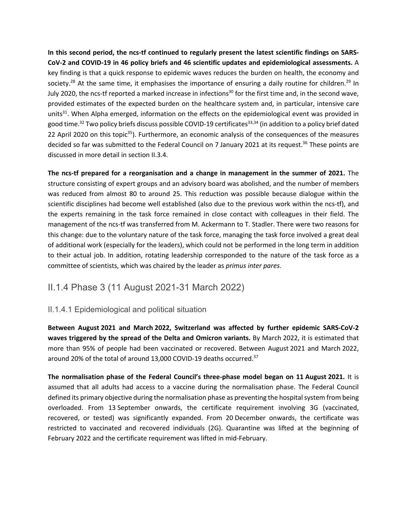**In this second period, the ncs-tf continued to regularly present the latest scientific findings on SARS-CoV-2 and COVID-19 in 46 policy briefs and 46 scientific updates and epidemiological assessments.** A key finding is that a quick response to epidemic waves reduces the burden on health, the economy and society.<sup>28</sup> At the same time, it emphasises the importance of ensuring a daily routine for children.<sup>29</sup> In July 2020, the ncs-tf reported a marked increase in infections<sup>30</sup> for the first time and, in the second wave, provided estimates of the expected burden on the healthcare system and, in particular, intensive care units<sup>31</sup>. When Alpha emerged, information on the effects on the epidemiological event was provided in good time.<sup>32</sup> Two policy briefs discuss possible COVID-19 certificates<sup>33,34</sup> (in addition to a policy brief dated 22 April 2020 on this topic<sup>35</sup>). Furthermore, an economic analysis of the consequences of the measures decided so far was submitted to the Federal Council on 7 January 2021 at its request.<sup>36</sup> These points are discussed in more detail in section II.3.4.

**The ncs-tf prepared for a reorganisation and a change in management in the summer of 2021.** The structure consisting of expert groups and an advisory board was abolished, and the number of members was reduced from almost 80 to around 25. This reduction was possible because dialogue within the scientific disciplines had become well established (also due to the previous work within the ncs-tf), and the experts remaining in the task force remained in close contact with colleagues in their field. The management of the ncs-tf was transferred from M. Ackermann to T. Stadler. There were two reasons for this change: due to the voluntary nature of the task force, managing the task force involved a great deal of additional work (especially for the leaders), which could not be performed in the long term in addition to their actual job. In addition, rotating leadership corresponded to the nature of the task force as a committee of scientists, which was chaired by the leader as *primus inter pares*.

### II.1.4 Phase 3 (11 August 2021-31 March 2022)

#### II.1.4.1 Epidemiological and political situation

**Between August 2021 and March 2022, Switzerland was affected by further epidemic SARS-CoV-2 waves triggered by the spread of the Delta and Omicron variants.** By March 2022, it is estimated that more than 95% of people had been vaccinated or recovered. Between August 2021 and March 2022, around 20% of the total of around 13,000 COVID-19 deaths occurred.<sup>37</sup>

**The normalisation phase of the Federal Council's three-phase model began on 11 August 2021.** It is assumed that all adults had access to a vaccine during the normalisation phase. The Federal Council defined its primary objective during the normalisation phase as preventing the hospital system from being overloaded. From 13 September onwards, the certificate requirement involving 3G (vaccinated, recovered, or tested) was significantly expanded. From 20 December onwards, the certificate was restricted to vaccinated and recovered individuals (2G). Quarantine was lifted at the beginning of February 2022 and the certificate requirement was lifted in mid-February.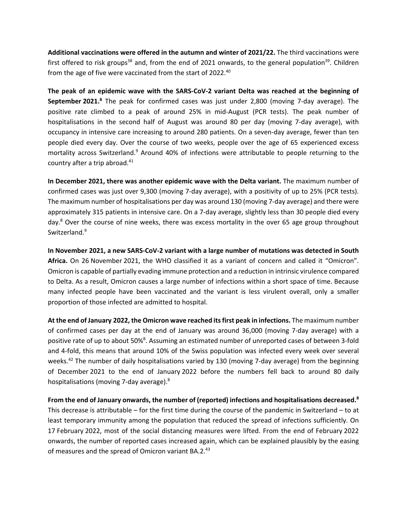**Additional vaccinations were offered in the autumn and winter of 2021/22.** The third vaccinations were first offered to risk groups<sup>38</sup> and, from the end of 2021 onwards, to the general population<sup>39</sup>. Children from the age of five were vaccinated from the start of 2022.<sup>40</sup>

**The peak of an epidemic wave with the SARS-CoV-2 variant Delta was reached at the beginning of September 2021.**<sup>8</sup> The peak for confirmed cases was just under 2,800 (moving 7-day average). The positive rate climbed to a peak of around 25% in mid-August (PCR tests). The peak number of hospitalisations in the second half of August was around 80 per day (moving 7-day average), with occupancy in intensive care increasing to around 280 patients. On a seven-day average, fewer than ten people died every day. Over the course of two weeks, people over the age of 65 experienced excess mortality across Switzerland.<sup>9</sup> Around 40% of infections were attributable to people returning to the country after a trip abroad.<sup>41</sup>

**In December 2021, there was another epidemic wave with the Delta variant.** The maximum number of confirmed cases was just over 9,300 (moving 7-day average), with a positivity of up to 25% (PCR tests). The maximum number of hospitalisations per day was around 130 (moving 7-day average) and there were approximately 315 patients in intensive care. On a 7-day average, slightly less than 30 people died every day.<sup>8</sup> Over the course of nine weeks, there was excess mortality in the over 65 age group throughout Switzerland.<sup>9</sup>

**In November 2021, a new SARS-CoV-2 variant with a large number of mutations was detected in South Africa.** On 26 November 2021, the WHO classified it as a variant of concern and called it "Omicron". Omicron is capable of partially evading immune protection and a reduction in intrinsic virulence compared to Delta. As a result, Omicron causes a large number of infections within a short space of time. Because many infected people have been vaccinated and the variant is less virulent overall, only a smaller proportion of those infected are admitted to hospital.

**At the end of January 2022, the Omicron wave reached its first peak in infections.** The maximum number of confirmed cases per day at the end of January was around 36,000 (moving 7-day average) with a positive rate of up to about 50%<sup>8</sup>. Assuming an estimated number of unreported cases of between 3-fold and 4-fold, this means that around 10% of the Swiss population was infected every week over several weeks.<sup>42</sup> The number of daily hospitalisations varied by 130 (moving 7-day average) from the beginning of December 2021 to the end of January 2022 before the numbers fell back to around 80 daily hospitalisations (moving 7-day average).8

**From the end of January onwards, the number of (reported) infections and hospitalisations decreased.8** This decrease is attributable – for the first time during the course of the pandemic in Switzerland – to at least temporary immunity among the population that reduced the spread of infections sufficiently. On 17 February 2022, most of the social distancing measures were lifted. From the end of February 2022 onwards, the number of reported cases increased again, which can be explained plausibly by the easing of measures and the spread of Omicron variant BA.2.43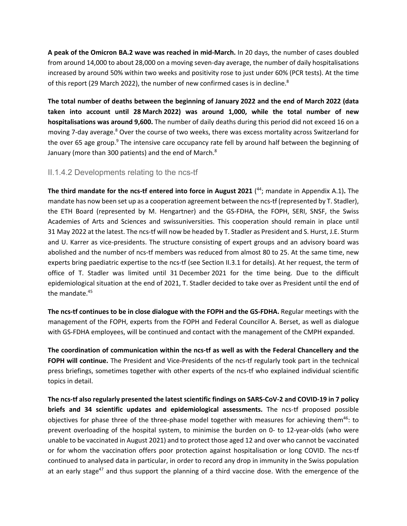**A peak of the Omicron BA.2 wave was reached in mid-March.** In 20 days, the number of cases doubled from around 14,000 to about 28,000 on a moving seven-day average, the number of daily hospitalisations increased by around 50% within two weeks and positivity rose to just under 60% (PCR tests). At the time of this report (29 March 2022), the number of new confirmed cases is in decline.<sup>8</sup>

**The total number of deaths between the beginning of January 2022 and the end of March 2022 (data taken into account until 28 March 2022) was around 1,000, while the total number of new hospitalisations was around 9,600.** The number of daily deaths during this period did not exceed 16 on a moving 7-day average.<sup>8</sup> Over the course of two weeks, there was excess mortality across Switzerland for the over 65 age group.<sup>9</sup> The intensive care occupancy rate fell by around half between the beginning of January (more than 300 patients) and the end of March.<sup>8</sup>

#### II.1.4.2 Developments relating to the ncs-tf

**The third mandate for the ncs-tf entered into force in August 2021** ( 44; mandate in Appendix A.1)**.** The mandate has now been set up as a cooperation agreement between the ncs-tf (represented by T. Stadler), the ETH Board (represented by M. Hengartner) and the GS-FDHA, the FOPH, SERI, SNSF, the Swiss Academies of Arts and Sciences and swissuniversities. This cooperation should remain in place until 31 May 2022 at the latest. The ncs-tf will now be headed by T. Stadler as President and S. Hurst, J.E. Sturm and U. Karrer as vice-presidents. The structure consisting of expert groups and an advisory board was abolished and the number of ncs-tf members was reduced from almost 80 to 25. At the same time, new experts bring paediatric expertise to the ncs-tf (see Section II.3.1 for details). At her request, the term of office of T. Stadler was limited until 31 December 2021 for the time being. Due to the difficult epidemiological situation at the end of 2021, T. Stadler decided to take over as President until the end of the mandate.<sup>45</sup>

**The ncs-tf continues to be in close dialogue with the FOPH and the GS-FDHA.** Regular meetings with the management of the FOPH, experts from the FOPH and Federal Councillor A. Berset, as well as dialogue with GS-FDHA employees, will be continued and contact with the management of the CMPH expanded.

**The coordination of communication within the ncs-tf as well as with the Federal Chancellery and the FOPH will continue.** The President and Vice-Presidents of the ncs-tf regularly took part in the technical press briefings, sometimes together with other experts of the ncs-tf who explained individual scientific topics in detail.

**The ncs-tf also regularly presented the latest scientific findings on SARS-CoV-2 and COVID-19 in 7 policy briefs and 34 scientific updates and epidemiological assessments.** The ncs-tf proposed possible objectives for phase three of the three-phase model together with measures for achieving them<sup>46</sup>: to prevent overloading of the hospital system, to minimise the burden on 0- to 12-year-olds (who were unable to be vaccinated in August 2021) and to protect those aged 12 and over who cannot be vaccinated or for whom the vaccination offers poor protection against hospitalisation or long COVID. The ncs-tf continued to analysed data in particular, in order to record any drop in immunity in the Swiss population at an early stage<sup>47</sup> and thus support the planning of a third vaccine dose. With the emergence of the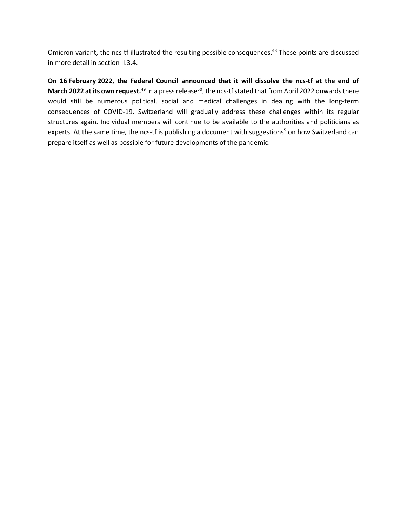Omicron variant, the ncs-tf illustrated the resulting possible consequences.<sup>48</sup> These points are discussed in more detail in section II.3.4.

**On 16 February 2022, the Federal Council announced that it will dissolve the ncs-tf at the end of March 2022 at its own request.**<sup>49</sup> In a press release<sup>50</sup>, the ncs-tf stated that from April 2022 onwards there would still be numerous political, social and medical challenges in dealing with the long-term consequences of COVID-19. Switzerland will gradually address these challenges within its regular structures again. Individual members will continue to be available to the authorities and politicians as experts. At the same time, the ncs-tf is publishing a document with suggestions<sup>5</sup> on how Switzerland can prepare itself as well as possible for future developments of the pandemic.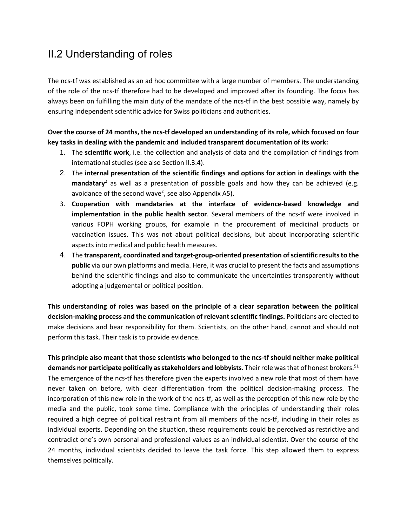## II.2 Understanding of roles

The ncs-tf was established as an ad hoc committee with a large number of members. The understanding of the role of the ncs-tf therefore had to be developed and improved after its founding. The focus has always been on fulfilling the main duty of the mandate of the ncs-tf in the best possible way, namely by ensuring independent scientific advice for Swiss politicians and authorities.

#### **Over the course of 24 months, the ncs-tf developed an understanding of its role, which focused on four key tasks in dealing with the pandemic and included transparent documentation of its work:**

- 1. The **scientific work**, i.e. the collection and analysis of data and the compilation of findings from international studies (see also Section II.3.4).
- 2. The **internal presentation of the scientific findings and options for action in dealings with the mandatary**<sup>2</sup> as well as a presentation of possible goals and how they can be achieved (e.g. avoidance of the second wave<sup>2</sup>, see also Appendix A5).
- 3. **Cooperation with mandataries at the interface of evidence-based knowledge and implementation in the public health sector**. Several members of the ncs-tf were involved in various FOPH working groups, for example in the procurement of medicinal products or vaccination issues. This was not about political decisions, but about incorporating scientific aspects into medical and public health measures.
- 4. The **transparent, coordinated and target-group-oriented presentation of scientific results to the public** via our own platforms and media. Here, it was crucial to present the facts and assumptions behind the scientific findings and also to communicate the uncertainties transparently without adopting a judgemental or political position.

**This understanding of roles was based on the principle of a clear separation between the political decision-making process and the communication of relevant scientific findings.** Politicians are elected to make decisions and bear responsibility for them. Scientists, on the other hand, cannot and should not perform this task. Their task is to provide evidence.

**This principle also meant that those scientists who belonged to the ncs-tf should neither make political demands nor participate politically as stakeholders and lobbyists.** Their role was that of honest brokers.51 The emergence of the ncs-tf has therefore given the experts involved a new role that most of them have never taken on before, with clear differentiation from the political decision-making process. The incorporation of this new role in the work of the ncs-tf, as well as the perception of this new role by the media and the public, took some time. Compliance with the principles of understanding their roles required a high degree of political restraint from all members of the ncs-tf, including in their roles as individual experts. Depending on the situation, these requirements could be perceived as restrictive and contradict one's own personal and professional values as an individual scientist. Over the course of the 24 months, individual scientists decided to leave the task force. This step allowed them to express themselves politically.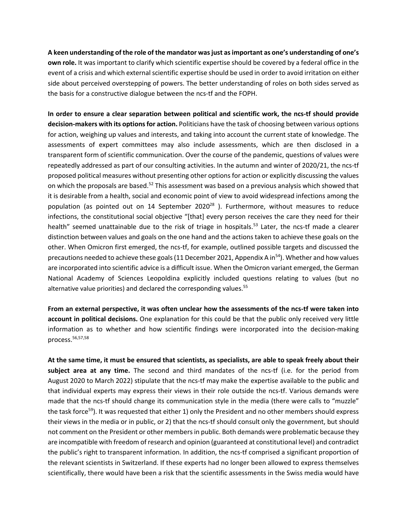**A keen understanding of the role of the mandator was just as important as one's understanding of one's own role.** It was important to clarify which scientific expertise should be covered by a federal office in the event of a crisis and which external scientific expertise should be used in order to avoid irritation on either side about perceived overstepping of powers. The better understanding of roles on both sides served as the basis for a constructive dialogue between the ncs-tf and the FOPH.

**In order to ensure a clear separation between political and scientific work, the ncs-tf should provide decision-makers with its options for action.** Politicians have the task of choosing between various options for action, weighing up values and interests, and taking into account the current state of knowledge. The assessments of expert committees may also include assessments, which are then disclosed in a transparent form of scientific communication. Over the course of the pandemic, questions of values were repeatedly addressed as part of our consulting activities. In the autumn and winter of 2020/21, the ncs-tf proposed political measures without presenting other options for action or explicitly discussing the values on which the proposals are based.<sup>52</sup> This assessment was based on a previous analysis which showed that it is desirable from a health, social and economic point of view to avoid widespread infections among the population (as pointed out on 14 September 2020 $^{28}$  ). Furthermore, without measures to reduce infections, the constitutional social objective "[that] every person receives the care they need for their health" seemed unattainable due to the risk of triage in hospitals.<sup>53</sup> Later, the ncs-tf made a clearer distinction between values and goals on the one hand and the actions taken to achieve these goals on the other. When Omicron first emerged, the ncs-tf, for example, outlined possible targets and discussed the precautions needed to achieve these goals (11 December 2021, Appendix A in<sup>54</sup>). Whether and how values are incorporated into scientific advice is a difficult issue. When the Omicron variant emerged, the German National Academy of Sciences Leopoldina explicitly included questions relating to values (but no alternative value priorities) and declared the corresponding values.<sup>55</sup>

**From an external perspective, it was often unclear how the assessments of the ncs-tf were taken into account in political decisions.** One explanation for this could be that the public only received very little information as to whether and how scientific findings were incorporated into the decision-making process.56,57,58

**At the same time, it must be ensured that scientists, as specialists, are able to speak freely about their subject area at any time.** The second and third mandates of the ncs-tf (i.e. for the period from August 2020 to March 2022) stipulate that the ncs-tf may make the expertise available to the public and that individual experts may express their views in their role outside the ncs-tf. Various demands were made that the ncs-tf should change its communication style in the media (there were calls to "muzzle" the task force<sup>59</sup>). It was requested that either 1) only the President and no other members should express their views in the media or in public, or 2) that the ncs-tf should consult only the government, but should not comment on the President or other members in public. Both demands were problematic because they are incompatible with freedom of research and opinion (guaranteed at constitutional level) and contradict the public's right to transparent information. In addition, the ncs-tf comprised a significant proportion of the relevant scientists in Switzerland. If these experts had no longer been allowed to express themselves scientifically, there would have been a risk that the scientific assessments in the Swiss media would have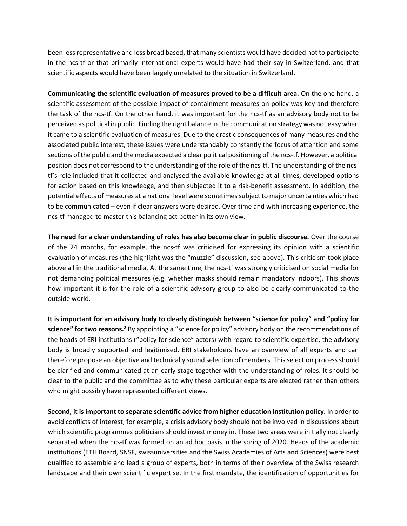been less representative and less broad based, that many scientists would have decided not to participate in the ncs-tf or that primarily international experts would have had their say in Switzerland, and that scientific aspects would have been largely unrelated to the situation in Switzerland.

**Communicating the scientific evaluation of measures proved to be a difficult area.** On the one hand, a scientific assessment of the possible impact of containment measures on policy was key and therefore the task of the ncs-tf. On the other hand, it was important for the ncs-tf as an advisory body not to be perceived as political in public. Finding the right balance in the communication strategy was not easy when it came to a scientific evaluation of measures. Due to the drastic consequences of many measures and the associated public interest, these issues were understandably constantly the focus of attention and some sections of the public and the media expected a clear political positioning of the ncs-tf. However, a political position does not correspond to the understanding of the role of the ncs-tf. The understanding of the ncstf's role included that it collected and analysed the available knowledge at all times, developed options for action based on this knowledge, and then subjected it to a risk-benefit assessment. In addition, the potential effects of measures at a national level were sometimes subject to major uncertainties which had to be communicated – even if clear answers were desired. Over time and with increasing experience, the ncs-tf managed to master this balancing act better in its own view.

**The need for a clear understanding of roles has also become clear in public discourse.** Over the course of the 24 months, for example, the ncs-tf was criticised for expressing its opinion with a scientific evaluation of measures (the highlight was the "muzzle" discussion, see above). This criticism took place above all in the traditional media. At the same time, the ncs-tf was strongly criticised on social media for not demanding political measures (e.g. whether masks should remain mandatory indoors). This shows how important it is for the role of a scientific advisory group to also be clearly communicated to the outside world.

**It is important for an advisory body to clearly distinguish between "science for policy" and "policy for science" for two reasons.2** By appointing a "science for policy" advisory body on the recommendations of the heads of ERI institutions ("policy for science" actors) with regard to scientific expertise, the advisory body is broadly supported and legitimised. ERI stakeholders have an overview of all experts and can therefore propose an objective and technically sound selection of members. This selection process should be clarified and communicated at an early stage together with the understanding of roles. It should be clear to the public and the committee as to why these particular experts are elected rather than others who might possibly have represented different views.

**Second, it is important to separate scientific advice from higher education institution policy.** In order to avoid conflicts of interest, for example, a crisis advisory body should not be involved in discussions about which scientific programmes politicians should invest money in. These two areas were initially not clearly separated when the ncs-tf was formed on an ad hoc basis in the spring of 2020. Heads of the academic institutions (ETH Board, SNSF, swissuniversities and the Swiss Academies of Arts and Sciences) were best qualified to assemble and lead a group of experts, both in terms of their overview of the Swiss research landscape and their own scientific expertise. In the first mandate, the identification of opportunities for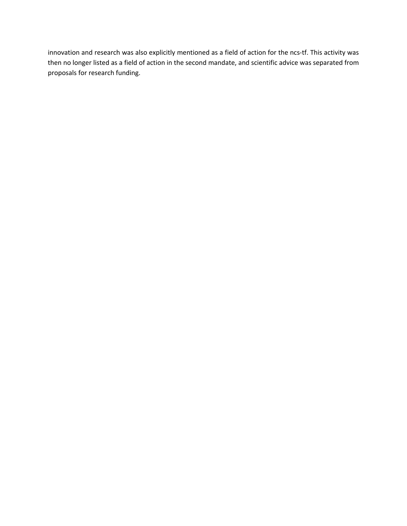innovation and research was also explicitly mentioned as a field of action for the ncs-tf. This activity was then no longer listed as a field of action in the second mandate, and scientific advice was separated from proposals for research funding.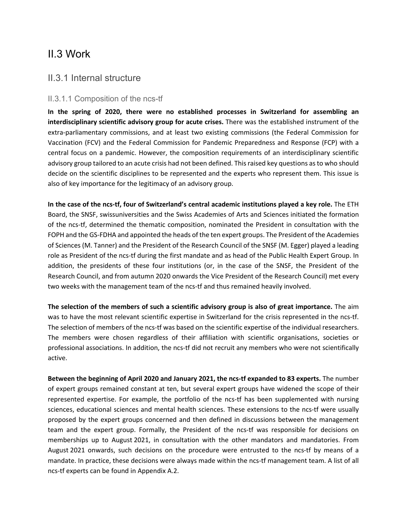## II.3 Work

#### II.3.1 Internal structure

#### II.3.1.1 Composition of the ncs-tf

**In the spring of 2020, there were no established processes in Switzerland for assembling an interdisciplinary scientific advisory group for acute crises.** There was the established instrument of the extra-parliamentary commissions, and at least two existing commissions (the Federal Commission for Vaccination (FCV) and the Federal Commission for Pandemic Preparedness and Response (FCP) with a central focus on a pandemic. However, the composition requirements of an interdisciplinary scientific advisory group tailored to an acute crisis had not been defined. This raised key questions as to who should decide on the scientific disciplines to be represented and the experts who represent them. This issue is also of key importance for the legitimacy of an advisory group.

**In the case of the ncs-tf, four of Switzerland's central academic institutions played a key role.** The ETH Board, the SNSF, swissuniversities and the Swiss Academies of Arts and Sciences initiated the formation of the ncs-tf, determined the thematic composition, nominated the President in consultation with the FOPH and the GS-FDHA and appointed the heads of the ten expert groups. The President of the Academies of Sciences (M. Tanner) and the President of the Research Council of the SNSF (M. Egger) played a leading role as President of the ncs-tf during the first mandate and as head of the Public Health Expert Group. In addition, the presidents of these four institutions (or, in the case of the SNSF, the President of the Research Council, and from autumn 2020 onwards the Vice President of the Research Council) met every two weeks with the management team of the ncs-tf and thus remained heavily involved.

**The selection of the members of such a scientific advisory group is also of great importance.** The aim was to have the most relevant scientific expertise in Switzerland for the crisis represented in the ncs-tf. The selection of members of the ncs-tf was based on the scientific expertise of the individual researchers. The members were chosen regardless of their affiliation with scientific organisations, societies or professional associations. In addition, the ncs-tf did not recruit any members who were not scientifically active.

**Between the beginning of April 2020 and January 2021, the ncs-tf expanded to 83 experts.** The number of expert groups remained constant at ten, but several expert groups have widened the scope of their represented expertise. For example, the portfolio of the ncs-tf has been supplemented with nursing sciences, educational sciences and mental health sciences. These extensions to the ncs-tf were usually proposed by the expert groups concerned and then defined in discussions between the management team and the expert group. Formally, the President of the ncs-tf was responsible for decisions on memberships up to August 2021, in consultation with the other mandators and mandatories. From August 2021 onwards, such decisions on the procedure were entrusted to the ncs-tf by means of a mandate. In practice, these decisions were always made within the ncs-tf management team. A list of all ncs-tf experts can be found in Appendix A.2.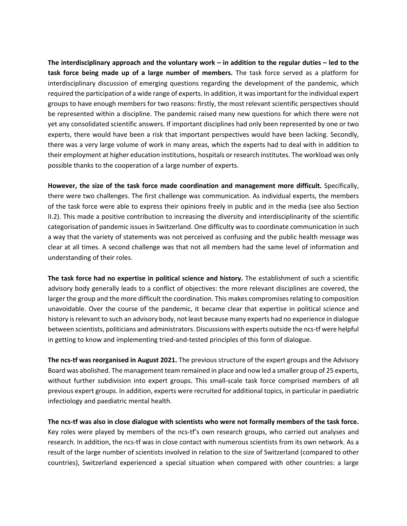**The interdisciplinary approach and the voluntary work – in addition to the regular duties – led to the task force being made up of a large number of members.** The task force served as a platform for interdisciplinary discussion of emerging questions regarding the development of the pandemic, which required the participation of a wide range of experts. In addition, it was important for the individual expert groups to have enough members for two reasons: firstly, the most relevant scientific perspectives should be represented within a discipline. The pandemic raised many new questions for which there were not yet any consolidated scientific answers. If important disciplines had only been represented by one or two experts, there would have been a risk that important perspectives would have been lacking. Secondly, there was a very large volume of work in many areas, which the experts had to deal with in addition to their employment at higher education institutions, hospitals or research institutes. The workload was only possible thanks to the cooperation of a large number of experts.

**However, the size of the task force made coordination and management more difficult.** Specifically, there were two challenges. The first challenge was communication. As individual experts, the members of the task force were able to express their opinions freely in public and in the media (see also Section II.2). This made a positive contribution to increasing the diversity and interdisciplinarity of the scientific categorisation of pandemic issues in Switzerland. One difficulty was to coordinate communication in such a way that the variety of statements was not perceived as confusing and the public health message was clear at all times. A second challenge was that not all members had the same level of information and understanding of their roles.

**The task force had no expertise in political science and history.** The establishment of such a scientific advisory body generally leads to a conflict of objectives: the more relevant disciplines are covered, the larger the group and the more difficult the coordination. This makes compromises relating to composition unavoidable. Over the course of the pandemic, it became clear that expertise in political science and history is relevant to such an advisory body, not least because many experts had no experience in dialogue between scientists, politicians and administrators. Discussions with experts outside the ncs-tf were helpful in getting to know and implementing tried-and-tested principles of this form of dialogue.

**The ncs-tf was reorganised in August 2021.** The previous structure of the expert groups and the Advisory Board was abolished. The management team remained in place and now led a smaller group of 25 experts, without further subdivision into expert groups. This small-scale task force comprised members of all previous expert groups. In addition, experts were recruited for additional topics, in particular in paediatric infectiology and paediatric mental health.

**The ncs-tf was also in close dialogue with scientists who were not formally members of the task force.**  Key roles were played by members of the ncs-tf's own research groups, who carried out analyses and research. In addition, the ncs-tf was in close contact with numerous scientists from its own network. As a result of the large number of scientists involved in relation to the size of Switzerland (compared to other countries), Switzerland experienced a special situation when compared with other countries: a large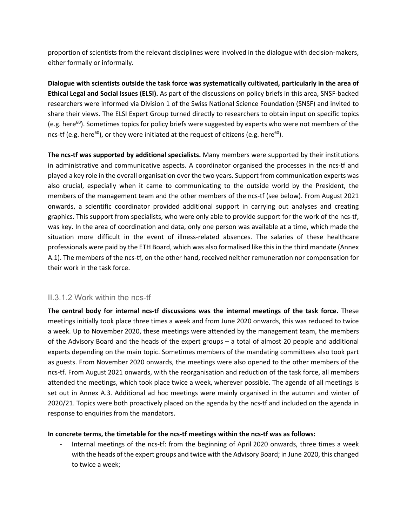proportion of scientists from the relevant disciplines were involved in the dialogue with decision-makers, either formally or informally.

**Dialogue with scientists outside the task force was systematically cultivated, particularly in the area of Ethical Legal and Social Issues (ELSI).** As part of the discussions on policy briefs in this area, SNSF-backed researchers were informed via Division 1 of the Swiss National Science Foundation (SNSF) and invited to share their views. The ELSI Expert Group turned directly to researchers to obtain input on specific topics (e.g. here<sup>60</sup>). Sometimes topics for policy briefs were suggested by experts who were not members of the ncs-tf (e.g. here<sup>60</sup>), or they were initiated at the request of citizens (e.g. here<sup>60</sup>).

**The ncs-tf was supported by additional specialists.** Many members were supported by their institutions in administrative and communicative aspects. A coordinator organised the processes in the ncs-tf and played a key role in the overall organisation over the two years. Support from communication experts was also crucial, especially when it came to communicating to the outside world by the President, the members of the management team and the other members of the ncs-tf (see below). From August 2021 onwards, a scientific coordinator provided additional support in carrying out analyses and creating graphics. This support from specialists, who were only able to provide support for the work of the ncs-tf, was key. In the area of coordination and data, only one person was available at a time, which made the situation more difficult in the event of illness-related absences. The salaries of these healthcare professionals were paid by the ETH Board, which was also formalised like this in the third mandate (Annex A.1). The members of the ncs-tf, on the other hand, received neither remuneration nor compensation for their work in the task force.

#### II.3.1.2 Work within the ncs-tf

**The central body for internal ncs-tf discussions was the internal meetings of the task force.** These meetings initially took place three times a week and from June 2020 onwards, this was reduced to twice a week. Up to November 2020, these meetings were attended by the management team, the members of the Advisory Board and the heads of the expert groups – a total of almost 20 people and additional experts depending on the main topic. Sometimes members of the mandating committees also took part as guests. From November 2020 onwards, the meetings were also opened to the other members of the ncs-tf. From August 2021 onwards, with the reorganisation and reduction of the task force, all members attended the meetings, which took place twice a week, wherever possible. The agenda of all meetings is set out in Annex A.3. Additional ad hoc meetings were mainly organised in the autumn and winter of 2020/21. Topics were both proactively placed on the agenda by the ncs-tf and included on the agenda in response to enquiries from the mandators.

#### **In concrete terms, the timetable for the ncs-tf meetings within the ncs-tf was as follows:**

Internal meetings of the ncs-tf: from the beginning of April 2020 onwards, three times a week with the heads of the expert groups and twice with the Advisory Board; in June 2020, this changed to twice a week;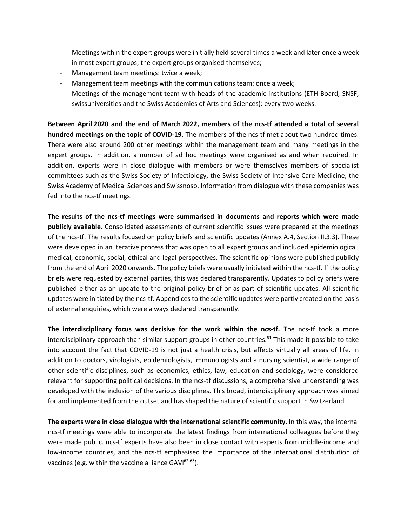- Meetings within the expert groups were initially held several times a week and later once a week in most expert groups; the expert groups organised themselves;
- Management team meetings: twice a week;
- Management team meetings with the communications team: once a week;
- Meetings of the management team with heads of the academic institutions (ETH Board, SNSF, swissuniversities and the Swiss Academies of Arts and Sciences): every two weeks.

**Between April 2020 and the end of March 2022, members of the ncs-tf attended a total of several hundred meetings on the topic of COVID-19.** The members of the ncs-tf met about two hundred times. There were also around 200 other meetings within the management team and many meetings in the expert groups. In addition, a number of ad hoc meetings were organised as and when required. In addition, experts were in close dialogue with members or were themselves members of specialist committees such as the Swiss Society of Infectiology, the Swiss Society of Intensive Care Medicine, the Swiss Academy of Medical Sciences and Swissnoso. Information from dialogue with these companies was fed into the ncs-tf meetings.

**The results of the ncs-tf meetings were summarised in documents and reports which were made publicly available.** Consolidated assessments of current scientific issues were prepared at the meetings of the ncs-tf. The results focused on policy briefs and scientific updates (Annex A.4, Section II.3.3). These were developed in an iterative process that was open to all expert groups and included epidemiological, medical, economic, social, ethical and legal perspectives. The scientific opinions were published publicly from the end of April 2020 onwards. The policy briefs were usually initiated within the ncs-tf. If the policy briefs were requested by external parties, this was declared transparently. Updates to policy briefs were published either as an update to the original policy brief or as part of scientific updates. All scientific updates were initiated by the ncs-tf. Appendices to the scientific updates were partly created on the basis of external enquiries, which were always declared transparently.

**The interdisciplinary focus was decisive for the work within the ncs-tf.** The ncs-tf took a more interdisciplinary approach than similar support groups in other countries.<sup>61</sup> This made it possible to take into account the fact that COVID-19 is not just a health crisis, but affects virtually all areas of life. In addition to doctors, virologists, epidemiologists, immunologists and a nursing scientist, a wide range of other scientific disciplines, such as economics, ethics, law, education and sociology, were considered relevant for supporting political decisions. In the ncs-tf discussions, a comprehensive understanding was developed with the inclusion of the various disciplines. This broad, interdisciplinary approach was aimed for and implemented from the outset and has shaped the nature of scientific support in Switzerland.

**The experts were in close dialogue with the international scientific community.** In this way, the internal ncs-tf meetings were able to incorporate the latest findings from international colleagues before they were made public. ncs-tf experts have also been in close contact with experts from middle-income and low-income countries, and the ncs-tf emphasised the importance of the international distribution of vaccines (e.g. within the vaccine alliance  $GAVI^{62,63}$ ).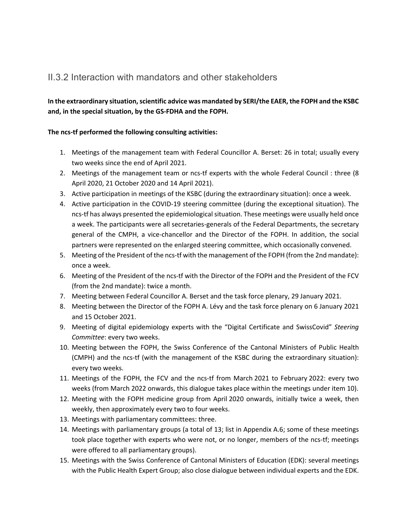## II.3.2 Interaction with mandators and other stakeholders

#### **In the extraordinary situation, scientific advice was mandated by SERI/the EAER, the FOPH and the KSBC and, in the special situation, by the GS-FDHA and the FOPH.**

#### **The ncs-tf performed the following consulting activities:**

- 1. Meetings of the management team with Federal Councillor A. Berset: 26 in total; usually every two weeks since the end of April 2021.
- 2. Meetings of the management team or ncs-tf experts with the whole Federal Council : three (8 April 2020, 21 October 2020 and 14 April 2021).
- 3. Active participation in meetings of the KSBC (during the extraordinary situation): once a week.
- 4. Active participation in the COVID-19 steering committee (during the exceptional situation). The ncs-tf has always presented the epidemiological situation. These meetings were usually held once a week. The participants were all secretaries-generals of the Federal Departments, the secretary general of the CMPH, a vice-chancellor and the Director of the FOPH. In addition, the social partners were represented on the enlarged steering committee, which occasionally convened.
- 5. Meeting of the President of the ncs-tf with the management of the FOPH (from the 2nd mandate): once a week.
- 6. Meeting of the President of the ncs-tf with the Director of the FOPH and the President of the FCV (from the 2nd mandate): twice a month.
- 7. Meeting between Federal Councillor A. Berset and the task force plenary, 29 January 2021.
- 8. Meeting between the Director of the FOPH A. Lévy and the task force plenary on 6 January 2021 and 15 October 2021.
- 9. Meeting of digital epidemiology experts with the "Digital Certificate and SwissCovid" *Steering Committee*: every two weeks.
- 10. Meeting between the FOPH, the Swiss Conference of the Cantonal Ministers of Public Health (CMPH) and the ncs-tf (with the management of the KSBC during the extraordinary situation): every two weeks.
- 11. Meetings of the FOPH, the FCV and the ncs-tf from March 2021 to February 2022: every two weeks (from March 2022 onwards, this dialogue takes place within the meetings under item 10).
- 12. Meeting with the FOPH medicine group from April 2020 onwards, initially twice a week, then weekly, then approximately every two to four weeks.
- 13. Meetings with parliamentary committees: three.
- 14. Meetings with parliamentary groups (a total of 13; list in Appendix A.6; some of these meetings took place together with experts who were not, or no longer, members of the ncs-tf; meetings were offered to all parliamentary groups).
- 15. Meetings with the Swiss Conference of Cantonal Ministers of Education (EDK): several meetings with the Public Health Expert Group; also close dialogue between individual experts and the EDK.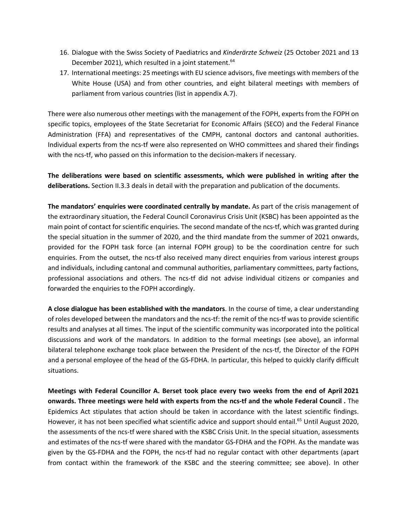- 16. Dialogue with the Swiss Society of Paediatrics and *Kinderärzte Schweiz* (25 October 2021 and 13 December 2021), which resulted in a joint statement.<sup>64</sup>
- 17. International meetings: 25 meetings with EU science advisors, five meetings with members of the White House (USA) and from other countries, and eight bilateral meetings with members of parliament from various countries (list in appendix A.7).

There were also numerous other meetings with the management of the FOPH, experts from the FOPH on specific topics, employees of the State Secretariat for Economic Affairs (SECO) and the Federal Finance Administration (FFA) and representatives of the CMPH, cantonal doctors and cantonal authorities. Individual experts from the ncs-tf were also represented on WHO committees and shared their findings with the ncs-tf, who passed on this information to the decision-makers if necessary.

**The deliberations were based on scientific assessments, which were published in writing after the deliberations.** Section II.3.3 deals in detail with the preparation and publication of the documents.

**The mandators' enquiries were coordinated centrally by mandate.** As part of the crisis management of the extraordinary situation, the Federal Council Coronavirus Crisis Unit (KSBC) has been appointed as the main point of contact for scientific enquiries. The second mandate of the ncs-tf, which was granted during the special situation in the summer of 2020, and the third mandate from the summer of 2021 onwards, provided for the FOPH task force (an internal FOPH group) to be the coordination centre for such enquiries. From the outset, the ncs-tf also received many direct enquiries from various interest groups and individuals, including cantonal and communal authorities, parliamentary committees, party factions, professional associations and others. The ncs-tf did not advise individual citizens or companies and forwarded the enquiries to the FOPH accordingly.

**A close dialogue has been established with the mandators**. In the course of time, a clear understanding of roles developed between the mandators and the ncs-tf: the remit of the ncs-tf was to provide scientific results and analyses at all times. The input of the scientific community was incorporated into the political discussions and work of the mandators. In addition to the formal meetings (see above), an informal bilateral telephone exchange took place between the President of the ncs-tf, the Director of the FOPH and a personal employee of the head of the GS-FDHA. In particular, this helped to quickly clarify difficult situations.

**Meetings with Federal Councillor A. Berset took place every two weeks from the end of April 2021 onwards. Three meetings were held with experts from the ncs-tf and the whole Federal Council .** The Epidemics Act stipulates that action should be taken in accordance with the latest scientific findings. However, it has not been specified what scientific advice and support should entail.<sup>65</sup> Until August 2020, the assessments of the ncs-tf were shared with the KSBC Crisis Unit. In the special situation, assessments and estimates of the ncs-tf were shared with the mandator GS-FDHA and the FOPH. As the mandate was given by the GS-FDHA and the FOPH, the ncs-tf had no regular contact with other departments (apart from contact within the framework of the KSBC and the steering committee; see above). In other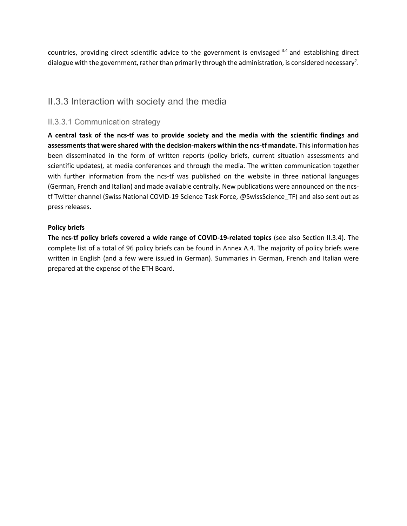countries, providing direct scientific advice to the government is envisaged 3.4 and establishing direct dialogue with the government, rather than primarily through the administration, is considered necessary<sup>2</sup>.

### II.3.3 Interaction with society and the media

#### II.3.3.1 Communication strategy

**A central task of the ncs-tf was to provide society and the media with the scientific findings and assessments that were shared with the decision-makers within the ncs-tf mandate.** This information has been disseminated in the form of written reports (policy briefs, current situation assessments and scientific updates), at media conferences and through the media. The written communication together with further information from the ncs-tf was published on the website in three national languages (German, French and Italian) and made available centrally. New publications were announced on the ncstf Twitter channel (Swiss National COVID-19 Science Task Force, @SwissScience\_TF) and also sent out as press releases.

#### **Policy briefs**

**The ncs-tf policy briefs covered a wide range of COVID-19-related topics** (see also Section II.3.4). The complete list of a total of 96 policy briefs can be found in Annex A.4. The majority of policy briefs were written in English (and a few were issued in German). Summaries in German, French and Italian were prepared at the expense of the ETH Board.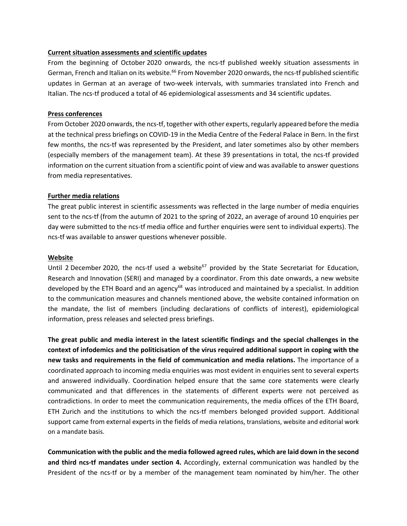#### **Current situation assessments and scientific updates**

From the beginning of October 2020 onwards, the ncs-tf published weekly situation assessments in German, French and Italian on its website.<sup>66</sup> From November 2020 onwards, the ncs-tf published scientific updates in German at an average of two-week intervals, with summaries translated into French and Italian. The ncs-tf produced a total of 46 epidemiological assessments and 34 scientific updates.

#### **Press conferences**

From October 2020 onwards, the ncs-tf, together with other experts, regularly appeared before the media at the technical press briefings on COVID-19 in the Media Centre of the Federal Palace in Bern. In the first few months, the ncs-tf was represented by the President, and later sometimes also by other members (especially members of the management team). At these 39 presentations in total, the ncs-tf provided information on the current situation from a scientific point of view and was available to answer questions from media representatives.

#### **Further media relations**

The great public interest in scientific assessments was reflected in the large number of media enquiries sent to the ncs-tf (from the autumn of 2021 to the spring of 2022, an average of around 10 enquiries per day were submitted to the ncs-tf media office and further enquiries were sent to individual experts). The ncs-tf was available to answer questions whenever possible.

#### **Website**

Until 2 December 2020, the ncs-tf used a website<sup>67</sup> provided by the State Secretariat for Education, Research and Innovation (SERI) and managed by a coordinator. From this date onwards, a new website developed by the ETH Board and an agency<sup>68</sup> was introduced and maintained by a specialist. In addition to the communication measures and channels mentioned above, the website contained information on the mandate, the list of members (including declarations of conflicts of interest), epidemiological information, press releases and selected press briefings.

**The great public and media interest in the latest scientific findings and the special challenges in the context of infodemics and the politicisation of the virus required additional support in coping with the new tasks and requirements in the field of communication and media relations.** The importance of a coordinated approach to incoming media enquiries was most evident in enquiries sent to several experts and answered individually. Coordination helped ensure that the same core statements were clearly communicated and that differences in the statements of different experts were not perceived as contradictions. In order to meet the communication requirements, the media offices of the ETH Board, ETH Zurich and the institutions to which the ncs-tf members belonged provided support. Additional support came from external experts in the fields of media relations, translations, website and editorial work on a mandate basis.

**Communication with the public and the media followed agreed rules, which are laid down in the second and third ncs-tf mandates under section 4.** Accordingly, external communication was handled by the President of the ncs-tf or by a member of the management team nominated by him/her. The other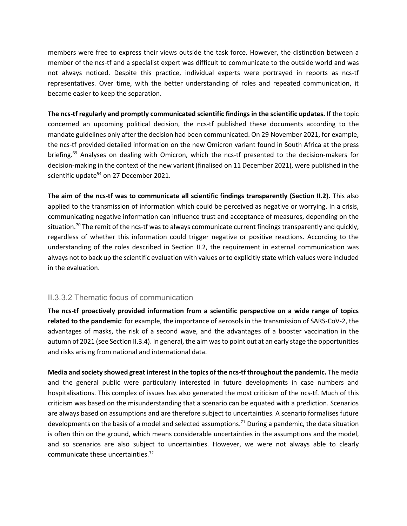members were free to express their views outside the task force. However, the distinction between a member of the ncs-tf and a specialist expert was difficult to communicate to the outside world and was not always noticed. Despite this practice, individual experts were portrayed in reports as ncs-tf representatives. Over time, with the better understanding of roles and repeated communication, it became easier to keep the separation.

**The ncs-tf regularly and promptly communicated scientific findings in the scientific updates.** If the topic concerned an upcoming political decision, the ncs-tf published these documents according to the mandate guidelines only after the decision had been communicated. On 29 November 2021, for example, the ncs-tf provided detailed information on the new Omicron variant found in South Africa at the press briefing.<sup>69</sup> Analyses on dealing with Omicron, which the ncs-tf presented to the decision-makers for decision-making in the context of the new variant (finalised on 11 December 2021), were published in the scientific update<sup>54</sup> on 27 December 2021.

**The aim of the ncs-tf was to communicate all scientific findings transparently (Section II.2).** This also applied to the transmission of information which could be perceived as negative or worrying. In a crisis, communicating negative information can influence trust and acceptance of measures, depending on the situation.<sup>70</sup> The remit of the ncs-tf was to always communicate current findings transparently and quickly, regardless of whether this information could trigger negative or positive reactions. According to the understanding of the roles described in Section II.2, the requirement in external communication was always not to back up the scientific evaluation with values or to explicitly state which values were included in the evaluation.

#### II.3.3.2 Thematic focus of communication

**The ncs-tf proactively provided information from a scientific perspective on a wide range of topics related to the pandemic**: for example, the importance of aerosols in the transmission of SARS-CoV-2, the advantages of masks, the risk of a second wave, and the advantages of a booster vaccination in the autumn of 2021 (see Section II.3.4). In general, the aim was to point out at an early stage the opportunities and risks arising from national and international data.

**Media and society showed great interest in the topics of the ncs-tf throughout the pandemic.** The media and the general public were particularly interested in future developments in case numbers and hospitalisations. This complex of issues has also generated the most criticism of the ncs-tf. Much of this criticism was based on the misunderstanding that a scenario can be equated with a prediction. Scenarios are always based on assumptions and are therefore subject to uncertainties. A scenario formalises future developments on the basis of a model and selected assumptions.<sup>71</sup> During a pandemic, the data situation is often thin on the ground, which means considerable uncertainties in the assumptions and the model, and so scenarios are also subject to uncertainties. However, we were not always able to clearly communicate these uncertainties.72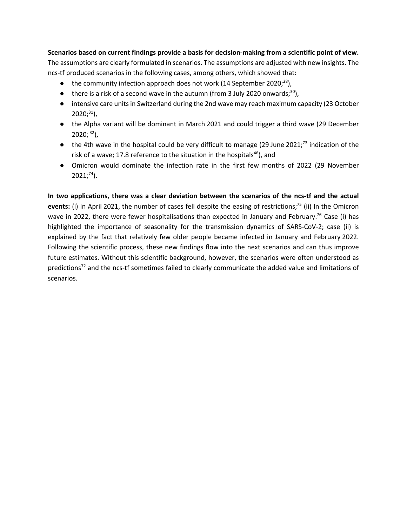**Scenarios based on current findings provide a basis for decision-making from a scientific point of view.**

The assumptions are clearly formulated in scenarios. The assumptions are adjusted with new insights. The ncs-tf produced scenarios in the following cases, among others, which showed that:

- $\bullet$  the community infection approach does not work (14 September 2020;<sup>28</sup>),
- $\bullet$  there is a risk of a second wave in the autumn (from 3 July 2020 onwards;<sup>30</sup>),
- intensive care units in Switzerland during the 2nd wave may reach maximum capacity (23 October  $2020;^{31}$ ),
- the Alpha variant will be dominant in March 2021 and could trigger a third wave (29 December  $2020;$ <sup>32</sup>),
- $\bullet$  the 4th wave in the hospital could be very difficult to manage (29 June 2021;<sup>73</sup> indication of the risk of a wave; 17.8 reference to the situation in the hospitals<sup>46</sup>), and
- Omicron would dominate the infection rate in the first few months of 2022 (29 November  $2021;^{74}$ ).

**In two applications, there was a clear deviation between the scenarios of the ncs-tf and the actual**  events: (i) In April 2021, the number of cases fell despite the easing of restrictions;<sup>75</sup> (ii) In the Omicron wave in 2022, there were fewer hospitalisations than expected in January and February.<sup>76</sup> Case (i) has highlighted the importance of seasonality for the transmission dynamics of SARS-CoV-2; case (ii) is explained by the fact that relatively few older people became infected in January and February 2022. Following the scientific process, these new findings flow into the next scenarios and can thus improve future estimates. Without this scientific background, however, the scenarios were often understood as predictions<sup>72</sup> and the ncs-tf sometimes failed to clearly communicate the added value and limitations of scenarios.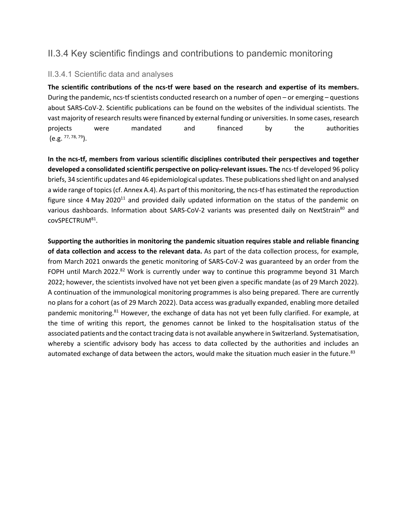## II.3.4 Key scientific findings and contributions to pandemic monitoring

#### II.3.4.1 Scientific data and analyses

**The scientific contributions of the ncs-tf were based on the research and expertise of its members.**  During the pandemic, ncs-tf scientists conducted research on a number of open – or emerging – questions about SARS-CoV-2. Scientific publications can be found on the websites of the individual scientists. The vast majority of research results were financed by external funding or universities. In some cases, research projects were mandated and financed by the authorities  $(e.g. <sup>77, 78, 79</sup>).$ 

**In the ncs-tf, members from various scientific disciplines contributed their perspectives and together developed a consolidated scientific perspective on policy-relevant issues. The** ncs-tf developed 96 policy briefs, 34 scientific updates and 46 epidemiological updates. These publications shed light on and analysed a wide range of topics (cf. Annex A.4). As part of this monitoring, the ncs-tf has estimated the reproduction figure since 4 May 2020<sup>11</sup> and provided daily updated information on the status of the pandemic on various dashboards. Information about SARS-CoV-2 variants was presented daily on NextStrain<sup>80</sup> and covSPECTRUM81.

**Supporting the authorities in monitoring the pandemic situation requires stable and reliable financing of data collection and access to the relevant data.** As part of the data collection process, for example, from March 2021 onwards the genetic monitoring of SARS-CoV-2 was guaranteed by an order from the FOPH until March 2022.<sup>82</sup> Work is currently under way to continue this programme beyond 31 March 2022; however, the scientists involved have not yet been given a specific mandate (as of 29 March 2022). A continuation of the immunological monitoring programmes is also being prepared. There are currently no plans for a cohort (as of 29 March 2022). Data access was gradually expanded, enabling more detailed pandemic monitoring.<sup>81</sup> However, the exchange of data has not yet been fully clarified. For example, at the time of writing this report, the genomes cannot be linked to the hospitalisation status of the associated patients and the contact tracing data is not available anywhere in Switzerland. Systematisation, whereby a scientific advisory body has access to data collected by the authorities and includes an automated exchange of data between the actors, would make the situation much easier in the future.<sup>83</sup>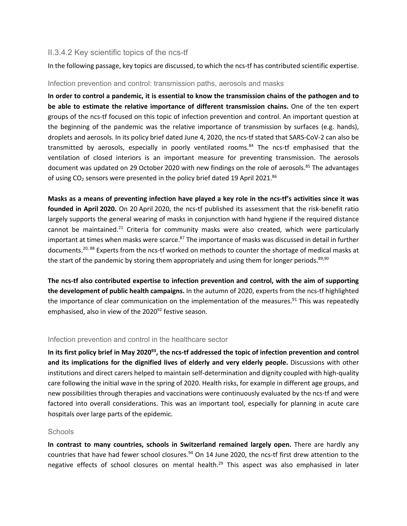#### II.3.4.2 Key scientific topics of the ncs-tf

In the following passage, key topics are discussed, to which the ncs-tf has contributed scientific expertise.

Infection prevention and control: transmission paths, aerosols and masks

**In order to control a pandemic, it is essential to know the transmission chains of the pathogen and to be able to estimate the relative importance of different transmission chains.** One of the ten expert groups of the ncs-tf focused on this topic of infection prevention and control. An important question at the beginning of the pandemic was the relative importance of transmission by surfaces (e.g. hands), droplets and aerosols. In its policy brief dated June 4, 2020, the ncs-tf stated that SARS-CoV-2 can also be transmitted by aerosols, especially in poorly ventilated rooms.<sup>84</sup> The ncs-tf emphasised that the ventilation of closed interiors is an important measure for preventing transmission. The aerosols document was updated on 29 October 2020 with new findings on the role of aerosols.<sup>85</sup> The advantages of using  $CO<sub>2</sub>$  sensors were presented in the policy brief dated 19 April 2021.<sup>86</sup>

**Masks as a means of preventing infection have played a key role in the ncs-tf's activities since it was founded in April 2020.** On 20 April 2020, the ncs-tf published its assessment that the risk-benefit ratio largely supports the general wearing of masks in conjunction with hand hygiene if the required distance cannot be maintained.<sup>21</sup> Criteria for community masks were also created, which were particularly important at times when masks were scarce.<sup>87</sup> The importance of masks was discussed in detail in further documents.<sup>20, 88</sup> Experts from the ncs-tf worked on methods to counter the shortage of medical masks at the start of the pandemic by storing them appropriately and using them for longer periods. $89,90$ 

**The ncs-tf also contributed expertise to infection prevention and control, with the aim of supporting the development of public health campaigns.** In the autumn of 2020, experts from the ncs-tf highlighted the importance of clear communication on the implementation of the measures.<sup>91</sup> This was repeatedly emphasised, also in view of the 2020<sup>92</sup> festive season.

#### Infection prevention and control in the healthcare sector

**In its first policy brief in May 202093, the ncs-tf addressed the topic of infection prevention and control and its implications for the dignified lives of elderly and very elderly people.** Discussions with other institutions and direct carers helped to maintain self-determination and dignity coupled with high-quality care following the initial wave in the spring of 2020. Health risks, for example in different age groups, and new possibilities through therapies and vaccinations were continuously evaluated by the ncs-tf and were factored into overall considerations. This was an important tool, especially for planning in acute care hospitals over large parts of the epidemic.

#### **Schools**

**In contrast to many countries, schools in Switzerland remained largely open.** There are hardly any countries that have had fewer school closures.<sup>94</sup> On 14 June 2020, the ncs-tf first drew attention to the negative effects of school closures on mental health.<sup>29</sup> This aspect was also emphasised in later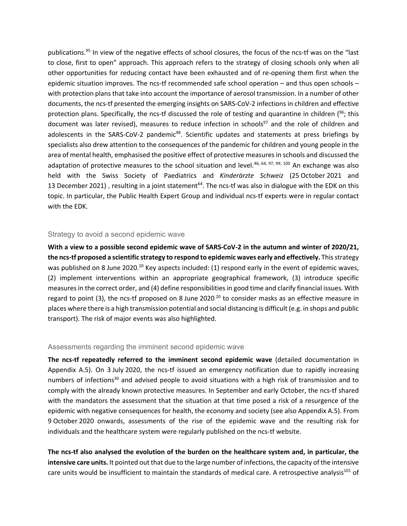publications.<sup>95</sup> In view of the negative effects of school closures, the focus of the ncs-tf was on the "last to close, first to open" approach. This approach refers to the strategy of closing schools only when all other opportunities for reducing contact have been exhausted and of re-opening them first when the epidemic situation improves. The ncs-tf recommended safe school operation – and thus open schools – with protection plans that take into account the importance of aerosol transmission. In a number of other documents, the ncs-tf presented the emerging insights on SARS-CoV-2 infections in children and effective protection plans. Specifically, the ncs-tf discussed the role of testing and quarantine in children  $(96)$ ; this document was later revised), measures to reduce infection in schools<sup>97</sup> and the role of children and adolescents in the SARS-CoV-2 pandemic<sup>98</sup>. Scientific updates and statements at press briefings by specialists also drew attention to the consequences of the pandemic for children and young people in the area of mental health, emphasised the positive effect of protective measures in schools and discussed the adaptation of protective measures to the school situation and level.<sup>46, 64, 97, 99, 100</sup> An exchange was also held with the Swiss Society of Paediatrics and *Kinderärzte Schweiz* (25 October 2021 and 13 December 2021), resulting in a joint statement $^{64}$ . The ncs-tf was also in dialogue with the EDK on this topic. In particular, the Public Health Expert Group and individual ncs-tf experts were in regular contact with the EDK.

#### Strategy to avoid a second epidemic wave

**With a view to a possible second epidemic wave of SARS-CoV-2 in the autumn and winter of 2020/21, the ncs-tf proposed a scientific strategy to respond to epidemic waves early and effectively.** This strategy was published on 8 June 2020.<sup>20</sup> Key aspects included: (1) respond early in the event of epidemic waves, (2) implement interventions within an appropriate geographical framework, (3) introduce specific measures in the correct order, and (4) define responsibilities in good time and clarify financial issues. With regard to point (3), the ncs-tf proposed on 8 June 2020<sup>20</sup> to consider masks as an effective measure in places where there is a high transmission potential and social distancing is difficult (e.g. in shops and public transport). The risk of major events was also highlighted.

#### Assessments regarding the imminent second epidemic wave

**The ncs-tf repeatedly referred to the imminent second epidemic wave** (detailed documentation in Appendix A.5). On 3 July 2020, the ncs-tf issued an emergency notification due to rapidly increasing numbers of infections<sup>30</sup> and advised people to avoid situations with a high risk of transmission and to comply with the already known protective measures. In September and early October, the ncs-tf shared with the mandators the assessment that the situation at that time posed a risk of a resurgence of the epidemic with negative consequences for health, the economy and society (see also Appendix A.5). From 9 October 2020 onwards, assessments of the rise of the epidemic wave and the resulting risk for individuals and the healthcare system were regularly published on the ncs-tf website.

**The ncs-tf also analysed the evolution of the burden on the healthcare system and, in particular, the intensive care units.** It pointed out that due to the large number of infections, the capacity of the intensive care units would be insufficient to maintain the standards of medical care. A retrospective analysis<sup>101</sup> of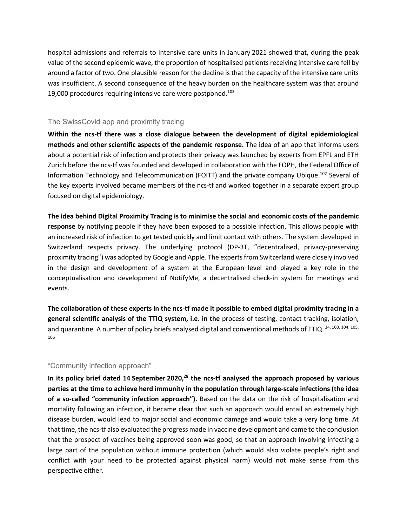hospital admissions and referrals to intensive care units in January 2021 showed that, during the peak value of the second epidemic wave, the proportion of hospitalised patients receiving intensive care fell by around a factor of two. One plausible reason for the decline is that the capacity of the intensive care units was insufficient. A second consequence of the heavy burden on the healthcare system was that around 19,000 procedures requiring intensive care were postponed. $103$ 

#### The SwissCovid app and proximity tracing

**Within the ncs-tf there was a close dialogue between the development of digital epidemiological methods and other scientific aspects of the pandemic response.** The idea of an app that informs users about a potential risk of infection and protects their privacy was launched by experts from EPFL and ETH Zurich before the ncs-tf was founded and developed in collaboration with the FOPH, the Federal Office of Information Technology and Telecommunication (FOITT) and the private company Ubique.102 Several of the key experts involved became members of the ncs-tf and worked together in a separate expert group focused on digital epidemiology.

#### **The idea behind Digital Proximity Tracing is to minimise the social and economic costs of the pandemic**

**response** by notifying people if they have been exposed to a possible infection. This allows people with an increased risk of infection to get tested quickly and limit contact with others. The system developed in Switzerland respects privacy. The underlying protocol (DP-3T, "decentralised, privacy-preserving proximity tracing") was adopted by Google and Apple. The experts from Switzerland were closely involved in the design and development of a system at the European level and played a key role in the conceptualisation and development of NotifyMe, a decentralised check-in system for meetings and events.

**The collaboration of these experts in the ncs-tf made it possible to embed digital proximity tracing in a general scientific analysis of the TTIQ system, i.e. in the** process of testing, contact tracking, isolation, and quarantine. A number of policy briefs analysed digital and conventional methods of TTIQ. 34, 103, 104, 105, 106

#### "Community infection approach"

**In its policy brief dated 14 September 2020, <sup>28</sup> the ncs-tf analysed the approach proposed by various parties at the time to achieve herd immunity in the population through large-scale infections (the idea of a so-called "community infection approach").** Based on the data on the risk of hospitalisation and mortality following an infection, it became clear that such an approach would entail an extremely high disease burden, would lead to major social and economic damage and would take a very long time. At that time, the ncs-tf also evaluated the progress made in vaccine development and came to the conclusion that the prospect of vaccines being approved soon was good, so that an approach involving infecting a large part of the population without immune protection (which would also violate people's right and conflict with your need to be protected against physical harm) would not make sense from this perspective either.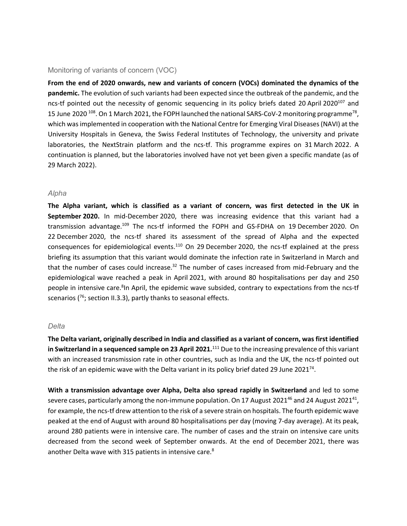#### Monitoring of variants of concern (VOC)

**From the end of 2020 onwards, new and variants of concern (VOCs) dominated the dynamics of the pandemic.** The evolution of such variants had been expected since the outbreak of the pandemic, and the ncs-tf pointed out the necessity of genomic sequencing in its policy briefs dated 20 April 2020<sup>107</sup> and 15 June 2020 <sup>108</sup>. On 1 March 2021, the FOPH launched the national SARS-CoV-2 monitoring programme<sup>78</sup>, which was implemented in cooperation with the National Centre for Emerging Viral Diseases (NAVI) at the University Hospitals in Geneva, the Swiss Federal Institutes of Technology, the university and private laboratories, the NextStrain platform and the ncs-tf. This programme expires on 31 March 2022. A continuation is planned, but the laboratories involved have not yet been given a specific mandate (as of 29 March 2022).

#### *Alpha*

**The Alpha variant, which is classified as a variant of concern, was first detected in the UK in September 2020.** In mid-December 2020, there was increasing evidence that this variant had a transmission advantage.<sup>109</sup> The ncs-tf informed the FOPH and GS-FDHA on 19 December 2020. On 22 December 2020, the ncs-tf shared its assessment of the spread of Alpha and the expected consequences for epidemiological events.110 On 29 December 2020, the ncs-tf explained at the press briefing its assumption that this variant would dominate the infection rate in Switzerland in March and that the number of cases could increase.<sup>32</sup> The number of cases increased from mid-February and the epidemiological wave reached a peak in April 2021, with around 80 hospitalisations per day and 250 people in intensive care.<sup>8</sup> In April, the epidemic wave subsided, contrary to expectations from the ncs-tf scenarios  $(76;$  section II.3.3), partly thanks to seasonal effects.

#### *Delta*

**The Delta variant, originally described in India and classified as a variant of concern, was first identified in Switzerland in a sequenced sample on 23 April 2021.**<sup>111</sup> Due to the increasing prevalence of this variant with an increased transmission rate in other countries, such as India and the UK, the ncs-tf pointed out the risk of an epidemic wave with the Delta variant in its policy brief dated 29 June 2021<sup>74</sup>.

**With a transmission advantage over Alpha, Delta also spread rapidly in Switzerland** and led to some severe cases, particularly among the non-immune population. On 17 August 2021 $^{46}$  and 24 August 2021 $^{41}$ , for example, the ncs-tf drew attention to the risk of a severe strain on hospitals. The fourth epidemic wave peaked at the end of August with around 80 hospitalisations per day (moving 7-day average). At its peak, around 280 patients were in intensive care. The number of cases and the strain on intensive care units decreased from the second week of September onwards. At the end of December 2021, there was another Delta wave with 315 patients in intensive care.<sup>8</sup>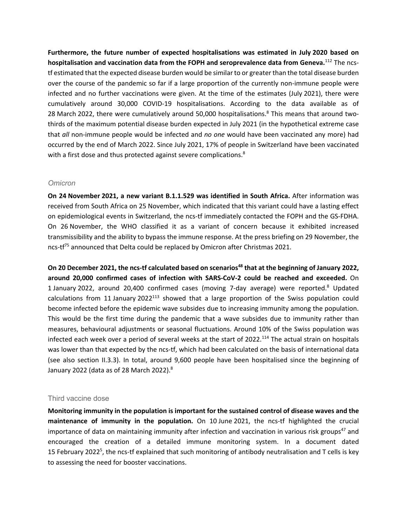**Furthermore, the future number of expected hospitalisations was estimated in July 2020 based on hospitalisation and vaccination data from the FOPH and seroprevalence data from Geneva.**<sup>112</sup> The ncstf estimated that the expected disease burden would be similar to or greater than the total disease burden over the course of the pandemic so far if a large proportion of the currently non-immune people were infected and no further vaccinations were given. At the time of the estimates (July 2021), there were cumulatively around 30,000 COVID-19 hospitalisations. According to the data available as of 28 March 2022, there were cumulatively around 50,000 hospitalisations.<sup>8</sup> This means that around twothirds of the maximum potential disease burden expected in July 2021 (in the hypothetical extreme case that *all* non-immune people would be infected and *no one* would have been vaccinated any more) had occurred by the end of March 2022. Since July 2021, 17% of people in Switzerland have been vaccinated with a first dose and thus protected against severe complications.<sup>8</sup>

#### *Omicron*

**On 24 November 2021, a new variant B.1.1.529 was identified in South Africa.** After information was received from South Africa on 25 November, which indicated that this variant could have a lasting effect on epidemiological events in Switzerland, the ncs-tf immediately contacted the FOPH and the GS-FDHA. On 26 November, the WHO classified it as a variant of concern because it exhibited increased transmissibility and the ability to bypass the immune response. At the press briefing on 29 November, the ncs-tf<sup>75</sup> announced that Delta could be replaced by Omicron after Christmas 2021.

**On 20 December 2021, the ncs-tf calculated based on scenarios<sup>48</sup> that at the beginning of January 2022, around 20,000 confirmed cases of infection with SARS-CoV-2 could be reached and exceeded.** On 1 January 2022, around 20,400 confirmed cases (moving 7-day average) were reported.<sup>8</sup> Updated calculations from 11 January 2022<sup>113</sup> showed that a large proportion of the Swiss population could become infected before the epidemic wave subsides due to increasing immunity among the population. This would be the first time during the pandemic that a wave subsides due to immunity rather than measures, behavioural adjustments or seasonal fluctuations. Around 10% of the Swiss population was infected each week over a period of several weeks at the start of 2022.<sup>114</sup> The actual strain on hospitals was lower than that expected by the ncs-tf, which had been calculated on the basis of international data (see also section II.3.3). In total, around 9,600 people have been hospitalised since the beginning of January 2022 (data as of 28 March 2022).<sup>8</sup>

#### Third vaccine dose

**Monitoring immunity in the population is important for the sustained control of disease waves and the maintenance of immunity in the population.** On 10 June 2021, the ncs-tf highlighted the crucial importance of data on maintaining immunity after infection and vaccination in various risk groups<sup>47</sup> and encouraged the creation of a detailed immune monitoring system. In a document dated 15 February 2022<sup>5</sup>, the ncs-tf explained that such monitoring of antibody neutralisation and T cells is key to assessing the need for booster vaccinations.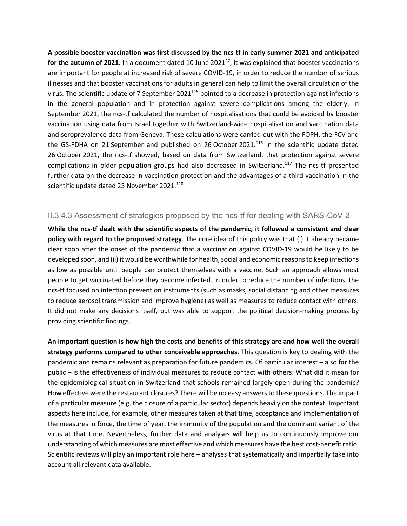**A possible booster vaccination was first discussed by the ncs-tf in early summer 2021 and anticipated**  for the autumn of 2021. In a document dated 10 June 2021<sup>47</sup>, it was explained that booster vaccinations are important for people at increased risk of severe COVID-19, in order to reduce the number of serious illnesses and that booster vaccinations for adults in general can help to limit the overall circulation of the virus. The scientific update of 7 September 2021<sup>115</sup> pointed to a decrease in protection against infections in the general population and in protection against severe complications among the elderly. In September 2021, the ncs-tf calculated the number of hospitalisations that could be avoided by booster vaccination using data from Israel together with Switzerland-wide hospitalisation and vaccination data and seroprevalence data from Geneva. These calculations were carried out with the FOPH, the FCV and the GS-FDHA on 21 September and published on 26 October 2021.<sup>116</sup> In the scientific update dated 26 October 2021, the ncs-tf showed, based on data from Switzerland, that protection against severe complications in older population groups had also decreased in Switzerland.<sup>117</sup> The ncs-tf presented further data on the decrease in vaccination protection and the advantages of a third vaccination in the scientific update dated 23 November 2021.<sup>118</sup>

## II.3.4.3 Assessment of strategies proposed by the ncs-tf for dealing with SARS-CoV-2

**While the ncs-tf dealt with the scientific aspects of the pandemic, it followed a consistent and clear policy with regard to the proposed strategy**. The core idea of this policy was that (i) it already became clear soon after the onset of the pandemic that a vaccination against COVID-19 would be likely to be developed soon, and (ii) it would be worthwhile for health, social and economic reasons to keep infections as low as possible until people can protect themselves with a vaccine. Such an approach allows most people to get vaccinated before they become infected. In order to reduce the number of infections, the ncs-tf focused on infection prevention instruments (such as masks, social distancing and other measures to reduce aerosol transmission and improve hygiene) as well as measures to reduce contact with others. It did not make any decisions itself, but was able to support the political decision-making process by providing scientific findings.

**An important question is how high the costs and benefits of this strategy are and how well the overall strategy performs compared to other conceivable approaches.** This question is key to dealing with the pandemic and remains relevant as preparation for future pandemics. Of particular interest – also for the public – is the effectiveness of individual measures to reduce contact with others: What did it mean for the epidemiological situation in Switzerland that schools remained largely open during the pandemic? How effective were the restaurant closures? There will be no easy answers to these questions. The impact of a particular measure (e.g. the closure of a particular sector) depends heavily on the context. Important aspects here include, for example, other measures taken at that time, acceptance and implementation of the measures in force, the time of year, the immunity of the population and the dominant variant of the virus at that time. Nevertheless, further data and analyses will help us to continuously improve our understanding of which measures are most effective and which measures have the best cost-benefit ratio. Scientific reviews will play an important role here – analyses that systematically and impartially take into account all relevant data available.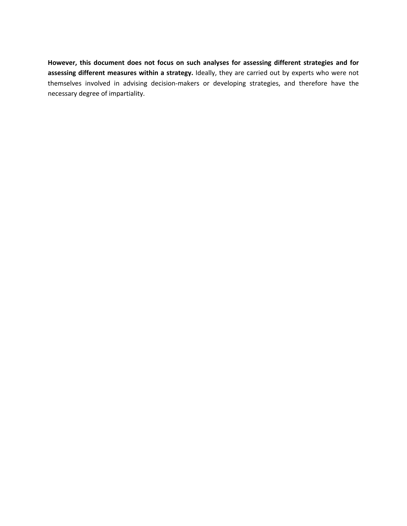**However, this document does not focus on such analyses for assessing different strategies and for assessing different measures within a strategy.** Ideally, they are carried out by experts who were not themselves involved in advising decision-makers or developing strategies, and therefore have the necessary degree of impartiality.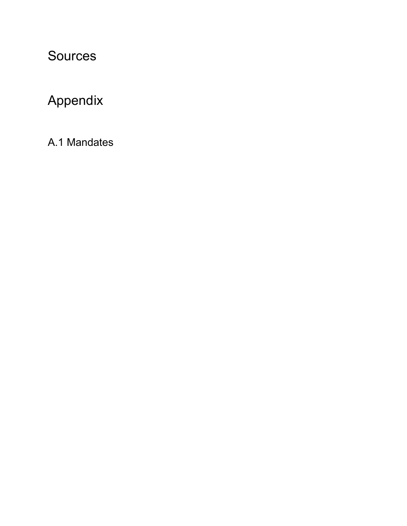## Sources

# Appendix

A.1 Mandates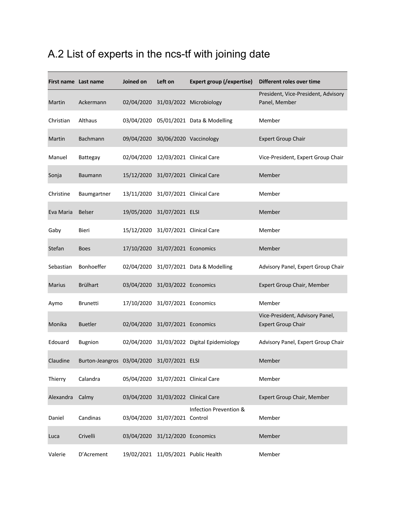## A.2 List of experts in the ncs-tf with joining date

|               | First name Last name                       | Joined on | Left on                             | Expert group (/expertise)                  | Different roles over time                                    |
|---------------|--------------------------------------------|-----------|-------------------------------------|--------------------------------------------|--------------------------------------------------------------|
| Martin        | Ackermann                                  |           |                                     | 02/04/2020 31/03/2022 Microbiology         | President, Vice-President, Advisory<br>Panel, Member         |
| Christian     | Althaus                                    |           |                                     | 03/04/2020 05/01/2021 Data & Modelling     | Member                                                       |
| Martin        | <b>Bachmann</b>                            |           | 09/04/2020 30/06/2020 Vaccinology   |                                            | <b>Expert Group Chair</b>                                    |
| Manuel        | Battegay                                   |           | 02/04/2020 12/03/2021 Clinical Care |                                            | Vice-President, Expert Group Chair                           |
| Sonja         | <b>Baumann</b>                             |           | 15/12/2020 31/07/2021 Clinical Care |                                            | Member                                                       |
| Christine     | Baumgartner                                |           | 13/11/2020 31/07/2021 Clinical Care |                                            | Member                                                       |
| Eva Maria     | <b>Belser</b>                              |           | 19/05/2020 31/07/2021 ELSI          |                                            | Member                                                       |
| Gaby          | Bieri                                      |           | 15/12/2020 31/07/2021 Clinical Care |                                            | Member                                                       |
| Stefan        | <b>Boes</b>                                |           | 17/10/2020 31/07/2021 Economics     |                                            | Member                                                       |
| Sebastian     | Bonhoeffer                                 |           |                                     | 02/04/2020 31/07/2021 Data & Modelling     | Advisory Panel, Expert Group Chair                           |
| <b>Marius</b> | <b>Brülhart</b>                            |           | 03/04/2020 31/03/2022 Economics     |                                            | Expert Group Chair, Member                                   |
| Aymo          | <b>Brunetti</b>                            |           | 17/10/2020 31/07/2021 Economics     |                                            | Member                                                       |
| Monika        | <b>Buetler</b>                             |           | 02/04/2020 31/07/2021 Economics     |                                            | Vice-President, Advisory Panel,<br><b>Expert Group Chair</b> |
| Edouard       | <b>Bugnion</b>                             |           |                                     | 02/04/2020 31/03/2022 Digital Epidemiology | Advisory Panel, Expert Group Chair                           |
| Claudine      | Burton-Jeangros 03/04/2020 31/07/2021 ELSI |           |                                     |                                            | Member                                                       |
| Thierry       | Calandra                                   |           | 05/04/2020 31/07/2021 Clinical Care |                                            | Member                                                       |
| Alexandra     | Calmy                                      |           | 03/04/2020 31/03/2022 Clinical Care |                                            | Expert Group Chair, Member                                   |
| Daniel        | Candinas                                   |           | 03/04/2020 31/07/2021 Control       | Infection Prevention &                     | Member                                                       |
| Luca          | Crivelli                                   |           | 03/04/2020 31/12/2020 Economics     |                                            | Member                                                       |
| Valerie       | D'Acrement                                 |           |                                     | 19/02/2021 11/05/2021 Public Health        | Member                                                       |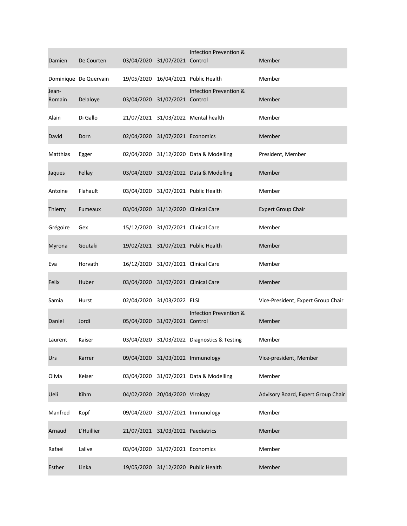| Damien          | De Courten            |            | 03/04/2020 31/07/2021 Control       | Infection Prevention &                      | Member                             |
|-----------------|-----------------------|------------|-------------------------------------|---------------------------------------------|------------------------------------|
|                 | Dominique De Quervain |            |                                     | 19/05/2020 16/04/2021 Public Health         | Member                             |
| Jean-<br>Romain | Delaloye              |            | 03/04/2020 31/07/2021 Control       | Infection Prevention &                      | Member                             |
| Alain           | Di Gallo              |            |                                     | 21/07/2021 31/03/2022 Mental health         | Member                             |
| David           | Dorn                  |            | 02/04/2020 31/07/2021 Economics     |                                             | Member                             |
| Matthias        | Egger                 |            |                                     | 02/04/2020 31/12/2020 Data & Modelling      | President, Member                  |
| Jaques          | Fellay                |            |                                     | 03/04/2020 31/03/2022 Data & Modelling      | Member                             |
| Antoine         | Flahault              |            |                                     | 03/04/2020 31/07/2021 Public Health         | Member                             |
| Thierry         | Fumeaux               |            | 03/04/2020 31/12/2020 Clinical Care |                                             | <b>Expert Group Chair</b>          |
| Grégoire        | Gex                   |            | 15/12/2020 31/07/2021 Clinical Care |                                             | Member                             |
| Myrona          | Goutaki               |            |                                     | 19/02/2021 31/07/2021 Public Health         | Member                             |
| Eva             | Horvath               |            | 16/12/2020 31/07/2021 Clinical Care |                                             | Member                             |
| Felix           | Huber                 |            | 03/04/2020 31/07/2021 Clinical Care |                                             | Member                             |
| Samia           | Hurst                 |            | 02/04/2020 31/03/2022 ELSI          |                                             | Vice-President, Expert Group Chair |
| Daniel          | Jordi                 |            | 05/04/2020 31/07/2021 Control       | Infection Prevention &                      | Member                             |
| Laurent         | Kaiser                |            |                                     | 03/04/2020 31/03/2022 Diagnostics & Testing | Member                             |
| Urs             | Karrer                |            |                                     | 09/04/2020 31/03/2022 Immunology            | Vice-president, Member             |
| Olivia          | Keiser                |            |                                     | 03/04/2020 31/07/2021 Data & Modelling      | Member                             |
| Ueli            | Kihm                  | 04/02/2020 | 20/04/2020 Virology                 |                                             | Advisory Board, Expert Group Chair |
| Manfred         | Kopf                  |            |                                     | 09/04/2020 31/07/2021 Immunology            | Member                             |
| Arnaud          | L'Huillier            |            | 21/07/2021 31/03/2022 Paediatrics   |                                             | Member                             |
| Rafael          | Lalive                |            | 03/04/2020 31/07/2021 Economics     |                                             | Member                             |
| Esther          | Linka                 |            |                                     | 19/05/2020 31/12/2020 Public Health         | Member                             |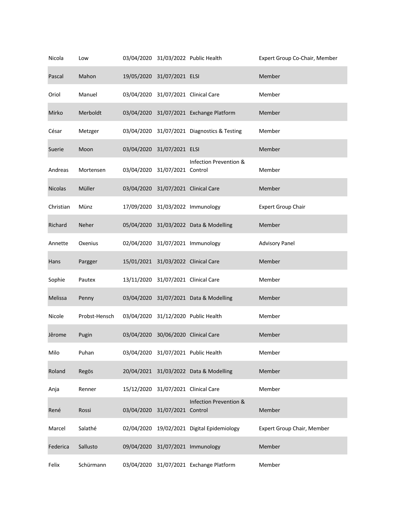| Nicola         | Low           |                                     | 03/04/2020 31/03/2022 Public Health         | Expert Group Co-Chair, Member |
|----------------|---------------|-------------------------------------|---------------------------------------------|-------------------------------|
| Pascal         | Mahon         | 19/05/2020 31/07/2021 ELSI          |                                             | Member                        |
| Oriol          | Manuel        | 03/04/2020 31/07/2021 Clinical Care |                                             | Member                        |
| Mirko          | Merboldt      |                                     | 03/04/2020 31/07/2021 Exchange Platform     | Member                        |
| César          | Metzger       |                                     | 03/04/2020 31/07/2021 Diagnostics & Testing | Member                        |
| Suerie         | Moon          | 03/04/2020 31/07/2021 ELSI          |                                             | Member                        |
| Andreas        | Mortensen     | 03/04/2020 31/07/2021 Control       | Infection Prevention &                      | Member                        |
| <b>Nicolas</b> | Müller        | 03/04/2020 31/07/2021 Clinical Care |                                             | Member                        |
| Christian      | Münz          |                                     | 17/09/2020 31/03/2022 Immunology            | <b>Expert Group Chair</b>     |
| Richard        | Neher         |                                     | 05/04/2020 31/03/2022 Data & Modelling      | Member                        |
| Annette        | Oxenius       |                                     | 02/04/2020 31/07/2021 Immunology            | <b>Advisory Panel</b>         |
| Hans           | Pargger       | 15/01/2021 31/03/2022 Clinical Care |                                             | Member                        |
| Sophie         | Pautex        | 13/11/2020 31/07/2021 Clinical Care |                                             | Member                        |
| Melissa        | Penny         |                                     | 03/04/2020 31/07/2021 Data & Modelling      | Member                        |
| Nicole         | Probst-Hensch |                                     | 03/04/2020 31/12/2020 Public Health         | Member                        |
| Jêrome         | Pugin         | 03/04/2020 30/06/2020 Clinical Care |                                             | Member                        |
| Milo           | Puhan         |                                     | 03/04/2020 31/07/2021 Public Health         | Member                        |
| Roland         | Regös         |                                     | 20/04/2021 31/03/2022 Data & Modelling      | Member                        |
| Anja           | Renner        | 15/12/2020 31/07/2021 Clinical Care |                                             | Member                        |
| René           | Rossi         | 03/04/2020 31/07/2021 Control       | Infection Prevention &                      | Member                        |
| Marcel         | Salathé       |                                     | 02/04/2020 19/02/2021 Digital Epidemiology  | Expert Group Chair, Member    |
| Federica       | Sallusto      |                                     | 09/04/2020 31/07/2021 Immunology            | Member                        |
| Felix          | Schürmann     |                                     | 03/04/2020 31/07/2021 Exchange Platform     | Member                        |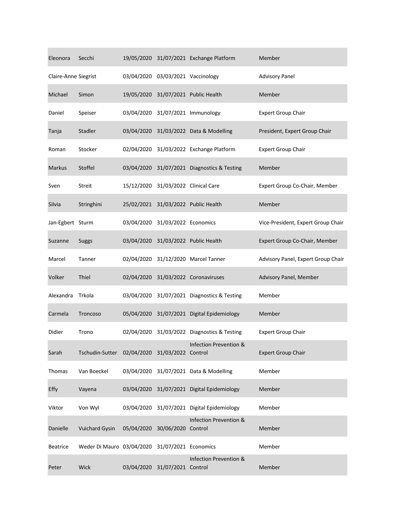| Eleonora             | Secchi                    |            |                               | 19/05/2020 31/07/2021 Exchange Platform     | Member                             |
|----------------------|---------------------------|------------|-------------------------------|---------------------------------------------|------------------------------------|
| Claire-Anne Siegrist |                           | 03/04/2020 | 03/03/2021 Vaccinology        |                                             | <b>Advisory Panel</b>              |
| Michael              | Simon                     | 19/05/2020 |                               | 31/07/2021 Public Health                    | Member                             |
| Daniel               | Speiser                   |            |                               | 03/04/2020 31/07/2021 Immunology            | <b>Expert Group Chair</b>          |
| Tanja                | Stadler                   | 03/04/2020 |                               | 31/03/2022 Data & Modelling                 | President, Expert Group Chair      |
| Roman                | Stocker                   | 02/04/2020 |                               | 31/03/2022 Exchange Platform                | <b>Expert Group Chair</b>          |
| <b>Markus</b>        | Stoffel                   | 03/04/2020 |                               | 31/07/2021 Diagnostics & Testing            | Member                             |
| Sven                 | <b>Streit</b>             | 15/12/2020 |                               | 31/03/2022 Clinical Care                    | Expert Group Co-Chair, Member      |
| <b>Silvia</b>        | Stringhini                |            |                               | 25/02/2021 31/03/2022 Public Health         | Member                             |
| Jan-Egbert Sturm     |                           | 03/04/2020 | 31/03/2022 Economics          |                                             | Vice-President, Expert Group Chair |
| Suzanne              | Suggs                     | 03/04/2020 |                               | 31/03/2022 Public Health                    | Expert Group Co-Chair, Member      |
| Marcel               | Tanner                    | 02/04/2020 |                               | 31/12/2020 Marcel Tanner                    | Advisory Panel, Expert Group Chair |
| Volker               | Thiel                     | 02/04/2020 |                               | 31/03/2022 Coronaviruses                    | Advisory Panel, Member             |
| Alexandra            | Trkola                    |            |                               | 03/04/2020 31/07/2021 Diagnostics & Testing | Member                             |
| Carmela              | Troncoso                  | 05/04/2020 |                               | 31/07/2021 Digital Epidemiology             | Member                             |
| Didier               | Trono                     | 02/04/2020 |                               | 31/03/2022 Diagnostics & Testing            | <b>Expert Group Chair</b>          |
| Sarah                | Tschudin-Sutter           |            | 02/04/2020 31/03/2022 Control | Infection Prevention &                      | <b>Expert Group Chair</b>          |
| Thomas               | Van Boeckel               | 03/04/2020 |                               | 31/07/2021 Data & Modelling                 | Member                             |
| Effy                 | Vayena                    | 03/04/2020 |                               | 31/07/2021 Digital Epidemiology             | Member                             |
| Viktor               | Von Wyl                   | 03/04/2020 |                               | 31/07/2021 Digital Epidemiology             | Member                             |
| Danielle             | Vuichard Gysin            | 05/04/2020 | 30/06/2020                    | Infection Prevention &<br>Control           | Member                             |
| <b>Beatrice</b>      | Weder Di Mauro 03/04/2020 |            | 31/07/2021 Economics          |                                             | Member                             |
| Peter                | Wick                      |            | 03/04/2020 31/07/2021 Control | Infection Prevention &                      | Member                             |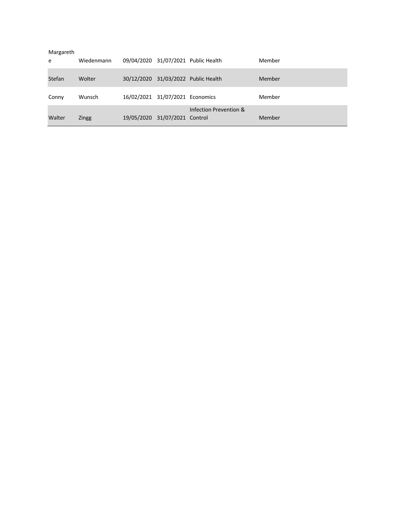| Margareth<br>e | Wiedenmann |                                 | 09/04/2020 31/07/2021 Public Health | Member |
|----------------|------------|---------------------------------|-------------------------------------|--------|
| Stefan         | Wolter     |                                 | 30/12/2020 31/03/2022 Public Health | Member |
| Conny          | Wunsch     | 16/02/2021 31/07/2021 Economics |                                     | Member |
| Walter         | Zingg      | 19/05/2020 31/07/2021 Control   | Infection Prevention &              | Member |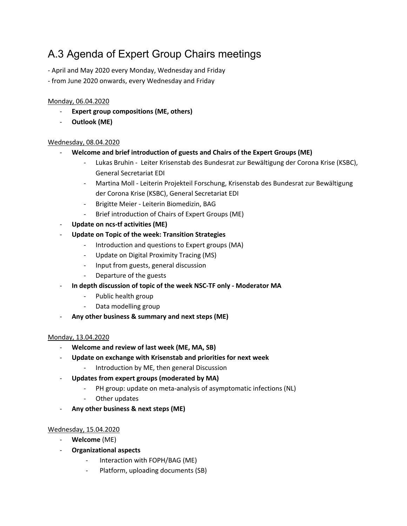## A.3 Agenda of Expert Group Chairs meetings

- April and May 2020 every Monday, Wednesday and Friday
- from June 2020 onwards, every Wednesday and Friday

### Monday, 06.04.2020

- Expert group compositions (ME, others)
- **Outlook (ME)**

#### Wednesday, 08.04.2020

- **Welcome and brief introduction of guests and Chairs of the Expert Groups (ME)**
	- Lukas Bruhin Leiter Krisenstab des Bundesrat zur Bewältigung der Corona Krise (KSBC), General Secretariat EDI
	- Martina Moll Leiterin Projekteil Forschung, Krisenstab des Bundesrat zur Bewältigung der Corona Krise (KSBC), General Secretariat EDI
	- Brigitte Meier Leiterin Biomedizin, BAG
	- Brief introduction of Chairs of Expert Groups (ME)
- **Update on ncs-tf activities (ME)**
- **Update on Topic of the week: Transition Strategies**
	- Introduction and questions to Expert groups (MA)
	- Update on Digital Proximity Tracing (MS)
	- Input from guests, general discussion
	- Departure of the guests
- **In depth discussion of topic of the week NSC-TF only - Moderator MA**
	- Public health group
	- Data modelling group
- **Any other business & summary and next steps (ME)**

#### Monday, 13.04.2020

- **Welcome and review of last week (ME, MA, SB)**
- **Update on exchange with Krisenstab and priorities for next week**
	- Introduction by ME, then general Discussion
- **Updates from expert groups (moderated by MA)**
	- PH group: update on meta-analysis of asymptomatic infections (NL)
	- Other updates
- **Any other business & next steps (ME)**

#### Wednesday, 15.04.2020

- **Welcome** (ME)
- **Organizational aspects**
	- Interaction with FOPH/BAG (ME)
	- Platform, uploading documents (SB)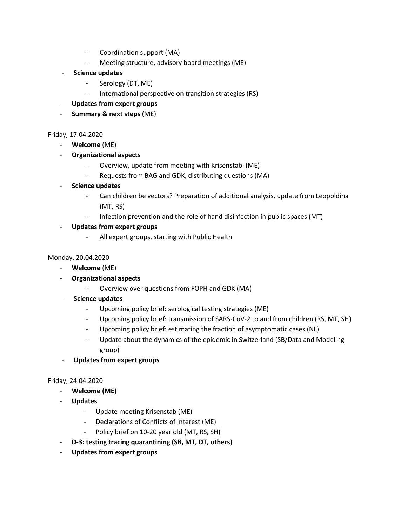- Coordination support (MA)
- Meeting structure, advisory board meetings (ME)
- **Science updates**
	- Serology (DT, ME)
	- International perspective on transition strategies (RS)
- **Updates from expert groups**
- **Summary & next steps** (ME)

#### Friday, 17.04.2020

- **Welcome** (ME)
- **Organizational aspects**
	- Overview, update from meeting with Krisenstab (ME)
	- Requests from BAG and GDK, distributing questions (MA)
- **Science updates**
	- Can children be vectors? Preparation of additional analysis, update from Leopoldina (MT, RS)
	- Infection prevention and the role of hand disinfection in public spaces (MT)
- **Updates from expert groups**
	- All expert groups, starting with Public Health

#### Monday, 20.04.2020

- **Welcome** (ME)
- **Organizational aspects**
	- Overview over questions from FOPH and GDK (MA)
- **Science updates**
	- Upcoming policy brief: serological testing strategies (ME)
	- Upcoming policy brief: transmission of SARS-CoV-2 to and from children (RS, MT, SH)
	- Upcoming policy brief: estimating the fraction of asymptomatic cases (NL)
	- Update about the dynamics of the epidemic in Switzerland (SB/Data and Modeling group)
- **Updates from expert groups**

#### Friday, 24.04.2020

- **Welcome (ME)**
- **Updates**
	- Update meeting Krisenstab (ME)
	- Declarations of Conflicts of interest (ME)
	- Policy brief on 10-20 year old (MT, RS, SH)
- **D-3: testing tracing quarantining (SB, MT, DT, others)**
- **Updates from expert groups**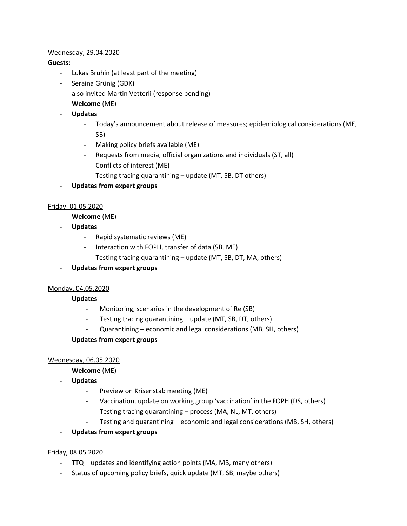## Wednesday, 29.04.2020

## **Guests:**

- Lukas Bruhin (at least part of the meeting)
- Seraina Grünig (GDK)
- also invited Martin Vetterli (response pending)
- **Welcome** (ME)
- **Updates**
	- Today's announcement about release of measures; epidemiological considerations (ME, SB)
	- Making policy briefs available (ME)
	- Requests from media, official organizations and individuals (ST, all)
	- Conflicts of interest (ME)
	- Testing tracing quarantining update (MT, SB, DT others)
- **Updates from expert groups**

## Friday, 01.05.2020

- **Welcome** (ME)
- **Updates**
	- Rapid systematic reviews (ME)
	- Interaction with FOPH, transfer of data (SB, ME)
	- Testing tracing quarantining update (MT, SB, DT, MA, others)
- **Updates from expert groups**

#### Monday, 04.05.2020

- **Updates**
	- Monitoring, scenarios in the development of Re (SB)
	- Testing tracing quarantining update (MT, SB, DT, others)
	- Quarantining economic and legal considerations (MB, SH, others)
- **Updates from expert groups**

## Wednesday, 06.05.2020

- **Welcome** (ME)
- **Updates**
	- Preview on Krisenstab meeting (ME)
	- Vaccination, update on working group 'vaccination' in the FOPH (DS, others)
	- Testing tracing quarantining process (MA, NL, MT, others)
	- Testing and quarantining economic and legal considerations (MB, SH, others)
- **Updates from expert groups**

#### Friday, 08.05.2020

- TTQ updates and identifying action points (MA, MB, many others)
- Status of upcoming policy briefs, quick update (MT, SB, maybe others)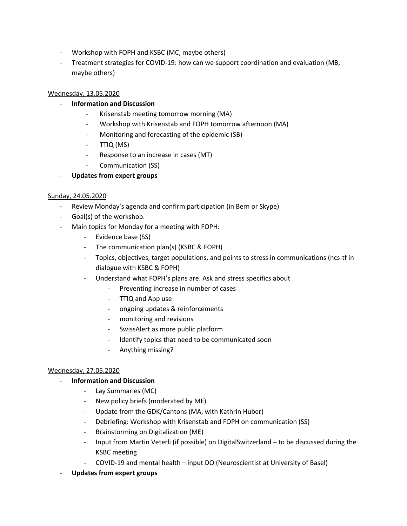- Workshop with FOPH and KSBC (MC, maybe others)
- Treatment strategies for COVID-19: how can we support coordination and evaluation (MB, maybe others)

## Wednesday, 13.05.2020

- **Information and Discussion**
	- Krisenstab meeting tomorrow morning (MA)
	- Workshop with Krisenstab and FOPH tomorrow afternoon (MA)
	- Monitoring and forecasting of the epidemic (SB)
	- TTIQ (MS)
	- Response to an increase in cases (MT)
	- Communication (SS)
- **Updates from expert groups**

#### Sunday, 24.05.2020

- Review Monday's agenda and confirm participation (in Bern or Skype)
- Goal(s) of the workshop.
- Main topics for Monday for a meeting with FOPH:
	- Evidence base (SS)
	- The communication plan(s) (KSBC & FOPH)
	- Topics, objectives, target populations, and points to stress in communications (ncs-tf in dialogue with KSBC & FOPH)
	- Understand what FOPH's plans are. Ask and stress specifics about
		- Preventing increase in number of cases
		- TTIQ and App use
		- ongoing updates & reinforcements
		- monitoring and revisions
		- SwissAlert as more public platform
		- Identify topics that need to be communicated soon
		- Anything missing?

#### Wednesday, 27.05.2020

- **Information and Discussion**
	- Lay Summaries (MC)
	- New policy briefs (moderated by ME)
	- Update from the GDK/Cantons (MA, with Kathrin Huber)
	- Debriefing: Workshop with Krisenstab and FOPH on communication (SS)
	- Brainstorming on Digitalization (ME)
	- Input from Martin Veterli (if possible) on DigitalSwitzerland to be discussed during the KSBC meeting
	- COVID-19 and mental health input DQ (Neuroscientist at University of Basel)
- **Updates from expert groups**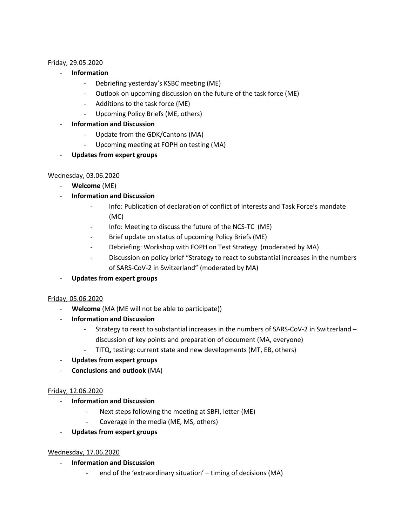#### Friday, 29.05.2020

- **Information**
	- Debriefing yesterday's KSBC meeting (ME)
	- Outlook on upcoming discussion on the future of the task force (ME)
	- Additions to the task force (ME)
	- Upcoming Policy Briefs (ME, others)
- **Information and Discussion**
	- Update from the GDK/Cantons (MA)
	- Upcoming meeting at FOPH on testing (MA)
- **Updates from expert groups**

#### Wednesday, 03.06.2020

- **Welcome** (ME)
- **Information and Discussion**
	- Info: Publication of declaration of conflict of interests and Task Force's mandate (MC)
	- Info: Meeting to discuss the future of the NCS-TC (ME)
	- Brief update on status of upcoming Policy Briefs (ME)
	- Debriefing: Workshop with FOPH on Test Strategy (moderated by MA)
	- Discussion on policy brief "Strategy to react to substantial increases in the numbers of SARS-CoV-2 in Switzerland" (moderated by MA)
- **Updates from expert groups**

#### Friday, 05.06.2020

- Welcome (MA (ME will not be able to participate))
- **Information and Discussion**
	- Strategy to react to substantial increases in the numbers of SARS-CoV-2 in Switzerland discussion of key points and preparation of document (MA, everyone)
	- TITQ, testing: current state and new developments (MT, EB, others)
- **Updates from expert groups**
- **Conclusions and outlook** (MA)

#### Friday, 12.06.2020

- **Information and Discussion**
	- Next steps following the meeting at SBFI, letter (ME)
	- Coverage in the media (ME, MS, others)
- **Updates from expert groups**

#### Wednesday, 17.06.2020

- **Information and Discussion**
	- end of the 'extraordinary situation' timing of decisions (MA)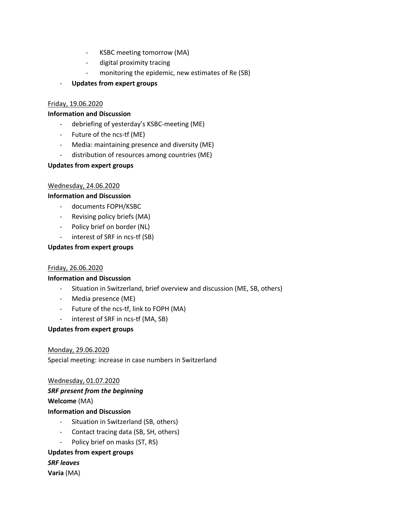- KSBC meeting tomorrow (MA)
- digital proximity tracing
- monitoring the epidemic, new estimates of Re (SB)
- **Updates from expert groups**

### Friday, 19.06.2020

#### **Information and Discussion**

- debriefing of yesterday's KSBC-meeting (ME)
- Future of the ncs-tf (ME)
- Media: maintaining presence and diversity (ME)
- distribution of resources among countries (ME)

## **Updates from expert groups**

## Wednesday, 24.06.2020

## **Information and Discussion**

- documents FOPH/KSBC
- Revising policy briefs (MA)
- Policy brief on border (NL)
- interest of SRF in ncs-tf (SB)

## **Updates from expert groups**

#### Friday, 26.06.2020

## **Information and Discussion**

- Situation in Switzerland, brief overview and discussion (ME, SB, others)
- Media presence (ME)
- Future of the ncs-tf, link to FOPH (MA)
- interest of SRF in ncs-tf (MA, SB)

## **Updates from expert groups**

## Monday, 29.06.2020

Special meeting: increase in case numbers in Switzerland

#### Wednesday, 01.07.2020

*SRF present from the beginning*

**Welcome** (MA)

## **Information and Discussion**

- Situation in Switzerland (SB, others)
- Contact tracing data (SB, SH, others)
- Policy brief on masks (ST, RS)

## **Updates from expert groups**

*SRF leaves* **Varia** (MA)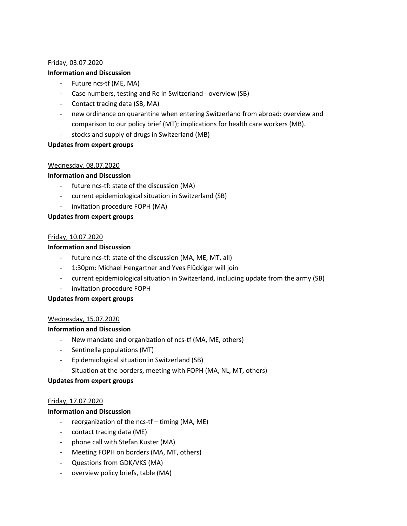#### Friday, 03.07.2020

#### **Information and Discussion**

- Future ncs-tf (ME, MA)
- Case numbers, testing and Re in Switzerland overview (SB)
- Contact tracing data (SB, MA)
- new ordinance on quarantine when entering Switzerland from abroad: overview and comparison to our policy brief (MT); implications for health care workers (MB).
- stocks and supply of drugs in Switzerland (MB)

#### **Updates from expert groups**

#### Wednesday, 08.07.2020

#### **Information and Discussion**

- future ncs-tf: state of the discussion (MA)
- current epidemiological situation in Switzerland (SB)
- invitation procedure FOPH (MA)

#### **Updates from expert groups**

#### Friday, 10.07.2020

#### **Information and Discussion**

- future ncs-tf: state of the discussion (MA, ME, MT, all)
- 1:30pm: Michael Hengartner and Yves Flückiger will join
- current epidemiological situation in Switzerland, including update from the army (SB)
- invitation procedure FOPH

#### **Updates from expert groups**

#### Wednesday, 15.07.2020

#### **Information and Discussion**

- New mandate and organization of ncs-tf (MA, ME, others)
- Sentinella populations (MT)
- Epidemiological situation in Switzerland (SB)
- Situation at the borders, meeting with FOPH (MA, NL, MT, others)

#### **Updates from expert groups**

#### Friday, 17.07.2020

#### **Information and Discussion**

- reorganization of the ncs-tf timing (MA, ME)
- contact tracing data (ME)
- phone call with Stefan Kuster (MA)
- Meeting FOPH on borders (MA, MT, others)
- Questions from GDK/VKS (MA)
- overview policy briefs, table (MA)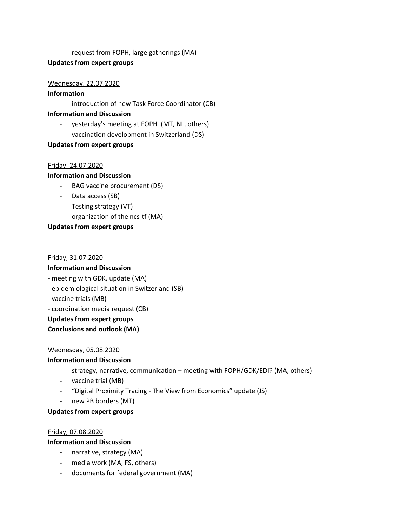- request from FOPH, large gatherings (MA)

## **Updates from expert groups**

### Wednesday, 22.07.2020

### **Information**

- introduction of new Task Force Coordinator (CB)

### **Information and Discussion**

- yesterday's meeting at FOPH (MT, NL, others)
- vaccination development in Switzerland (DS)

## **Updates from expert groups**

## Friday, 24.07.2020

## **Information and Discussion**

- BAG vaccine procurement (DS)
- Data access (SB)
- Testing strategy (VT)
- organization of the ncs-tf (MA)

## **Updates from expert groups**

#### Friday, 31.07.2020

## **Information and Discussion**

- meeting with GDK, update (MA)
- epidemiological situation in Switzerland (SB)
- vaccine trials (MB)
- coordination media request (CB)

#### **Updates from expert groups**

## **Conclusions and outlook (MA)**

## Wednesday, 05.08.2020

## **Information and Discussion**

- strategy, narrative, communication meeting with FOPH/GDK/EDI? (MA, others)
- vaccine trial (MB)
- "Digital Proximity Tracing The View from Economics" update (JS)
- new PB borders (MT)

#### **Updates from expert groups**

#### Friday, 07.08.2020

#### **Information and Discussion**

- narrative, strategy (MA)
- media work (MA, FS, others)
- documents for federal government (MA)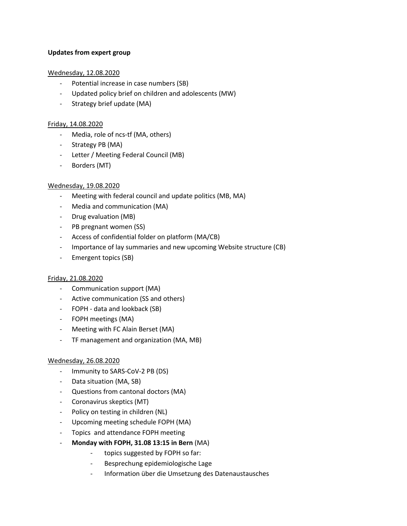### **Updates from expert group**

### Wednesday, 12.08.2020

- Potential increase in case numbers (SB)
- Updated policy brief on children and adolescents (MW)
- Strategy brief update (MA)

## Friday, 14.08.2020

- Media, role of ncs-tf (MA, others)
- Strategy PB (MA)
- Letter / Meeting Federal Council (MB)
- Borders (MT)

## Wednesday, 19.08.2020

- Meeting with federal council and update politics (MB, MA)
- Media and communication (MA)
- Drug evaluation (MB)
- PB pregnant women (SS)
- Access of confidential folder on platform (MA/CB)
- Importance of lay summaries and new upcoming Website structure (CB)
- Emergent topics (SB)

## Friday, 21.08.2020

- Communication support (MA)
- Active communication (SS and others)
- FOPH data and lookback (SB)
- FOPH meetings (MA)
- Meeting with FC Alain Berset (MA)
- TF management and organization (MA, MB)

#### Wednesday, 26.08.2020

- Immunity to SARS-CoV-2 PB (DS)
- Data situation (MA, SB)
- Questions from cantonal doctors (MA)
- Coronavirus skeptics (MT)
- Policy on testing in children (NL)
- Upcoming meeting schedule FOPH (MA)
- Topics and attendance FOPH meeting
- **Monday with FOPH, 31.08 13:15 in Bern** (MA)
	- topics suggested by FOPH so far:
	- Besprechung epidemiologische Lage
	- Information über die Umsetzung des Datenaustausches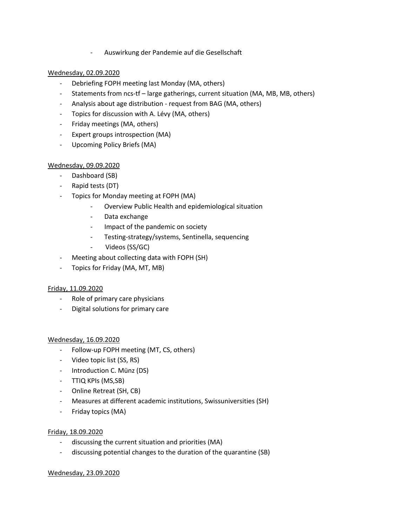- Auswirkung der Pandemie auf die Gesellschaft

## Wednesday, 02.09.2020

- Debriefing FOPH meeting last Monday (MA, others)
- Statements from ncs-tf large gatherings, current situation (MA, MB, MB, others)
- Analysis about age distribution request from BAG (MA, others)
- Topics for discussion with A. Lévy (MA, others)
- Friday meetings (MA, others)
- Expert groups introspection (MA)
- Upcoming Policy Briefs (MA)

#### Wednesday, 09.09.2020

- Dashboard (SB)
- Rapid tests (DT)
- Topics for Monday meeting at FOPH (MA)
	- Overview Public Health and epidemiological situation
	- Data exchange
	- Impact of the pandemic on society
	- Testing-strategy/systems, Sentinella, sequencing
	- Videos (SS/GC)
- Meeting about collecting data with FOPH (SH)
- Topics for Friday (MA, MT, MB)

#### Friday, 11.09.2020

- Role of primary care physicians
- Digital solutions for primary care

#### Wednesday, 16.09.2020

- Follow-up FOPH meeting (MT, CS, others)
- Video topic list (SS, RS)
- Introduction C. Münz (DS)
- TTIQ KPIs (MS,SB)
- Online Retreat (SH, CB)
- Measures at different academic institutions, Swissuniversities (SH)
- Friday topics (MA)

#### Friday, 18.09.2020

- discussing the current situation and priorities (MA)
- discussing potential changes to the duration of the quarantine (SB)

#### Wednesday, 23.09.2020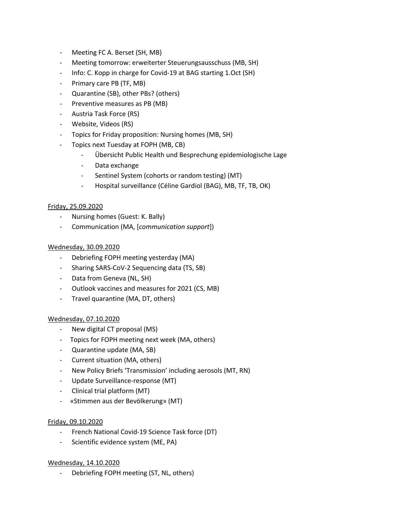- Meeting FC A. Berset (SH, MB)
- Meeting tomorrow: erweiterter Steuerungsausschuss (MB, SH)
- Info: C. Kopp in charge for Covid-19 at BAG starting 1.Oct (SH)
- Primary care PB (TF, MB)
- Quarantine (SB), other PBs? (others)
- Preventive measures as PB (MB)
- Austria Task Force (RS)
- Website, Videos (RS)
- Topics for Friday proposition: Nursing homes (MB, SH)
- Topics next Tuesday at FOPH (MB, CB)
	- Übersicht Public Health und Besprechung epidemiologische Lage
	- Data exchange
	- Sentinel System (cohorts or random testing) (MT)
	- Hospital surveillance (Céline Gardiol (BAG), MB, TF, TB, OK)

#### Friday, 25.09.2020

- Nursing homes (Guest: K. Bally)
- Communication (MA, [*communication support*])

#### Wednesday, 30.09.2020

- Debriefing FOPH meeting yesterday (MA)
- Sharing SARS-CoV-2 Sequencing data (TS, SB)
- Data from Geneva (NL, SH)
- Outlook vaccines and measures for 2021 (CS, MB)
- Travel quarantine (MA, DT, others)

#### Wednesday, 07.10.2020

- New digital CT proposal (MS)
- Topics for FOPH meeting next week (MA, others)
- Quarantine update (MA, SB)
- Current situation (MA, others)
- New Policy Briefs 'Transmission' including aerosols (MT, RN)
- Update Surveillance-response (MT)
- Clinical trial platform (MT)
- «Stimmen aus der Bevölkerung» (MT)

#### Friday, 09.10.2020

- French National Covid-19 Science Task force (DT)
- Scientific evidence system (ME, PA)

#### Wednesday, 14.10.2020

- Debriefing FOPH meeting (ST, NL, others)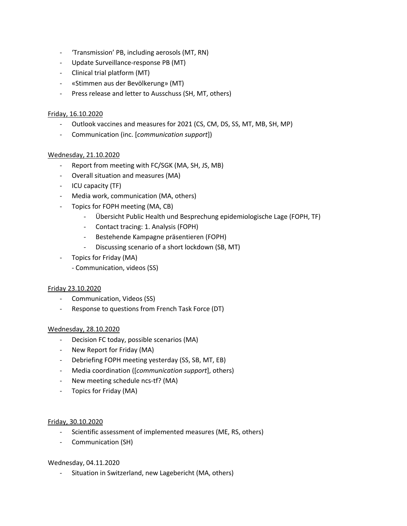- 'Transmission' PB, including aerosols (MT, RN)
- Update Surveillance-response PB (MT)
- Clinical trial platform (MT)
- «Stimmen aus der Bevölkerung» (MT)
- Press release and letter to Ausschuss (SH, MT, others)

#### Friday, 16.10.2020

- Outlook vaccines and measures for 2021 (CS, CM, DS, SS, MT, MB, SH, MP)
- Communication (inc. [*communication support*])

#### Wednesday, 21.10.2020

- Report from meeting with FC/SGK (MA, SH, JS, MB)
- Overall situation and measures (MA)
- ICU capacity (TF)
- Media work, communication (MA, others)
- Topics for FOPH meeting (MA, CB)
	- Übersicht Public Health und Besprechung epidemiologische Lage (FOPH, TF)
	- Contact tracing: 1. Analysis (FOPH)
	- Bestehende Kampagne präsentieren (FOPH)
	- Discussing scenario of a short lockdown (SB, MT)
- Topics for Friday (MA)
	- Communication, videos (SS)

#### Friday 23.10.2020

- Communication, Videos (SS)
- Response to questions from French Task Force (DT)

#### Wednesday, 28.10.2020

- Decision FC today, possible scenarios (MA)
- New Report for Friday (MA)
- Debriefing FOPH meeting yesterday (SS, SB, MT, EB)
- Media coordination ([*communication support*], others)
- New meeting schedule ncs-tf? (MA)
- Topics for Friday (MA)

#### Friday, 30.10.2020

- Scientific assessment of implemented measures (ME, RS, others)
- Communication (SH)

#### Wednesday, 04.11.2020

- Situation in Switzerland, new Lagebericht (MA, others)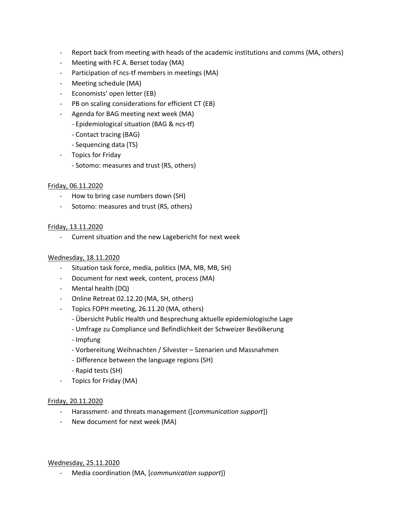- Report back from meeting with heads of the academic institutions and comms (MA, others)
- Meeting with FC A. Berset today (MA)
- Participation of ncs-tf members in meetings (MA)
- Meeting schedule (MA)
- Economists' open letter (EB)
- PB on scaling considerations for efficient CT (EB)
- Agenda for BAG meeting next week (MA)
	- Epidemiological situation (BAG & ncs-tf)
	- Contact tracing (BAG)
	- Sequencing data (TS)
- Topics for Friday
	- Sotomo: measures and trust (RS, others)

#### Friday, 06.11.2020

- How to bring case numbers down (SH)
- Sotomo: measures and trust (RS, others)

## Friday, 13.11.2020

- Current situation and the new Lagebericht for next week

#### Wednesday, 18.11.2020

- Situation task force, media, politics (MA, MB, MB, SH)
- Document for next week, content, process (MA)
- Mental health (DQ)
- Online Retreat 02.12.20 (MA, SH, others)
- Topics FOPH meeting, 26.11.20 (MA, others)
	- Übersicht Public Health und Besprechung aktuelle epidemiologische Lage
	- Umfrage zu Compliance und Befindlichkeit der Schweizer Bevölkerung
	- Impfung
	- Vorbereitung Weihnachten / Silvester Szenarien und Massnahmen
	- Difference between the language regions (SH)
	- Rapid tests (SH)
- Topics for Friday (MA)

#### Friday, 20.11.2020

- Harassment- and threats management ([*communication support*])
- New document for next week (MA)

#### Wednesday, 25.11.2020

- Media coordination (MA, [*communication support*])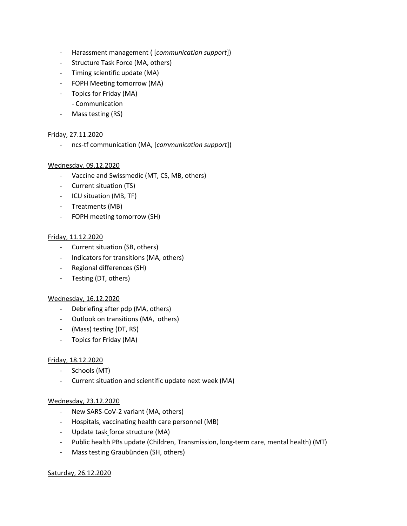- Harassment management ( [*communication support*])
- Structure Task Force (MA, others)
- Timing scientific update (MA)
- FOPH Meeting tomorrow (MA)
- Topics for Friday (MA)
	- Communication
- Mass testing (RS)

#### Friday, 27.11.2020

- ncs-tf communication (MA, [*communication support*])

#### Wednesday, 09.12.2020

- Vaccine and Swissmedic (MT, CS, MB, others)
- Current situation (TS)
- ICU situation (MB, TF)
- Treatments (MB)
- FOPH meeting tomorrow (SH)

#### Friday, 11.12.2020

- Current situation (SB, others)
- Indicators for transitions (MA, others)
- Regional differences (SH)
- Testing (DT, others)

#### Wednesday, 16.12.2020

- Debriefing after pdp (MA, others)
- Outlook on transitions (MA, others)
- (Mass) testing (DT, RS)
- Topics for Friday (MA)

#### Friday, 18.12.2020

- Schools (MT)
- Current situation and scientific update next week (MA)

#### Wednesday, 23.12.2020

- New SARS-CoV-2 variant (MA, others)
- Hospitals, vaccinating health care personnel (MB)
- Update task force structure (MA)
- Public health PBs update (Children, Transmission, long-term care, mental health) (MT)
- Mass testing Graubünden (SH, others)

#### Saturday, 26.12.2020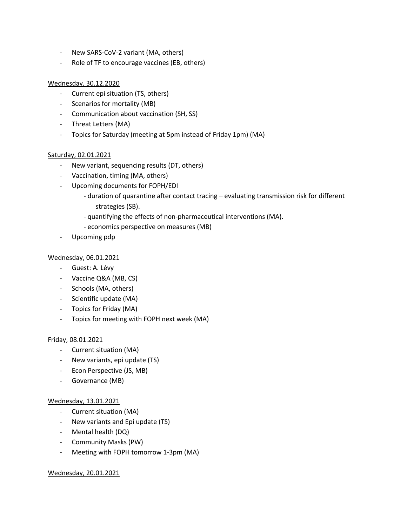- New SARS-CoV-2 variant (MA, others)
- Role of TF to encourage vaccines (EB, others)

### Wednesday, 30.12.2020

- Current epi situation (TS, others)
- Scenarios for mortality (MB)
- Communication about vaccination (SH, SS)
- Threat Letters (MA)
- Topics for Saturday (meeting at 5pm instead of Friday 1pm) (MA)

#### Saturday, 02.01.2021

- New variant, sequencing results (DT, others)
- Vaccination, timing (MA, others)
- Upcoming documents for FOPH/EDI
	- duration of quarantine after contact tracing evaluating transmission risk for different strategies (SB).
	- quantifying the effects of non-pharmaceutical interventions (MA).
	- economics perspective on measures (MB)
- Upcoming pdp

#### Wednesday, 06.01.2021

- Guest: A. Lévy
- Vaccine Q&A (MB, CS)
- Schools (MA, others)
- Scientific update (MA)
- Topics for Friday (MA)
- Topics for meeting with FOPH next week (MA)

#### Friday, 08.01.2021

- Current situation (MA)
- New variants, epi update (TS)
- Econ Perspective (JS, MB)
- Governance (MB)

#### Wednesday, 13.01.2021

- Current situation (MA)
- New variants and Epi update (TS)
- Mental health (DQ)
- Community Masks (PW)
- Meeting with FOPH tomorrow 1-3pm (MA)

#### Wednesday, 20.01.2021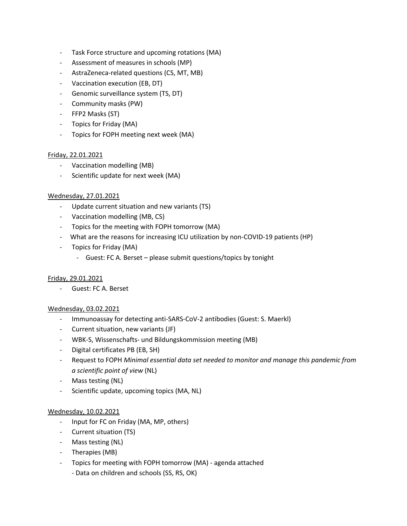- Task Force structure and upcoming rotations (MA)
- Assessment of measures in schools (MP)
- AstraZeneca-related questions (CS, MT, MB)
- Vaccination execution (EB, DT)
- Genomic surveillance system (TS, DT)
- Community masks (PW)
- FFP2 Masks (ST)
- Topics for Friday (MA)
- Topics for FOPH meeting next week (MA)

#### Friday, 22.01.2021

- Vaccination modelling (MB)
- Scientific update for next week (MA)

#### Wednesday, 27.01.2021

- Update current situation and new variants (TS)
- Vaccination modelling (MB, CS)
- Topics for the meeting with FOPH tomorrow (MA)
- What are the reasons for increasing ICU utilization by non-COVID-19 patients (HP)
- Topics for Friday (MA)
	- Guest: FC A. Berset please submit questions/topics by tonight

#### Friday, 29.01.2021

- Guest: FC A. Berset

#### Wednesday, 03.02.2021

- Immunoassay for detecting anti-SARS-CoV-2 antibodies (Guest: S. Maerkl)
- Current situation, new variants (JF)
- WBK-S, Wissenschafts- und Bildungskommission meeting (MB)
- Digital certificates PB (EB, SH)
- Request to FOPH *Minimal essential data set needed to monitor and manage this pandemic from a scientific point of view* (NL)
- Mass testing (NL)
- Scientific update, upcoming topics (MA, NL)

#### Wednesday, 10.02.2021

- Input for FC on Friday (MA, MP, others)
- Current situation (TS)
- Mass testing (NL)
- Therapies (MB)
- Topics for meeting with FOPH tomorrow (MA) agenda attached
	- Data on children and schools (SS, RS, OK)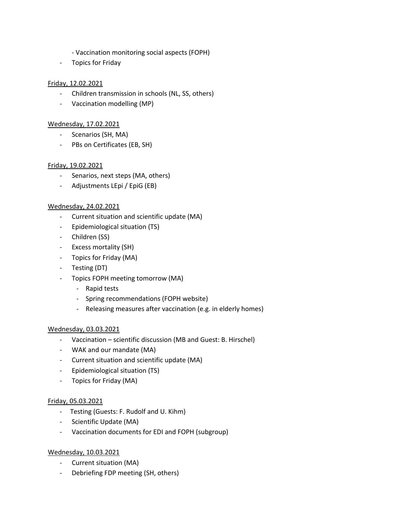- Vaccination monitoring social aspects (FOPH)
- Topics for Friday

## Friday, 12.02.2021

- Children transmission in schools (NL, SS, others)
- Vaccination modelling (MP)

### Wednesday, 17.02.2021

- Scenarios (SH, MA)
- PBs on Certificates (EB, SH)

## Friday, 19.02.2021

- Senarios, next steps (MA, others)
- Adjustments LEpi / EpiG (EB)

## Wednesday, 24.02.2021

- Current situation and scientific update (MA)
- Epidemiological situation (TS)
- Children (SS)
- Excess mortality (SH)
- Topics for Friday (MA)
- Testing (DT)
- Topics FOPH meeting tomorrow (MA)
	- Rapid tests
	- Spring recommendations (FOPH website)
	- Releasing measures after vaccination (e.g. in elderly homes)

#### Wednesday, 03.03.2021

- Vaccination scientific discussion (MB and Guest: B. Hirschel)
- WAK and our mandate (MA)
- Current situation and scientific update (MA)
- Epidemiological situation (TS)
- Topics for Friday (MA)

#### Friday, 05.03.2021

- Testing (Guests: F. Rudolf and U. Kihm)
- Scientific Update (MA)
- Vaccination documents for EDI and FOPH (subgroup)

#### Wednesday, 10.03.2021

- Current situation (MA)
- Debriefing FDP meeting (SH, others)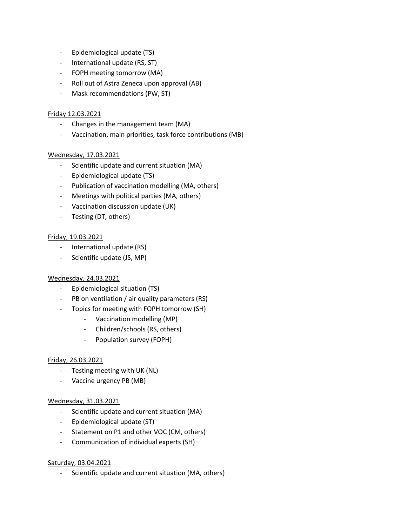- Epidemiological update (TS)
- International update (RS, ST)
- FOPH meeting tomorrow (MA)
- Roll out of Astra Zeneca upon approval (AB)
- Mask recommendations (PW, ST)

## Friday 12.03.2021

- Changes in the management team (MA)
- Vaccination, main priorities, task force contributions (MB)

## Wednesday, 17.03.2021

- Scientific update and current situation (MA)
- Epidemiological update (TS)
- Publication of vaccination modelling (MA, others)
- Meetings with political parties (MA, others)
- Vaccination discussion update (UK)
- Testing (DT, others)

#### Friday, 19.03.2021

- International update (RS)
- Scientific update (JS, MP)

#### Wednesday, 24.03.2021

- Epidemiological situation (TS)
- PB on ventilation / air quality parameters (RS)
- Topics for meeting with FOPH tomorrow (SH)
	- Vaccination modelling (MP)
	- Children/schools (RS, others)
	- Population survey (FOPH)

#### Friday, 26.03.2021

- Testing meeting with UK (NL)
- Vaccine urgency PB (MB)

#### Wednesday, 31.03.2021

- Scientific update and current situation (MA)
- Epidemiological update (ST)
- Statement on P1 and other VOC (CM, others)
- Communication of individual experts (SH)

#### Saturday, 03.04.2021

- Scientific update and current situation (MA, others)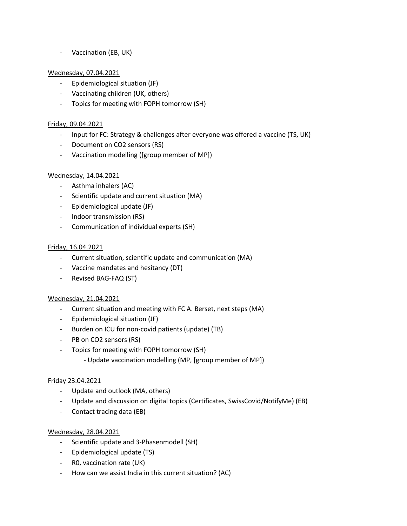- Vaccination (EB, UK)

### Wednesday, 07.04.2021

- Epidemiological situation (JF)
- Vaccinating children (UK, others)
- Topics for meeting with FOPH tomorrow (SH)

#### Friday, 09.04.2021

- Input for FC: Strategy & challenges after everyone was offered a vaccine (TS, UK)
- Document on CO2 sensors (RS)
- Vaccination modelling ([group member of MP])

## Wednesday, 14.04.2021

- Asthma inhalers (AC)
- Scientific update and current situation (MA)
- Epidemiological update (JF)
- Indoor transmission (RS)
- Communication of individual experts (SH)

#### Friday, 16.04.2021

- Current situation, scientific update and communication (MA)
- Vaccine mandates and hesitancy (DT)
- Revised BAG-FAQ (ST)

#### Wednesday, 21.04.2021

- Current situation and meeting with FC A. Berset, next steps (MA)
- Epidemiological situation (JF)
- Burden on ICU for non-covid patients (update) (TB)
- PB on CO2 sensors (RS)
- Topics for meeting with FOPH tomorrow (SH)
	- Update vaccination modelling (MP, [group member of MP])

#### Friday 23.04.2021

- Update and outlook (MA, others)
- Update and discussion on digital topics (Certificates, SwissCovid/NotifyMe) (EB)
- Contact tracing data (EB)

#### Wednesday, 28.04.2021

- Scientific update and 3-Phasenmodell (SH)
- Epidemiological update (TS)
- R0, vaccination rate (UK)
- How can we assist India in this current situation? (AC)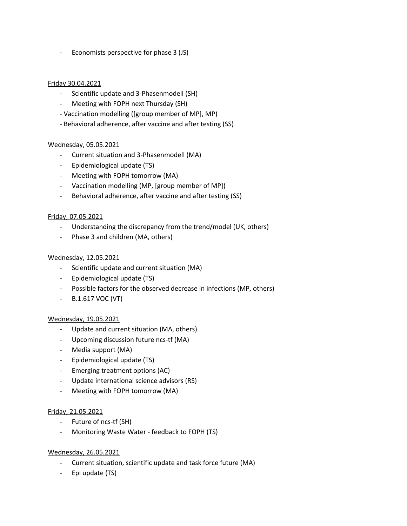- Economists perspective for phase 3 (JS)

#### Friday 30.04.2021

- Scientific update and 3-Phasenmodell (SH)
- Meeting with FOPH next Thursday (SH)
- Vaccination modelling ([group member of MP], MP)
- Behavioral adherence, after vaccine and after testing (SS)

## Wednesday, 05.05.2021

- Current situation and 3-Phasenmodell (MA)
- Epidemiological update (TS)
- Meeting with FOPH tomorrow (MA)
- Vaccination modelling (MP, [group member of MP])
- Behavioral adherence, after vaccine and after testing (SS)

#### Friday, 07.05.2021

- Understanding the discrepancy from the trend/model (UK, others)
- Phase 3 and children (MA, others)

#### Wednesday, 12.05.2021

- Scientific update and current situation (MA)
- Epidemiological update (TS)
- Possible factors for the observed decrease in infections (MP, others)
- B.1.617 VOC (VT)

#### Wednesday, 19.05.2021

- Update and current situation (MA, others)
- Upcoming discussion future ncs-tf (MA)
- Media support (MA)
- Epidemiological update (TS)
- Emerging treatment options (AC)
- Update international science advisors (RS)
- Meeting with FOPH tomorrow (MA)

#### Friday, 21.05.2021

- Future of ncs-tf (SH)
- Monitoring Waste Water feedback to FOPH (TS)

#### Wednesday, 26.05.2021

- Current situation, scientific update and task force future (MA)
- Epi update (TS)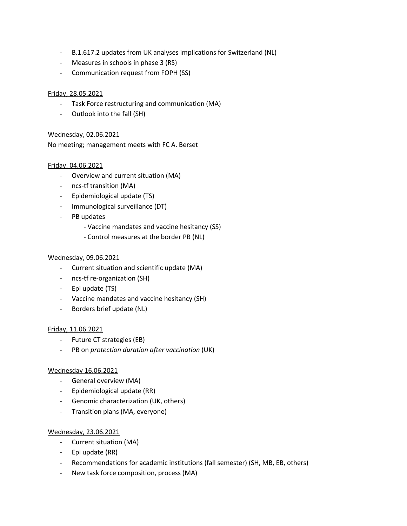- B.1.617.2 updates from UK analyses implications for Switzerland (NL)
- Measures in schools in phase 3 (RS)
- Communication request from FOPH (SS)

#### Friday, 28.05.2021

- Task Force restructuring and communication (MA)
- Outlook into the fall (SH)

#### Wednesday, 02.06.2021

No meeting; management meets with FC A. Berset

#### Friday, 04.06.2021

- Overview and current situation (MA)
- ncs-tf transition (MA)
- Epidemiological update (TS)
- Immunological surveillance (DT)
- PB updates
	- Vaccine mandates and vaccine hesitancy (SS)
	- Control measures at the border PB (NL)

#### Wednesday, 09.06.2021

- Current situation and scientific update (MA)
- ncs-tf re-organization (SH)
- Epi update (TS)
- Vaccine mandates and vaccine hesitancy (SH)
- Borders brief update (NL)

#### Friday, 11.06.2021

- Future CT strategies (EB)
- PB on *protection duration after vaccination* (UK)

#### Wednesday 16.06.2021

- General overview (MA)
- Epidemiological update (RR)
- Genomic characterization (UK, others)
- Transition plans (MA, everyone)

#### Wednesday, 23.06.2021

- Current situation (MA)
- Epi update (RR)
- Recommendations for academic institutions (fall semester) (SH, MB, EB, others)
- New task force composition, process (MA)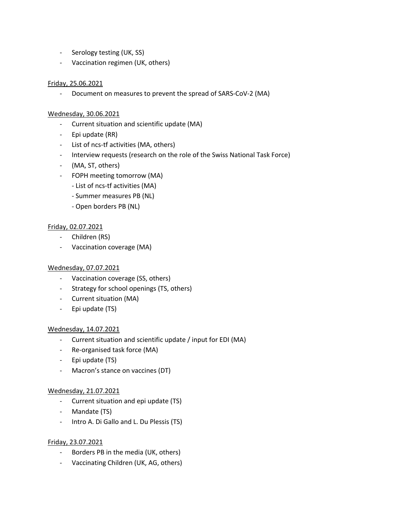- Serology testing (UK, SS)
- Vaccination regimen (UK, others)

#### Friday, 25.06.2021

- Document on measures to prevent the spread of SARS-CoV-2 (MA)

#### Wednesday, 30.06.2021

- Current situation and scientific update (MA)
- Epi update (RR)
- List of ncs-tf activities (MA, others)
- Interview requests (research on the role of the Swiss National Task Force)
- (MA, ST, others)
- FOPH meeting tomorrow (MA)
	- List of ncs-tf activities (MA)
	- Summer measures PB (NL)
	- Open borders PB (NL)

#### Friday, 02.07.2021

- Children (RS)
- Vaccination coverage (MA)

#### Wednesday, 07.07.2021

- Vaccination coverage (SS, others)
- Strategy for school openings (TS, others)
- Current situation (MA)
- Epi update (TS)

#### Wednesday, 14.07.2021

- Current situation and scientific update / input for EDI (MA)
- Re-organised task force (MA)
- Epi update (TS)
- Macron's stance on vaccines (DT)

#### Wednesday, 21.07.2021

- Current situation and epi update (TS)
- Mandate (TS)
- Intro A. Di Gallo and L. Du Plessis (TS)

#### Friday, 23.07.2021

- Borders PB in the media (UK, others)
- Vaccinating Children (UK, AG, others)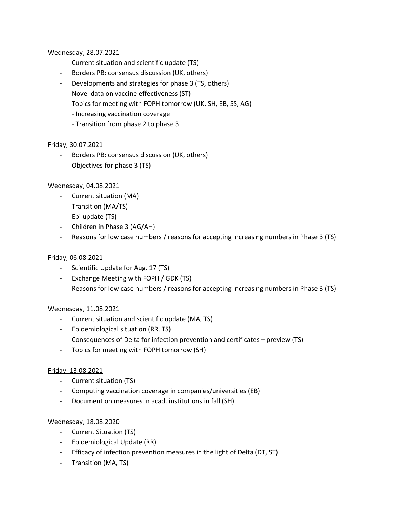#### Wednesday, 28.07.2021

- Current situation and scientific update (TS)
- Borders PB: consensus discussion (UK, others)
- Developments and strategies for phase 3 (TS, others)
- Novel data on vaccine effectiveness (ST)
- Topics for meeting with FOPH tomorrow (UK, SH, EB, SS, AG)
	- Increasing vaccination coverage
	- Transition from phase 2 to phase 3

#### Friday, 30.07.2021

- Borders PB: consensus discussion (UK, others)
- Objectives for phase 3 (TS)

#### Wednesday, 04.08.2021

- Current situation (MA)
- Transition (MA/TS)
- Epi update (TS)
- Children in Phase 3 (AG/AH)
- Reasons for low case numbers / reasons for accepting increasing numbers in Phase 3 (TS)

#### Friday, 06.08.2021

- Scientific Update for Aug. 17 (TS)
- Exchange Meeting with FOPH / GDK (TS)
- Reasons for low case numbers / reasons for accepting increasing numbers in Phase 3 (TS)

#### Wednesday, 11.08.2021

- Current situation and scientific update (MA, TS)
- Epidemiological situation (RR, TS)
- Consequences of Delta for infection prevention and certificates preview (TS)
- Topics for meeting with FOPH tomorrow (SH)

#### Friday, 13.08.2021

- Current situation (TS)
- Computing vaccination coverage in companies/universities (EB)
- Document on measures in acad. institutions in fall (SH)

#### Wednesday, 18.08.2020

- Current Situation (TS)
- Epidemiological Update (RR)
- Efficacy of infection prevention measures in the light of Delta (DT, ST)
- Transition (MA, TS)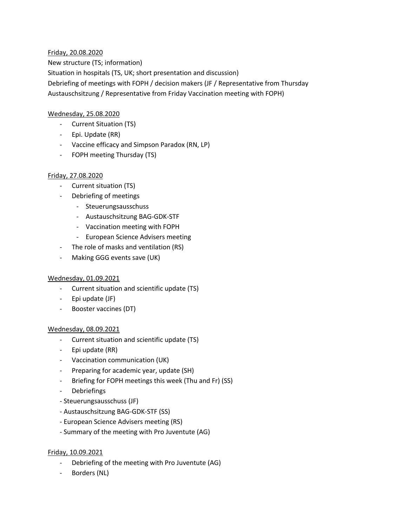## Friday, 20.08.2020

New structure (TS; information) Situation in hospitals (TS, UK; short presentation and discussion) Debriefing of meetings with FOPH / decision makers (JF / Representative from Thursday Austauschsitzung / Representative from Friday Vaccination meeting with FOPH)

## Wednesday, 25.08.2020

- Current Situation (TS)
- Epi. Update (RR)
- Vaccine efficacy and Simpson Paradox (RN, LP)
- FOPH meeting Thursday (TS)

## Friday, 27.08.2020

- Current situation (TS)
- Debriefing of meetings
	- Steuerungsausschuss
	- Austauschsitzung BAG-GDK-STF
	- Vaccination meeting with FOPH
	- European Science Advisers meeting
- The role of masks and ventilation (RS)
- Making GGG events save (UK)

## Wednesday, 01.09.2021

- Current situation and scientific update (TS)
- Epi update (JF)
- Booster vaccines (DT)

#### Wednesday, 08.09.2021

- Current situation and scientific update (TS)
- Epi update (RR)
- Vaccination communication (UK)
- Preparing for academic year, update (SH)
- Briefing for FOPH meetings this week (Thu and Fr) (SS)
- Debriefings
- Steuerungsausschuss (JF)
- Austauschsitzung BAG-GDK-STF (SS)
- European Science Advisers meeting (RS)
- Summary of the meeting with Pro Juventute (AG)

#### Friday, 10.09.2021

- Debriefing of the meeting with Pro Juventute (AG)
- Borders (NL)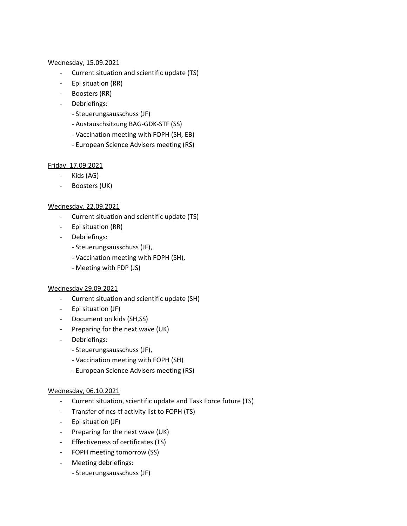#### Wednesday, 15.09.2021

- Current situation and scientific update (TS)
- Epi situation (RR)
- Boosters (RR)
- Debriefings:
	- Steuerungsausschuss (JF)
	- Austauschsitzung BAG-GDK-STF (SS)
	- Vaccination meeting with FOPH (SH, EB)
	- European Science Advisers meeting (RS)

## Friday, 17.09.2021

- Kids (AG)
- Boosters (UK)

## Wednesday, 22.09.2021

- Current situation and scientific update (TS)
- Epi situation (RR)
- Debriefings:
	- Steuerungsausschuss (JF),
	- Vaccination meeting with FOPH (SH),
	- Meeting with FDP (JS)

#### Wednesday 29.09.2021

- Current situation and scientific update (SH)
- Epi situation (JF)
- Document on kids (SH,SS)
- Preparing for the next wave (UK)
- Debriefings:
	- Steuerungsausschuss (JF),
	- Vaccination meeting with FOPH (SH)
	- European Science Advisers meeting (RS)

#### Wednesday, 06.10.2021

- Current situation, scientific update and Task Force future (TS)
- Transfer of ncs-tf activity list to FOPH (TS)
- Epi situation (JF)
- Preparing for the next wave (UK)
- Effectiveness of certificates (TS)
- FOPH meeting tomorrow (SS)
- Meeting debriefings:
	- Steuerungsausschuss (JF)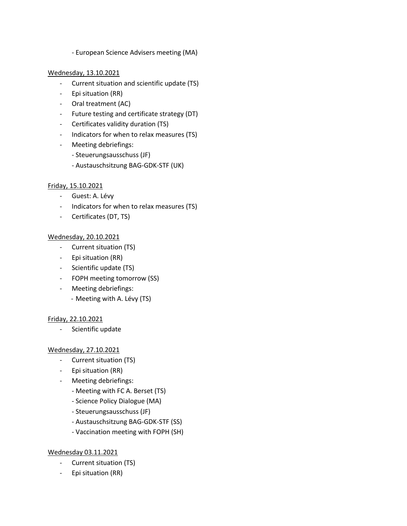- European Science Advisers meeting (MA)

### Wednesday, 13.10.2021

- Current situation and scientific update (TS)
- Epi situation (RR)
- Oral treatment (AC)
- Future testing and certificate strategy (DT)
- Certificates validity duration (TS)
- Indicators for when to relax measures (TS)
- Meeting debriefings:
	- Steuerungsausschuss (JF)
	- Austauschsitzung BAG-GDK-STF (UK)

## Friday, 15.10.2021

- Guest: A. Lévy
- Indicators for when to relax measures (TS)
- Certificates (DT, TS)

## Wednesday, 20.10.2021

- Current situation (TS)
- Epi situation (RR)
- Scientific update (TS)
- FOPH meeting tomorrow (SS)
- Meeting debriefings:
	- Meeting with A. Lévy (TS)

#### Friday, 22.10.2021

- Scientific update

#### Wednesday, 27.10.2021

- Current situation (TS)
- Epi situation (RR)
- Meeting debriefings:
	- Meeting with FC A. Berset (TS)
	- Science Policy Dialogue (MA)
	- Steuerungsausschuss (JF)
	- Austauschsitzung BAG-GDK-STF (SS)
	- Vaccination meeting with FOPH (SH)

### Wednesday 03.11.2021

- Current situation (TS)
- Epi situation (RR)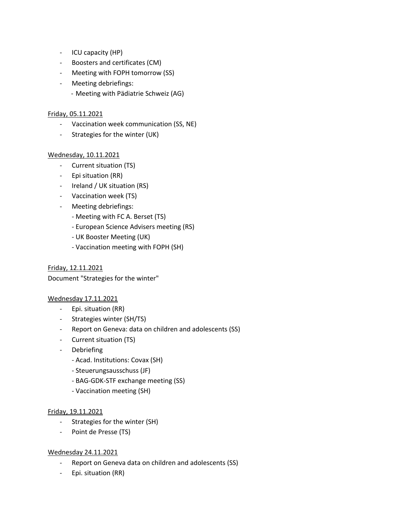- ICU capacity (HP)
- Boosters and certificates (CM)
- Meeting with FOPH tomorrow (SS)
- Meeting debriefings:
	- Meeting with Pädiatrie Schweiz (AG)

## Friday, 05.11.2021

- Vaccination week communication (SS, NE)
- Strategies for the winter (UK)

## Wednesday, 10.11.2021

- Current situation (TS)
- Epi situation (RR)
- Ireland / UK situation (RS)
- Vaccination week (TS)
- Meeting debriefings:
	- Meeting with FC A. Berset (TS)
	- European Science Advisers meeting (RS)
	- UK Booster Meeting (UK)
	- Vaccination meeting with FOPH (SH)

## Friday, 12.11.2021

Document "Strategies for the winter"

#### Wednesday 17.11.2021

- Epi. situation (RR)
- Strategies winter (SH/TS)
- Report on Geneva: data on children and adolescents (SS)
- Current situation (TS)
- Debriefing
	- Acad. Institutions: Covax (SH)
	- Steuerungsausschuss (JF)
	- BAG-GDK-STF exchange meeting (SS)
	- Vaccination meeting (SH)

#### Friday, 19.11.2021

- Strategies for the winter (SH)
- Point de Presse (TS)

#### Wednesday 24.11.2021

- Report on Geneva data on children and adolescents (SS)
- Epi. situation (RR)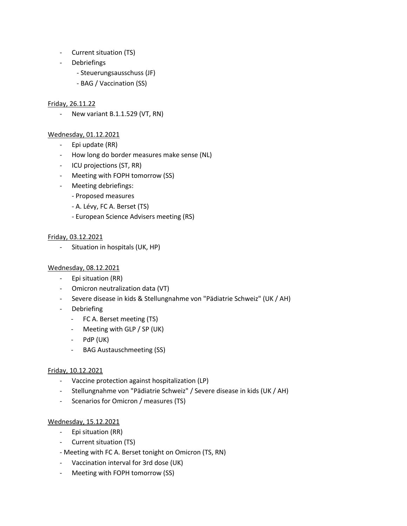- Current situation (TS)
- **Debriefings** 
	- Steuerungsausschuss (JF)
	- BAG / Vaccination (SS)

#### Friday, 26.11.22

- New variant B.1.1.529 (VT, RN)

#### Wednesday, 01.12.2021

- Epi update (RR)
- How long do border measures make sense (NL)
- ICU projections (ST, RR)
- Meeting with FOPH tomorrow (SS)
- Meeting debriefings:
	- Proposed measures
	- A. Lévy, FC A. Berset (TS)
	- European Science Advisers meeting (RS)

#### Friday, 03.12.2021

- Situation in hospitals (UK, HP)

#### Wednesday, 08.12.2021

- Epi situation (RR)
- Omicron neutralization data (VT)
- Severe disease in kids & Stellungnahme von "Pädiatrie Schweiz" (UK / AH)
- Debriefing
	- FC A. Berset meeting (TS)
	- Meeting with GLP / SP (UK)
	- PdP (UK)
	- BAG Austauschmeeting (SS)

#### Friday, 10.12.2021

- Vaccine protection against hospitalization (LP)
- Stellungnahme von "Pädiatrie Schweiz" / Severe disease in kids (UK / AH)
- Scenarios for Omicron / measures (TS)

#### Wednesday, 15.12.2021

- Epi situation (RR)
- Current situation (TS)
- Meeting with FC A. Berset tonight on Omicron (TS, RN)
- Vaccination interval for 3rd dose (UK)
- Meeting with FOPH tomorrow (SS)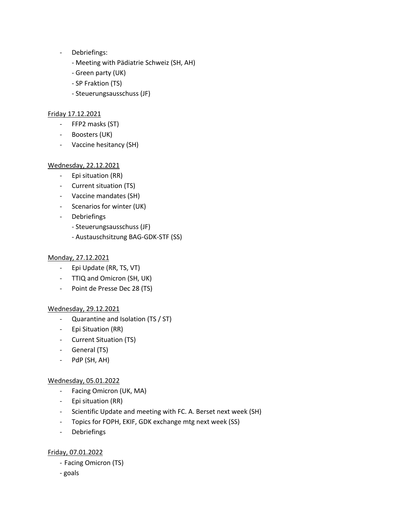- Debriefings:
	- Meeting with Pädiatrie Schweiz (SH, AH)
	- Green party (UK)
	- SP Fraktion (TS)
	- Steuerungsausschuss (JF)

#### Friday 17.12.2021

- FFP2 masks (ST)
- Boosters (UK)
- Vaccine hesitancy (SH)

#### Wednesday, 22.12.2021

- Epi situation (RR)
- Current situation (TS)
- Vaccine mandates (SH)
- Scenarios for winter (UK)
- Debriefings
	- Steuerungsausschuss (JF)
	- Austauschsitzung BAG-GDK-STF (SS)

#### Monday, 27.12.2021

- Epi Update (RR, TS, VT)
- TTIQ and Omicron (SH, UK)
- Point de Presse Dec 28 (TS)

#### Wednesday, 29.12.2021

- Quarantine and Isolation (TS / ST)
- Epi Situation (RR)
- Current Situation (TS)
- General (TS)
- PdP (SH, AH)

#### Wednesday, 05.01.2022

- Facing Omicron (UK, MA)
- Epi situation (RR)
- Scientific Update and meeting with FC. A. Berset next week (SH)
- Topics for FOPH, EKIF, GDK exchange mtg next week (SS)
- Debriefings

#### Friday, 07.01.2022

- Facing Omicron (TS)
- goals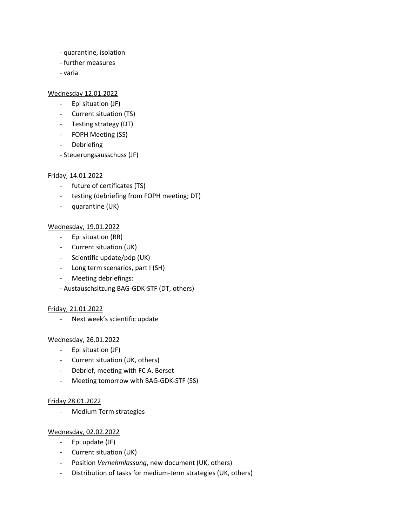- quarantine, isolation
- further measures
- varia

### Wednesday 12.01.2022

- Epi situation (JF)
- Current situation (TS)
- Testing strategy (DT)
- FOPH Meeting (SS)
- Debriefing
- Steuerungsausschuss (JF)

# Friday, 14.01.2022

- future of certificates (TS)
- testing (debriefing from FOPH meeting; DT)
- quarantine (UK)

# Wednesday, 19.01.2022

- Epi situation (RR)
- Current situation (UK)
- Scientific update/pdp (UK)
- Long term scenarios, part I (SH)
- Meeting debriefings:
- Austauschsitzung BAG-GDK-STF (DT, others)

#### Friday, 21.01.2022

- Next week's scientific update

# Wednesday, 26.01.2022

- Epi situation (JF)
- Current situation (UK, others)
- Debrief, meeting with FC A. Berset
- Meeting tomorrow with BAG-GDK-STF (SS)

#### Friday 28.01.2022

- Medium Term strategies

#### Wednesday, 02.02.2022

- Epi update (JF)
- Current situation (UK)
- Position *Vernehmlassung*, new document (UK, others)
- Distribution of tasks for medium-term strategies (UK, others)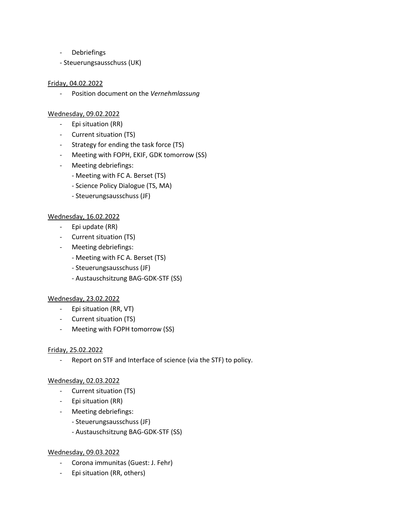- Debriefings
- Steuerungsausschuss (UK)

#### Friday, 04.02.2022

- Position document on the *Vernehmlassung*

#### Wednesday, 09.02.2022

- Epi situation (RR)
- Current situation (TS)
- Strategy for ending the task force (TS)
- Meeting with FOPH, EKIF, GDK tomorrow (SS)
- Meeting debriefings:
	- Meeting with FC A. Berset (TS)
	- Science Policy Dialogue (TS, MA)
	- Steuerungsausschuss (JF)

#### Wednesday, 16.02.2022

- Epi update (RR)
- Current situation (TS)
- Meeting debriefings:
	- Meeting with FC A. Berset (TS)
	- Steuerungsausschuss (JF)
	- Austauschsitzung BAG-GDK-STF (SS)

#### Wednesday, 23.02.2022

- Epi situation (RR, VT)
- Current situation (TS)
- Meeting with FOPH tomorrow (SS)

#### Friday, 25.02.2022

- Report on STF and Interface of science (via the STF) to policy.

#### Wednesday, 02.03.2022

- Current situation (TS)
- Epi situation (RR)
- Meeting debriefings:
	- Steuerungsausschuss (JF)
	- Austauschsitzung BAG-GDK-STF (SS)

#### Wednesday, 09.03.2022

- Corona immunitas (Guest: J. Fehr)
- Epi situation (RR, others)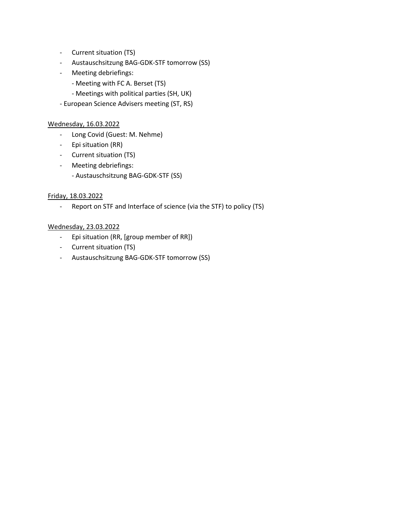- Current situation (TS)
- Austauschsitzung BAG-GDK-STF tomorrow (SS)
- Meeting debriefings:
	- Meeting with FC A. Berset (TS)
	- Meetings with political parties (SH, UK)
- European Science Advisers meeting (ST, RS)

### Wednesday, 16.03.2022

- Long Covid (Guest: M. Nehme)
- Epi situation (RR)
- Current situation (TS)
- Meeting debriefings:
	- Austauschsitzung BAG-GDK-STF (SS)

# Friday, 18.03.2022

- Report on STF and Interface of science (via the STF) to policy (TS)

### Wednesday, 23.03.2022

- Epi situation (RR, [group member of RR])
- Current situation (TS)
- Austauschsitzung BAG-GDK-STF tomorrow (SS)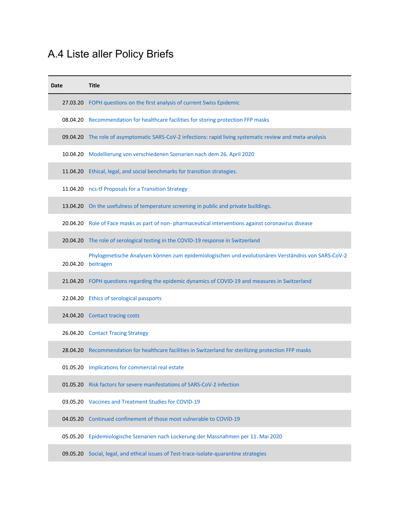# A.4 Liste aller Policy Briefs

| Date     | <b>Title</b>                                                                                                             |
|----------|--------------------------------------------------------------------------------------------------------------------------|
|          | 27.03.20 FOPH questions on the first analysis of current Swiss Epidemic                                                  |
|          | 08.04.20 Recommendation for healthcare facilities for storing protection FFP masks                                       |
|          | 09.04.20 The role of asymptomatic SARS-CoV-2 infections: rapid living systematic review and meta-analysis                |
|          | 10.04.20 Modellierung von verschiedenen Szenarien nach dem 26. April 2020                                                |
|          | 11.04.20 Ethical, legal, and social benchmarks for transition strategies.                                                |
|          | 11.04.20 ncs-tf Proposals for a Transition Strategy                                                                      |
|          | 13.04.20 On the usefulness of temperature screening in public and private buildings.                                     |
|          | 20.04.20 Role of Face masks as part of non-pharmaceutical interventions against coronavirus disease                      |
|          | 20.04.20 The role of serological testing in the COVID-19 response in Switzerland                                         |
|          | Phylogenetische Analysen können zum epidemiologischen und evolutionären Verständnis von SARS-CoV-2<br>20.04.20 beitragen |
|          | 21.04.20 FOPH questions regarding the epidemic dynamics of COVID-19 and measures in Switzerland                          |
|          | 22.04.20 Ethics of serological passports                                                                                 |
|          | 24.04.20 Contact tracing costs                                                                                           |
|          | 26.04.20 Contact Tracing Strategy                                                                                        |
|          | 28.04.20 Recommendation for healthcare facilities in Switzerland for sterilizing protection FFP masks                    |
|          | 01.05.20 Implications for commercial real estate                                                                         |
|          | 01.05.20 Risk factors for severe manifestations of SARS-CoV-2 infection                                                  |
|          | 03.05.20 Vaccines and Treatment Studies for COVID-19                                                                     |
| 04.05.20 | Continued confinement of those most vulnerable to COVID-19                                                               |
|          | 05.05.20 Epidemiologische Szenarien nach Lockerung der Massnahmen per 11. Mai 2020                                       |
|          | 09.05.20 Social, legal, and ethical issues of Test-trace-isolate-quarantine strategies                                   |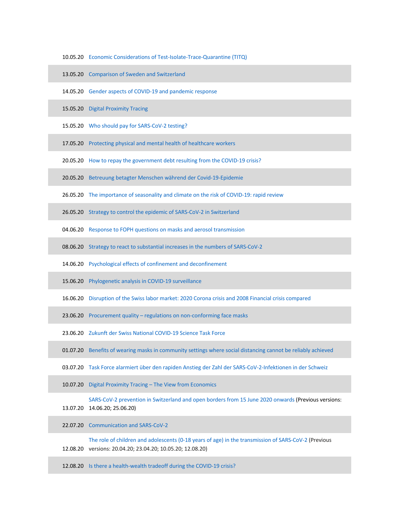- 10.05.20 Economic Considerations of Test-Isolate-Trace-Quarantine (TITQ)
- 13.05.20 Comparison of Sweden and Switzerland
- 14.05.20 Gender aspects of COVID-19 and pandemic response
- 15.05.20 Digital Proximity Tracing
- 15.05.20 Who should pay for SARS-CoV-2 testing?
- 17.05.20 Protecting physical and mental health of healthcare workers
- 20.05.20 How to repay the government debt resulting from the COVID-19 crisis?
- 20.05.20 Betreuung betagter Menschen während der Covid-19-Epidemie
- 26.05.20 The importance of seasonality and climate on the risk of COVID-19: rapid review
- 26.05.20 Strategy to control the epidemic of SARS-CoV-2 in Switzerland
- 04.06.20 Response to FOPH questions on masks and aerosol transmission
- 08.06.20 Strategy to react to substantial increases in the numbers of SARS-CoV-2
- 14.06.20 Psychological effects of confinement and deconfinement
- 15.06.20 Phylogenetic analysis in COVID-19 surveillance
- 16.06.20 Disruption of the Swiss labor market: 2020 Corona crisis and 2008 Financial crisis compared
- 23.06.20 Procurement quality regulations on non-conforming face masks
- 23.06.20 Zukunft der Swiss National COVID-19 Science Task Force
- 01.07.20 Benefits of wearing masks in community settings where social distancing cannot be reliably achieved
- 03.07.20 Task Force alarmiert über den rapiden Anstieg der Zahl der SARS-CoV-2-Infektionen in der Schweiz
- 10.07.20 Digital Proximity Tracing The View from Economics

SARS-CoV-2 prevention in Switzerland and open borders from 15 June 2020 onwards (Previous versions:

13.07.20 14.06.20; 25.06.20)

22.07.20 Communication and SARS-CoV-2

12.08.20 versions: 20.04.20; 23.04.20; 10.05.20; 12.08.20) The role of children and adolescents (0-18 years of age) in the transmission of SARS-CoV-2 (Previous

12.08.20 Is there a health-wealth tradeoff during the COVID-19 crisis?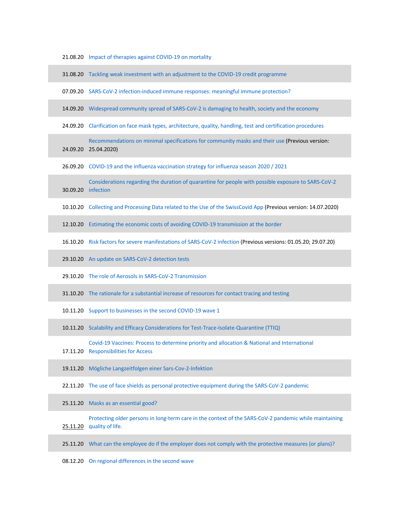|  |  |  |  | 21.08.20 Impact of therapies against COVID-19 on mortality |  |
|--|--|--|--|------------------------------------------------------------|--|
|--|--|--|--|------------------------------------------------------------|--|

|          | 31.08.20 Tackling weak investment with an adjustment to the COVID-19 credit programme                                                |
|----------|--------------------------------------------------------------------------------------------------------------------------------------|
|          | 07.09.20 SARS-CoV-2 infection-induced immune responses: meaningful immune protection?                                                |
|          | 14.09.20 Widespread community spread of SARS-CoV-2 is damaging to health, society and the economy                                    |
|          | 24.09.20 Clarification on face mask types, architecture, quality, handling, test and certification procedures                        |
|          | Recommendations on minimal specifications for community masks and their use (Previous version:<br>24.09.20 25.04.2020)               |
|          | 26.09.20 COVID-19 and the influenza vaccination strategy for influenza season 2020 / 2021                                            |
|          | Considerations regarding the duration of quarantine for people with possible exposure to SARS-CoV-2<br>30.09.20 infection            |
|          | 10.10.20 Collecting and Processing Data related to the Use of the SwissCovid App (Previous version: 14.07.2020)                      |
| 12.10.20 | Estimating the economic costs of avoiding COVID-19 transmission at the border                                                        |
|          | 16.10.20 Risk factors for severe manifestations of SARS-CoV-2 infection (Previous versions: 01.05.20; 29.07.20)                      |
|          | 29.10.20 An update on SARS-CoV-2 detection tests                                                                                     |
|          | 29.10.20 The role of Aerosols in SARS-CoV-2 Transmission                                                                             |
|          | 31.10.20 The rationale for a substantial increase of resources for contact tracing and testing                                       |
|          | 10.11.20 Support to businesses in the second COVID-19 wave 1                                                                         |
|          | 10.11.20 Scalability and Efficacy Considerations for Test-Trace-Isolate-Quarantine (TTIQ)                                            |
|          | Covid-19 Vaccines: Process to determine priority and allocation & National and International<br>17.11.20 Responsibilities for Access |
|          | 19.11.20 Mögliche Langzeitfolgen einer Sars-Cov-2-Infektion                                                                          |
|          | 22.11.20 The use of face shields as personal protective equipment during the SARS-CoV-2 pandemic                                     |
| 25.11.20 | Masks as an essential good?                                                                                                          |
| 25.11.20 | Protecting older persons in long-term care in the context of the SARS-CoV-2 pandemic while maintaining<br>quality of life.           |
|          | 25.11.20 What can the employee do if the employer does not comply with the protective measures (or plans)?                           |
|          | 08.12.20 On regional differences in the second wave                                                                                  |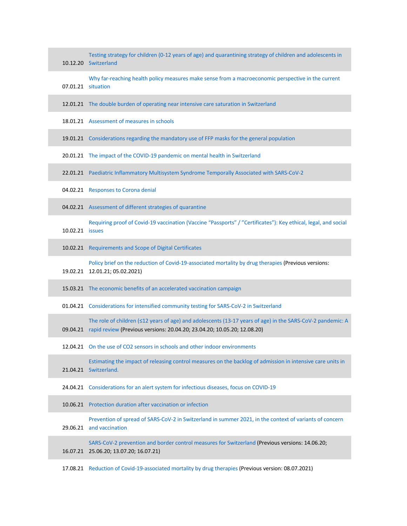|                 | Testing strategy for children (0-12 years of age) and quarantining strategy of children and adolescents in<br>10.12.20 Switzerland                                                              |
|-----------------|-------------------------------------------------------------------------------------------------------------------------------------------------------------------------------------------------|
|                 | Why far-reaching health policy measures make sense from a macroeconomic perspective in the current<br>07.01.21 situation                                                                        |
|                 | 12.01.21 The double burden of operating near intensive care saturation in Switzerland                                                                                                           |
|                 | 18.01.21 Assessment of measures in schools                                                                                                                                                      |
|                 | 19.01.21 Considerations regarding the mandatory use of FFP masks for the general population                                                                                                     |
|                 | 20.01.21 The impact of the COVID-19 pandemic on mental health in Switzerland                                                                                                                    |
|                 | 22.01.21 Paediatric Inflammatory Multisystem Syndrome Temporally Associated with SARS-CoV-2                                                                                                     |
|                 | 04.02.21 Responses to Corona denial                                                                                                                                                             |
|                 | 04.02.21 Assessment of different strategies of quarantine                                                                                                                                       |
| 10.02.21 issues | Requiring proof of Covid-19 vaccination (Vaccine "Passports" / "Certificates"): Key ethical, legal, and social                                                                                  |
|                 | 10.02.21 Requirements and Scope of Digital Certificates                                                                                                                                         |
|                 | Policy brief on the reduction of Covid-19-associated mortality by drug therapies (Previous versions:<br>19.02.21 12.01.21; 05.02.2021)                                                          |
|                 | 15.03.21 The economic benefits of an accelerated vaccination campaign                                                                                                                           |
|                 | 01.04.21 Considerations for intensified community testing for SARS-CoV-2 in Switzerland                                                                                                         |
|                 | The role of children (≤12 years of age) and adolescents (13-17 years of age) in the SARS-CoV-2 pandemic: A<br>09.04.21 rapid review (Previous versions: 20.04.20; 23.04.20; 10.05.20; 12.08.20) |
|                 | 12.04.21 On the use of CO2 sensors in schools and other indoor environments                                                                                                                     |
|                 | Estimating the impact of releasing control measures on the backlog of admission in intensive care units in<br>21.04.21 Switzerland.                                                             |
|                 | 24.04.21 Considerations for an alert system for infectious diseases, focus on COVID-19                                                                                                          |
|                 | 10.06.21 Protection duration after vaccination or infection                                                                                                                                     |
|                 | Prevention of spread of SARS-CoV-2 in Switzerland in summer 2021, in the context of variants of concern<br>29.06.21 and vaccination                                                             |
|                 | SARS-CoV-2 prevention and border control measures for Switzerland (Previous versions: 14.06.20;<br>16.07.21 25.06.20; 13.07.20; 16.07.21)                                                       |
|                 |                                                                                                                                                                                                 |

T.

17.08.21 Reduction of Covid-19-associated mortality by drug therapies (Previous version: 08.07.2021)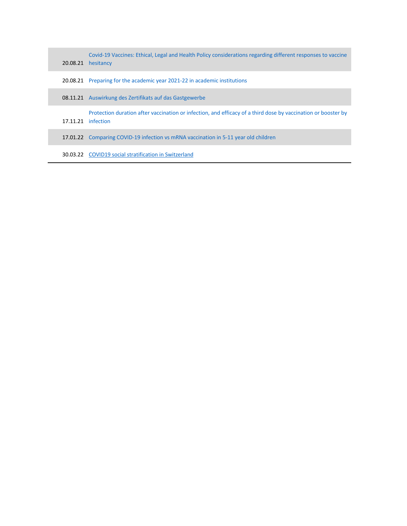|  | Covid-19 Vaccines: Ethical, Legal and Health Policy considerations regarding different responses to vaccine<br>20.08.21 hesitancy   |
|--|-------------------------------------------------------------------------------------------------------------------------------------|
|  | 20.08.21 Preparing for the academic year 2021-22 in academic institutions                                                           |
|  | 08.11.21 Auswirkung des Zertifikats auf das Gastgewerbe                                                                             |
|  | Protection duration after vaccination or infection, and efficacy of a third dose by vaccination or booster by<br>17.11.21 infection |
|  | 17.01.22 Comparing COVID-19 infection vs mRNA vaccination in 5-11 year old children                                                 |
|  | <b>30.03.22 COVID19 social stratification in Switzerland</b>                                                                        |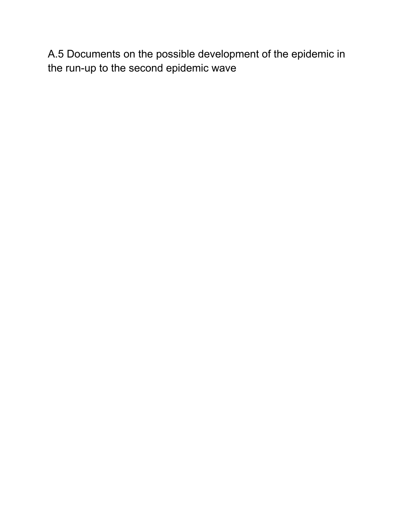A.5 Documents on the possible development of the epidemic in the run-up to the second epidemic wave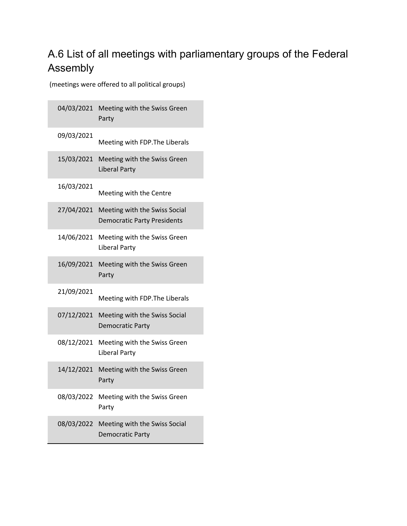# A.6 List of all meetings with parliamentary groups of the Federal Assembly

(meetings were offered to all political groups)

|            | 04/03/2021 Meeting with the Swiss Green<br>Party                    |
|------------|---------------------------------------------------------------------|
| 09/03/2021 | Meeting with FDP. The Liberals                                      |
| 15/03/2021 | Meeting with the Swiss Green<br><b>Liberal Party</b>                |
| 16/03/2021 | Meeting with the Centre                                             |
| 27/04/2021 | Meeting with the Swiss Social<br><b>Democratic Party Presidents</b> |
| 14/06/2021 | Meeting with the Swiss Green<br><b>Liberal Party</b>                |
| 16/09/2021 | Meeting with the Swiss Green<br>Party                               |
| 21/09/2021 | Meeting with FDP. The Liberals                                      |
| 07/12/2021 | Meeting with the Swiss Social<br>Democratic Party                   |
| 08/12/2021 | Meeting with the Swiss Green<br><b>Liberal Party</b>                |
| 14/12/2021 | Meeting with the Swiss Green<br>Party                               |
| 08/03/2022 | Meeting with the Swiss Green<br>Party                               |
| 08/03/2022 | Meeting with the Swiss Social<br><b>Democratic Party</b>            |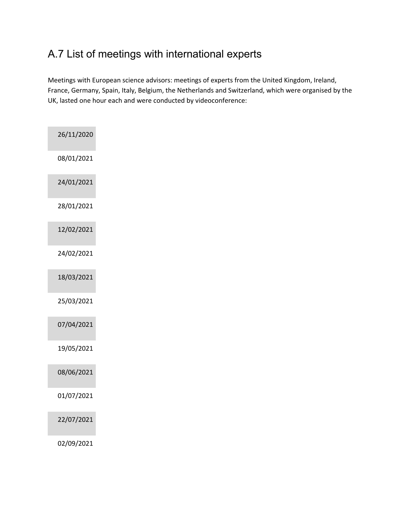# A.7 List of meetings with international experts

Meetings with European science advisors: meetings of experts from the United Kingdom, Ireland, France, Germany, Spain, Italy, Belgium, the Netherlands and Switzerland, which were organised by the UK, lasted one hour each and were conducted by videoconference:

| 26/11/2020 |
|------------|
| 08/01/2021 |
| 24/01/2021 |
| 28/01/2021 |
| 12/02/2021 |
| 24/02/2021 |
| 18/03/2021 |
| 25/03/2021 |
| 07/04/2021 |
| 19/05/2021 |
| 08/06/2021 |
| 01/07/2021 |
| 22/07/2021 |
| 02/09/2021 |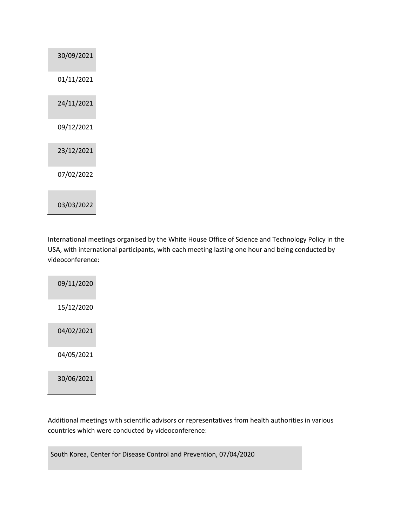| 30/09/2021 |
|------------|
| 01/11/2021 |
| 24/11/2021 |
| 09/12/2021 |
| 23/12/2021 |
| 07/02/2022 |
| 03/03/2022 |

International meetings organised by the White House Office of Science and Technology Policy in the USA, with international participants, with each meeting lasting one hour and being conducted by videoconference:

| 09/11/2020 |  |
|------------|--|
| 15/12/2020 |  |
| 04/02/2021 |  |
| 04/05/2021 |  |
| 30/06/2021 |  |

Additional meetings with scientific advisors or representatives from health authorities in various countries which were conducted by videoconference:

South Korea, Center for Disease Control and Prevention, 07/04/2020